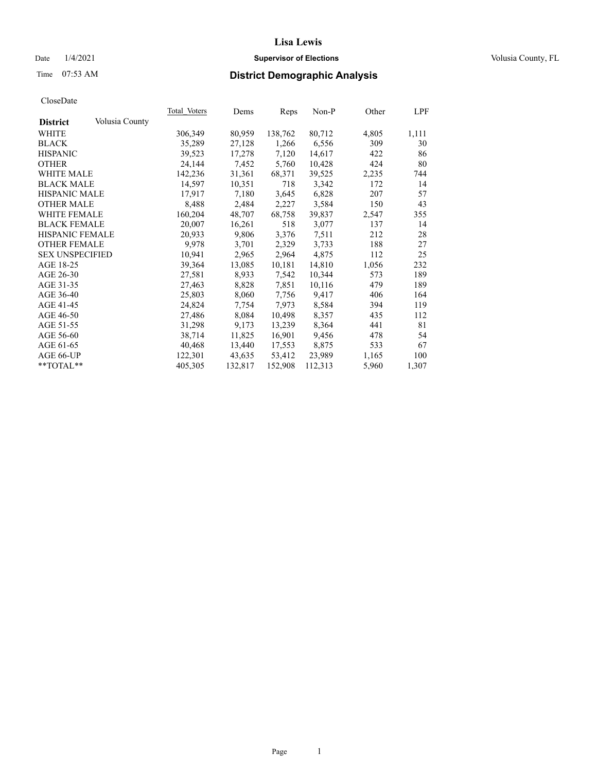# Date  $1/4/2021$  **Supervisor of Elections Supervisor of Elections** Volusia County, FL

# Time 07:53 AM **District Demographic Analysis**

|                        |                | Total Voters | Dems    | Reps    | Non-P   | Other | LPF   |
|------------------------|----------------|--------------|---------|---------|---------|-------|-------|
| <b>District</b>        | Volusia County |              |         |         |         |       |       |
| WHITE                  |                | 306,349      | 80,959  | 138,762 | 80,712  | 4,805 | 1,111 |
| <b>BLACK</b>           |                | 35,289       | 27,128  | 1,266   | 6,556   | 309   | 30    |
| <b>HISPANIC</b>        |                | 39,523       | 17,278  | 7,120   | 14,617  | 422   | 86    |
| <b>OTHER</b>           |                | 24,144       | 7,452   | 5,760   | 10,428  | 424   | 80    |
| <b>WHITE MALE</b>      |                | 142,236      | 31,361  | 68,371  | 39,525  | 2,235 | 744   |
| <b>BLACK MALE</b>      |                | 14,597       | 10,351  | 718     | 3,342   | 172   | 14    |
| <b>HISPANIC MALE</b>   |                | 17,917       | 7,180   | 3,645   | 6,828   | 207   | 57    |
| <b>OTHER MALE</b>      |                | 8,488        | 2,484   | 2,227   | 3,584   | 150   | 43    |
| <b>WHITE FEMALE</b>    |                | 160,204      | 48,707  | 68,758  | 39,837  | 2,547 | 355   |
| <b>BLACK FEMALE</b>    |                | 20,007       | 16,261  | 518     | 3,077   | 137   | 14    |
| HISPANIC FEMALE        |                | 20,933       | 9,806   | 3,376   | 7,511   | 212   | 28    |
| <b>OTHER FEMALE</b>    |                | 9,978        | 3,701   | 2,329   | 3,733   | 188   | 27    |
| <b>SEX UNSPECIFIED</b> |                | 10.941       | 2,965   | 2,964   | 4,875   | 112   | 25    |
| AGE 18-25              |                | 39,364       | 13,085  | 10,181  | 14,810  | 1,056 | 232   |
| AGE 26-30              |                | 27,581       | 8,933   | 7,542   | 10,344  | 573   | 189   |
| AGE 31-35              |                | 27,463       | 8,828   | 7,851   | 10,116  | 479   | 189   |
| AGE 36-40              |                | 25,803       | 8,060   | 7,756   | 9,417   | 406   | 164   |
| AGE 41-45              |                | 24,824       | 7,754   | 7,973   | 8,584   | 394   | 119   |
| AGE 46-50              |                | 27,486       | 8,084   | 10,498  | 8,357   | 435   | 112   |
| AGE 51-55              |                | 31,298       | 9,173   | 13,239  | 8,364   | 441   | 81    |
| AGE 56-60              |                | 38,714       | 11,825  | 16,901  | 9,456   | 478   | 54    |
| AGE 61-65              |                | 40,468       | 13,440  | 17,553  | 8,875   | 533   | 67    |
| AGE 66-UP              |                | 122,301      | 43,635  | 53,412  | 23,989  | 1,165 | 100   |
| $*$ TOTAL $*$          |                | 405,305      | 132,817 | 152,908 | 112,313 | 5,960 | 1,307 |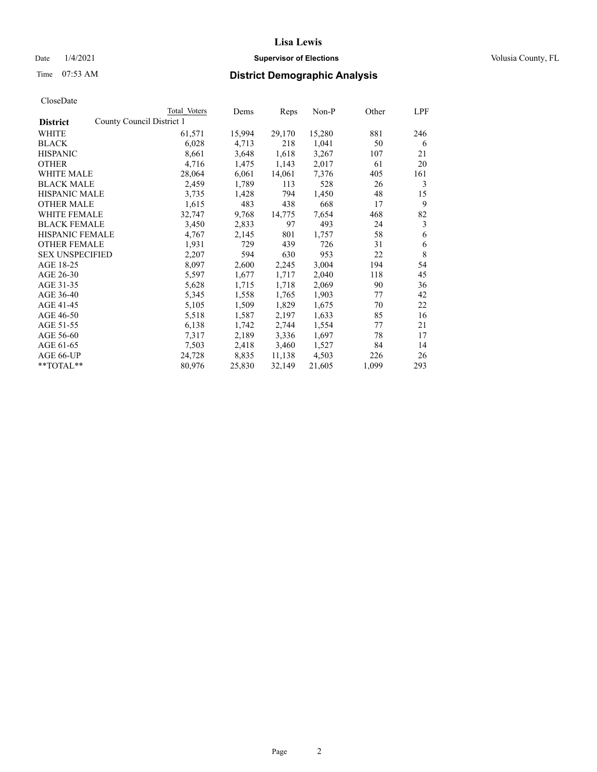# Date  $1/4/2021$  **Supervisor of Elections Supervisor of Elections** Volusia County, FL

|                                              | Total Voters | Dems   | Reps   | Non-P  | Other | LPF |
|----------------------------------------------|--------------|--------|--------|--------|-------|-----|
| County Council District 1<br><b>District</b> |              |        |        |        |       |     |
| WHITE                                        | 61,571       | 15,994 | 29,170 | 15,280 | 881   | 246 |
| <b>BLACK</b>                                 | 6,028        | 4,713  | 218    | 1,041  | 50    | 6   |
| <b>HISPANIC</b>                              | 8,661        | 3,648  | 1,618  | 3,267  | 107   | 21  |
| <b>OTHER</b>                                 | 4,716        | 1,475  | 1,143  | 2,017  | 61    | 20  |
| <b>WHITE MALE</b>                            | 28,064       | 6,061  | 14,061 | 7,376  | 405   | 161 |
| <b>BLACK MALE</b>                            | 2,459        | 1,789  | 113    | 528    | 26    | 3   |
| <b>HISPANIC MALE</b>                         | 3,735        | 1,428  | 794    | 1,450  | 48    | 15  |
| <b>OTHER MALE</b>                            | 1,615        | 483    | 438    | 668    | 17    | 9   |
| <b>WHITE FEMALE</b>                          | 32,747       | 9,768  | 14,775 | 7,654  | 468   | 82  |
| <b>BLACK FEMALE</b>                          | 3,450        | 2,833  | 97     | 493    | 24    | 3   |
| HISPANIC FEMALE                              | 4,767        | 2,145  | 801    | 1,757  | 58    | 6   |
| <b>OTHER FEMALE</b>                          | 1,931        | 729    | 439    | 726    | 31    | 6   |
| <b>SEX UNSPECIFIED</b>                       | 2,207        | 594    | 630    | 953    | 22    | 8   |
| AGE 18-25                                    | 8,097        | 2,600  | 2,245  | 3,004  | 194   | 54  |
| AGE 26-30                                    | 5,597        | 1,677  | 1,717  | 2,040  | 118   | 45  |
| AGE 31-35                                    | 5,628        | 1,715  | 1,718  | 2,069  | 90    | 36  |
| AGE 36-40                                    | 5,345        | 1,558  | 1,765  | 1,903  | 77    | 42  |
| AGE 41-45                                    | 5,105        | 1,509  | 1,829  | 1,675  | 70    | 22  |
| AGE 46-50                                    | 5,518        | 1,587  | 2,197  | 1,633  | 85    | 16  |
| AGE 51-55                                    | 6,138        | 1,742  | 2,744  | 1,554  | 77    | 21  |
| AGE 56-60                                    | 7,317        | 2,189  | 3,336  | 1,697  | 78    | 17  |
| AGE 61-65                                    | 7,503        | 2,418  | 3,460  | 1,527  | 84    | 14  |
| AGE 66-UP                                    | 24,728       | 8,835  | 11,138 | 4,503  | 226   | 26  |
| $*$ $TOTAL**$                                | 80,976       | 25,830 | 32,149 | 21,605 | 1,099 | 293 |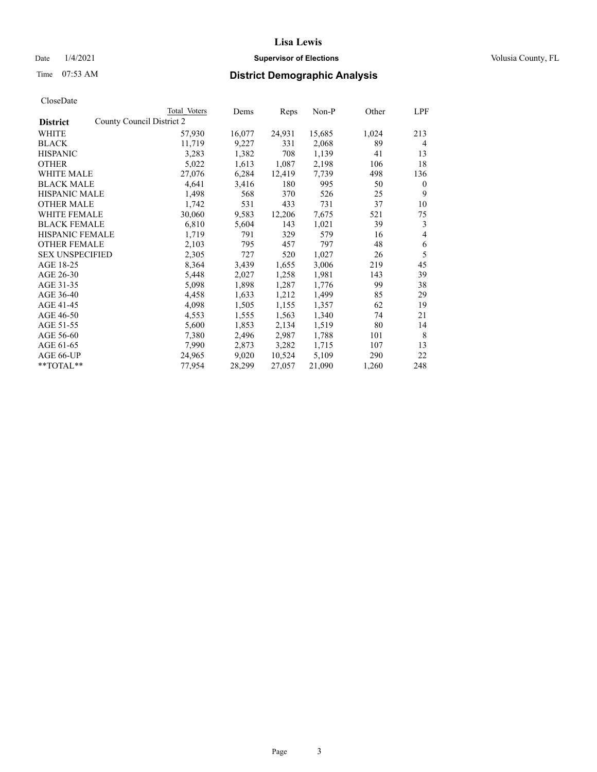# Date  $1/4/2021$  **Supervisor of Elections Supervisor of Elections** Volusia County, FL

|                        |                           | Total Voters | Dems   | Reps   | Non-P  | Other | <u>LPF</u>     |
|------------------------|---------------------------|--------------|--------|--------|--------|-------|----------------|
| <b>District</b>        | County Council District 2 |              |        |        |        |       |                |
| WHITE                  |                           | 57,930       | 16,077 | 24,931 | 15,685 | 1,024 | 213            |
| <b>BLACK</b>           |                           | 11,719       | 9,227  | 331    | 2,068  | 89    | $\overline{4}$ |
| <b>HISPANIC</b>        |                           | 3,283        | 1,382  | 708    | 1,139  | 41    | 13             |
| <b>OTHER</b>           |                           | 5,022        | 1,613  | 1,087  | 2,198  | 106   | 18             |
| WHITE MALE             |                           | 27,076       | 6,284  | 12,419 | 7,739  | 498   | 136            |
| <b>BLACK MALE</b>      |                           | 4,641        | 3,416  | 180    | 995    | 50    | $\mathbf{0}$   |
| <b>HISPANIC MALE</b>   |                           | 1,498        | 568    | 370    | 526    | 25    | 9              |
| <b>OTHER MALE</b>      |                           | 1,742        | 531    | 433    | 731    | 37    | 10             |
| <b>WHITE FEMALE</b>    |                           | 30,060       | 9,583  | 12,206 | 7,675  | 521   | 75             |
| <b>BLACK FEMALE</b>    |                           | 6,810        | 5,604  | 143    | 1,021  | 39    | 3              |
| HISPANIC FEMALE        |                           | 1,719        | 791    | 329    | 579    | 16    | 4              |
| <b>OTHER FEMALE</b>    |                           | 2,103        | 795    | 457    | 797    | 48    | 6              |
| <b>SEX UNSPECIFIED</b> |                           | 2,305        | 727    | 520    | 1,027  | 26    | 5              |
| AGE 18-25              |                           | 8,364        | 3,439  | 1,655  | 3,006  | 219   | 45             |
| AGE 26-30              |                           | 5,448        | 2,027  | 1,258  | 1,981  | 143   | 39             |
| AGE 31-35              |                           | 5,098        | 1,898  | 1,287  | 1,776  | 99    | 38             |
| AGE 36-40              |                           | 4,458        | 1,633  | 1,212  | 1,499  | 85    | 29             |
| AGE 41-45              |                           | 4,098        | 1,505  | 1,155  | 1,357  | 62    | 19             |
| AGE 46-50              |                           | 4,553        | 1,555  | 1,563  | 1,340  | 74    | 21             |
| AGE 51-55              |                           | 5,600        | 1,853  | 2,134  | 1,519  | 80    | 14             |
| AGE 56-60              |                           | 7,380        | 2,496  | 2,987  | 1,788  | 101   | 8              |
| AGE 61-65              |                           | 7,990        | 2,873  | 3,282  | 1,715  | 107   | 13             |
| AGE 66-UP              |                           | 24,965       | 9,020  | 10,524 | 5,109  | 290   | 22             |
| **TOTAL**              |                           | 77,954       | 28,299 | 27,057 | 21,090 | 1,260 | 248            |
|                        |                           |              |        |        |        |       |                |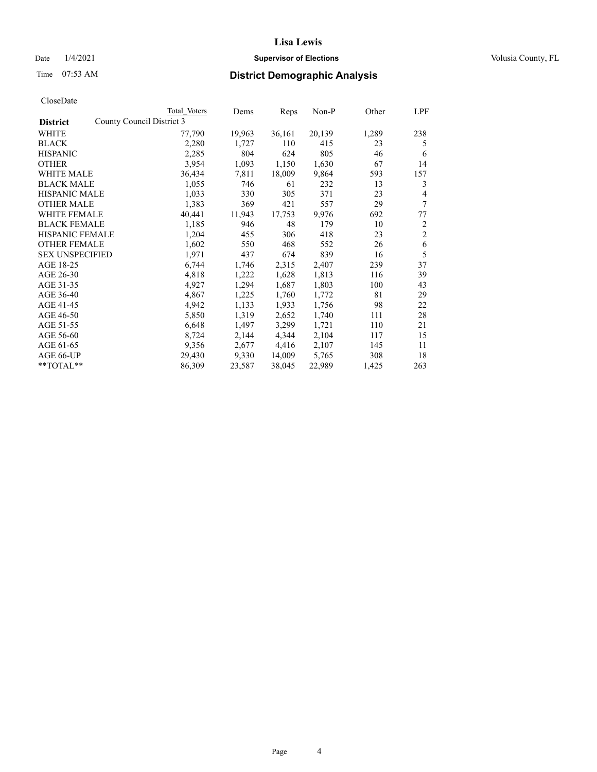# Date  $1/4/2021$  **Supervisor of Elections Supervisor of Elections** Volusia County, FL

# Time 07:53 AM **District Demographic Analysis**

|                        |                           | Total Voters | Dems   | Reps   | Non-P  | Other | <u>LPF</u>     |
|------------------------|---------------------------|--------------|--------|--------|--------|-------|----------------|
| <b>District</b>        | County Council District 3 |              |        |        |        |       |                |
| WHITE                  |                           | 77,790       | 19,963 | 36,161 | 20,139 | 1,289 | 238            |
| <b>BLACK</b>           |                           | 2,280        | 1,727  | 110    | 415    | 23    | 5              |
| <b>HISPANIC</b>        |                           | 2,285        | 804    | 624    | 805    | 46    | 6              |
| <b>OTHER</b>           |                           | 3,954        | 1,093  | 1,150  | 1,630  | 67    | 14             |
| <b>WHITE MALE</b>      |                           | 36,434       | 7,811  | 18,009 | 9,864  | 593   | 157            |
| <b>BLACK MALE</b>      |                           | 1,055        | 746    | 61     | 232    | 13    | 3              |
| <b>HISPANIC MALE</b>   |                           | 1,033        | 330    | 305    | 371    | 23    | $\overline{4}$ |
| <b>OTHER MALE</b>      |                           | 1,383        | 369    | 421    | 557    | 29    | 7              |
| WHITE FEMALE           |                           | 40,441       | 11,943 | 17,753 | 9,976  | 692   | 77             |
| <b>BLACK FEMALE</b>    |                           | 1,185        | 946    | 48     | 179    | 10    | $\overline{2}$ |
| HISPANIC FEMALE        |                           | 1,204        | 455    | 306    | 418    | 23    | $\overline{2}$ |
| <b>OTHER FEMALE</b>    |                           | 1,602        | 550    | 468    | 552    | 26    | 6              |
| <b>SEX UNSPECIFIED</b> |                           | 1,971        | 437    | 674    | 839    | 16    | 5              |
| AGE 18-25              |                           | 6,744        | 1,746  | 2,315  | 2,407  | 239   | 37             |
| AGE 26-30              |                           | 4,818        | 1,222  | 1,628  | 1,813  | 116   | 39             |
| AGE 31-35              |                           | 4,927        | 1,294  | 1,687  | 1,803  | 100   | 43             |
| AGE 36-40              |                           | 4,867        | 1,225  | 1,760  | 1,772  | 81    | 29             |
| AGE 41-45              |                           | 4,942        | 1,133  | 1,933  | 1,756  | 98    | 22             |
| AGE 46-50              |                           | 5,850        | 1,319  | 2,652  | 1,740  | 111   | 28             |
| AGE 51-55              |                           | 6,648        | 1,497  | 3,299  | 1,721  | 110   | 21             |
| AGE 56-60              |                           | 8,724        | 2,144  | 4,344  | 2,104  | 117   | 15             |
| AGE 61-65              |                           | 9,356        | 2,677  | 4,416  | 2,107  | 145   | 11             |
| AGE 66-UP              |                           | 29,430       | 9,330  | 14,009 | 5,765  | 308   | 18             |
| **TOTAL**              |                           | 86,309       | 23,587 | 38,045 | 22,989 | 1,425 | 263            |
|                        |                           |              |        |        |        |       |                |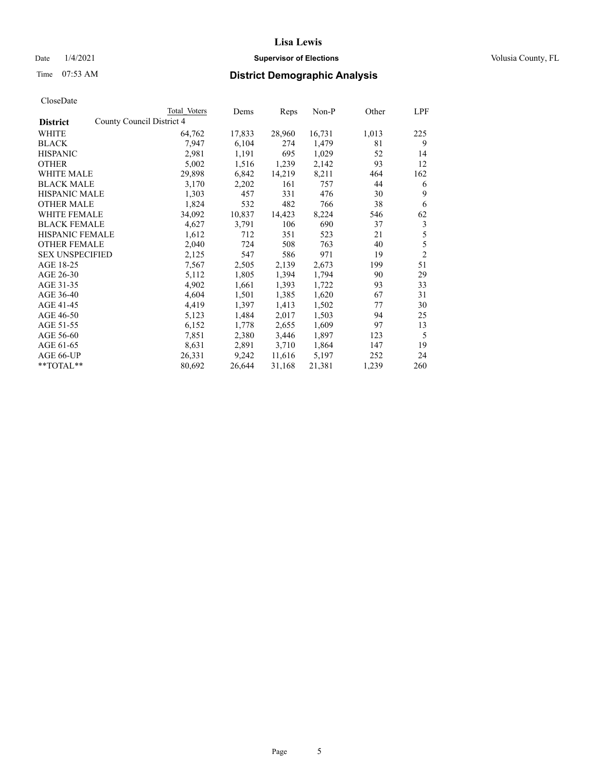# Date  $1/4/2021$  **Supervisor of Elections Supervisor of Elections** Volusia County, FL

# Time 07:53 AM **District Demographic Analysis**

|                        | Total Voters              | Dems   | Reps   | Non-P  | Other | LPF            |
|------------------------|---------------------------|--------|--------|--------|-------|----------------|
| <b>District</b>        | County Council District 4 |        |        |        |       |                |
| WHITE                  | 64,762                    | 17,833 | 28,960 | 16,731 | 1,013 | 225            |
| <b>BLACK</b>           | 7,947                     | 6,104  | 274    | 1,479  | 81    | 9              |
| <b>HISPANIC</b>        | 2,981                     | 1,191  | 695    | 1,029  | 52    | 14             |
| <b>OTHER</b>           | 5,002                     | 1,516  | 1,239  | 2,142  | 93    | 12             |
| WHITE MALE             | 29,898                    | 6,842  | 14,219 | 8,211  | 464   | 162            |
| <b>BLACK MALE</b>      | 3,170                     | 2,202  | 161    | 757    | 44    | 6              |
| <b>HISPANIC MALE</b>   | 1,303                     | 457    | 331    | 476    | 30    | 9              |
| <b>OTHER MALE</b>      | 1,824                     | 532    | 482    | 766    | 38    | 6              |
| <b>WHITE FEMALE</b>    | 34,092                    | 10,837 | 14,423 | 8,224  | 546   | 62             |
| <b>BLACK FEMALE</b>    | 4,627                     | 3,791  | 106    | 690    | 37    | 3              |
| <b>HISPANIC FEMALE</b> | 1,612                     | 712    | 351    | 523    | 21    | 5              |
| <b>OTHER FEMALE</b>    | 2,040                     | 724    | 508    | 763    | 40    | 5              |
| <b>SEX UNSPECIFIED</b> | 2,125                     | 547    | 586    | 971    | 19    | $\overline{2}$ |
| AGE 18-25              | 7,567                     | 2,505  | 2,139  | 2,673  | 199   | 51             |
| AGE 26-30              | 5,112                     | 1,805  | 1,394  | 1,794  | 90    | 29             |
| AGE 31-35              | 4,902                     | 1,661  | 1,393  | 1,722  | 93    | 33             |
| AGE 36-40              | 4,604                     | 1,501  | 1,385  | 1,620  | 67    | 31             |
| AGE 41-45              | 4,419                     | 1,397  | 1,413  | 1,502  | 77    | 30             |
| AGE 46-50              | 5,123                     | 1,484  | 2,017  | 1,503  | 94    | 25             |
| AGE 51-55              | 6,152                     | 1,778  | 2,655  | 1,609  | 97    | 13             |
| AGE 56-60              | 7,851                     | 2,380  | 3,446  | 1,897  | 123   | 5              |
| AGE 61-65              | 8,631                     | 2,891  | 3,710  | 1,864  | 147   | 19             |
| AGE 66-UP              | 26,331                    | 9,242  | 11,616 | 5,197  | 252   | 24             |
| **TOTAL**              | 80,692                    | 26,644 | 31,168 | 21,381 | 1,239 | 260            |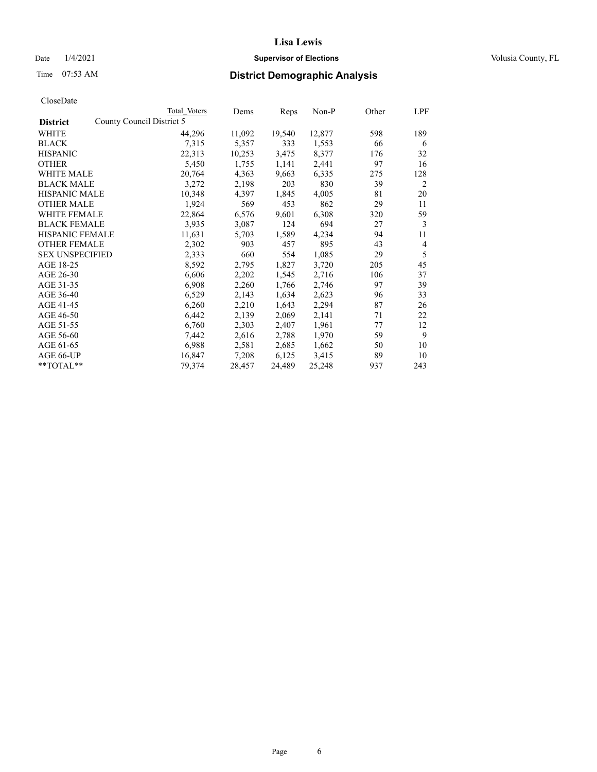# Date  $1/4/2021$  **Supervisor of Elections Supervisor of Elections** Volusia County, FL

| Total Voters | Dems                      |        | Non-P  | Other | LPF |
|--------------|---------------------------|--------|--------|-------|-----|
|              |                           |        |        |       |     |
| 44,296       | 11,092                    | 19,540 | 12,877 | 598   | 189 |
| 7,315        | 5,357                     | 333    | 1,553  | 66    | 6   |
| 22,313       | 10,253                    | 3,475  | 8,377  | 176   | 32  |
| 5,450        | 1,755                     | 1,141  | 2,441  | 97    | 16  |
| 20,764       | 4,363                     | 9,663  | 6,335  | 275   | 128 |
| 3,272        | 2,198                     | 203    | 830    | 39    | 2   |
| 10,348       | 4,397                     | 1,845  | 4,005  | 81    | 20  |
| 1,924        | 569                       | 453    | 862    | 29    | 11  |
| 22,864       | 6,576                     | 9,601  | 6,308  | 320   | 59  |
| 3,935        | 3,087                     | 124    | 694    | 27    | 3   |
| 11,631       | 5,703                     | 1,589  | 4,234  | 94    | 11  |
| 2,302        | 903                       | 457    | 895    | 43    | 4   |
| 2,333        | 660                       | 554    | 1,085  | 29    | 5   |
| 8,592        | 2,795                     | 1,827  | 3,720  | 205   | 45  |
| 6,606        | 2,202                     | 1,545  | 2,716  | 106   | 37  |
| 6,908        | 2,260                     | 1,766  | 2,746  | 97    | 39  |
| 6,529        | 2,143                     | 1,634  | 2,623  | 96    | 33  |
| 6,260        | 2,210                     | 1,643  | 2,294  | 87    | 26  |
| 6,442        | 2,139                     | 2,069  | 2,141  | 71    | 22  |
| 6,760        | 2,303                     | 2,407  | 1,961  | 77    | 12  |
| 7,442        | 2,616                     | 2,788  | 1,970  | 59    | 9   |
| 6,988        | 2,581                     | 2,685  | 1,662  | 50    | 10  |
| 16,847       | 7,208                     | 6,125  | 3,415  | 89    | 10  |
| 79,374       | 28,457                    | 24,489 | 25,248 | 937   | 243 |
|              | County Council District 5 |        | Reps   |       |     |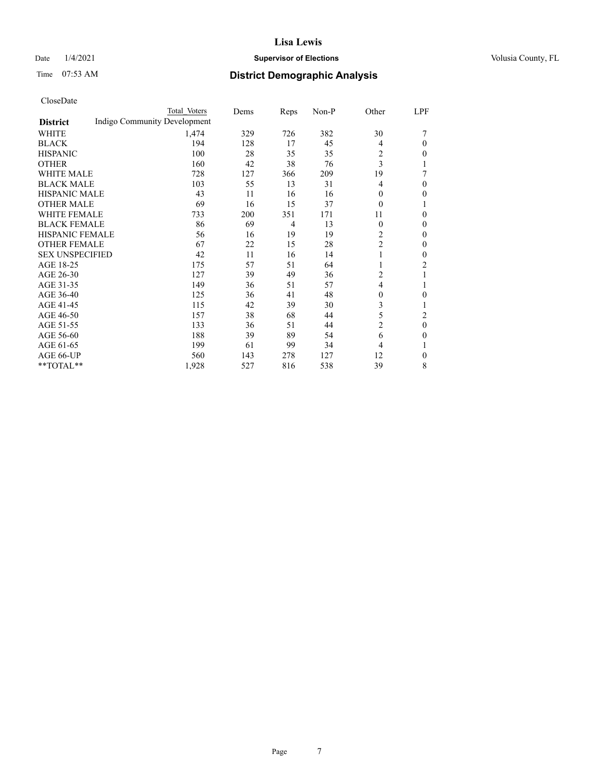# Date  $1/4/2021$  **Supervisor of Elections Supervisor of Elections** Volusia County, FL

# Time 07:53 AM **District Demographic Analysis**

|                        | Total Voters                 | Dems | Reps           | Non-P | Other          | LPF            |
|------------------------|------------------------------|------|----------------|-------|----------------|----------------|
| <b>District</b>        | Indigo Community Development |      |                |       |                |                |
| WHITE                  | 1,474                        | 329  | 726            | 382   | 30             |                |
| <b>BLACK</b>           | 194                          | 128  | 17             | 45    | 4              | $\theta$       |
| <b>HISPANIC</b>        | 100                          | 28   | 35             | 35    | 2              | 0              |
| <b>OTHER</b>           | 160                          | 42   | 38             | 76    | 3              | 1              |
| <b>WHITE MALE</b>      | 728                          | 127  | 366            | 209   | 19             | 7              |
| <b>BLACK MALE</b>      | 103                          | 55   | 13             | 31    | 4              | $\theta$       |
| <b>HISPANIC MALE</b>   | 43                           | 11   | 16             | 16    | 0              | 0              |
| <b>OTHER MALE</b>      | 69                           | 16   | 15             | 37    | $\theta$       |                |
| <b>WHITE FEMALE</b>    | 733                          | 200  | 351            | 171   | 11             | $\theta$       |
| <b>BLACK FEMALE</b>    | 86                           | 69   | $\overline{4}$ | 13    | $\theta$       | $\theta$       |
| HISPANIC FEMALE        | 56                           | 16   | 19             | 19    | $\overline{c}$ | $\theta$       |
| <b>OTHER FEMALE</b>    | 67                           | 22   | 15             | 28    | $\overline{2}$ | $\theta$       |
| <b>SEX UNSPECIFIED</b> | 42                           | 11   | 16             | 14    | 1              | $\mathbf{0}$   |
| AGE 18-25              | 175                          | 57   | 51             | 64    |                | $\overline{2}$ |
| AGE 26-30              | 127                          | 39   | 49             | 36    | 2              |                |
| AGE 31-35              | 149                          | 36   | 51             | 57    | 4              | 1              |
| AGE 36-40              | 125                          | 36   | 41             | 48    | $\theta$       | 0              |
| AGE 41-45              | 115                          | 42   | 39             | 30    | 3              | 1              |
| AGE 46-50              | 157                          | 38   | 68             | 44    | 5              | 2              |
| AGE 51-55              | 133                          | 36   | 51             | 44    | $\overline{2}$ | $\theta$       |
| AGE 56-60              | 188                          | 39   | 89             | 54    | 6              | 0              |
| AGE 61-65              | 199                          | 61   | 99             | 34    | 4              | 1              |
| AGE 66-UP              | 560                          | 143  | 278            | 127   | 12             | $\mathbf{0}$   |
| **TOTAL**              | 1,928                        | 527  | 816            | 538   | 39             | 8              |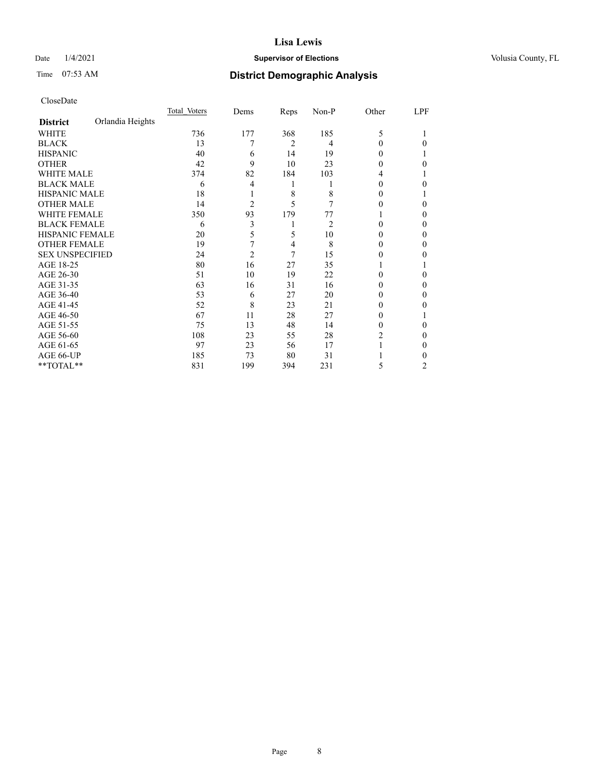# Date  $1/4/2021$  **Supervisor of Elections Supervisor of Elections** Volusia County, FL

# Time 07:53 AM **District Demographic Analysis**

|                        |                  | Total Voters | Dems           | Reps | Non-P | Other    | LPF |
|------------------------|------------------|--------------|----------------|------|-------|----------|-----|
| <b>District</b>        | Orlandia Heights |              |                |      |       |          |     |
| WHITE                  |                  | 736          | 177            | 368  | 185   | 5        |     |
| <b>BLACK</b>           |                  | 13           | 7              | 2    | 4     | 0        | 0   |
| <b>HISPANIC</b>        |                  | 40           | 6              | 14   | 19    | $\theta$ |     |
| <b>OTHER</b>           |                  | 42           | 9              | 10   | 23    | 0        | 0   |
| <b>WHITE MALE</b>      |                  | 374          | 82             | 184  | 103   | 4        |     |
| <b>BLACK MALE</b>      |                  | 6            | 4              | 1    |       | 0        | 0   |
| <b>HISPANIC MALE</b>   |                  | 18           |                | 8    | 8     | $_{0}$   |     |
| <b>OTHER MALE</b>      |                  | 14           | 2              | 5    | 7     | 0        | 0   |
| <b>WHITE FEMALE</b>    |                  | 350          | 93             | 179  | 77    |          | 0   |
| <b>BLACK FEMALE</b>    |                  | 6            | 3              | 1    | 2     | 0        | 0   |
| HISPANIC FEMALE        |                  | 20           | 5              | 5    | 10    | 0        | 0   |
| <b>OTHER FEMALE</b>    |                  | 19           | 7              | 4    | 8     | $\theta$ | 0   |
| <b>SEX UNSPECIFIED</b> |                  | 24           | $\overline{c}$ | 7    | 15    | 0        | 0   |
| AGE 18-25              |                  | 80           | 16             | 27   | 35    |          |     |
| AGE 26-30              |                  | 51           | 10             | 19   | 22    | 0        | 0   |
| AGE 31-35              |                  | 63           | 16             | 31   | 16    | 0        | 0   |
| AGE 36-40              |                  | 53           | 6              | 27   | 20    | 0        | 0   |
| AGE 41-45              |                  | 52           | 8              | 23   | 21    | 0        | 0   |
| AGE 46-50              |                  | 67           | 11             | 28   | 27    | $\theta$ |     |
| AGE 51-55              |                  | 75           | 13             | 48   | 14    | 0        | 0   |
| AGE 56-60              |                  | 108          | 23             | 55   | 28    | 2        | 0   |
| AGE 61-65              |                  | 97           | 23             | 56   | 17    |          | 0   |
| AGE 66-UP              |                  | 185          | 73             | 80   | 31    |          | 0   |
| **TOTAL**              |                  | 831          | 199            | 394  | 231   | 5        | 2   |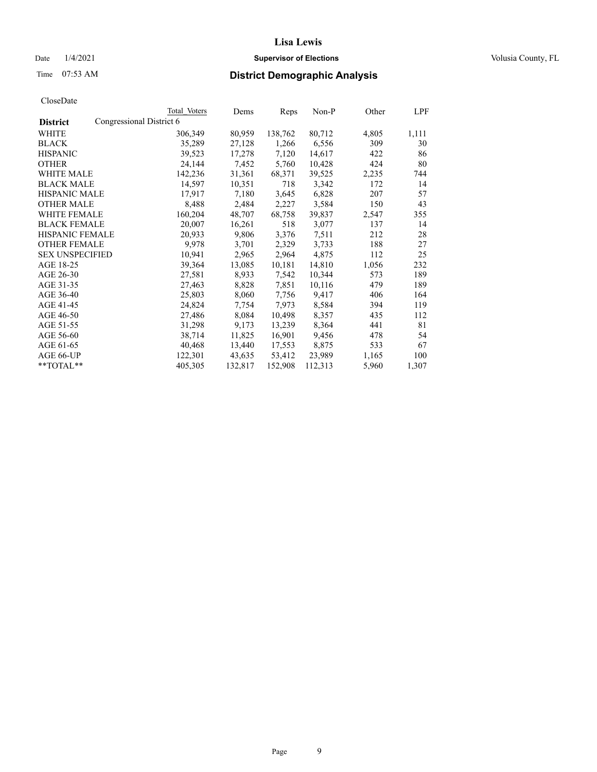# Date  $1/4/2021$  **Supervisor of Elections Supervisor of Elections** Volusia County, FL

# Time 07:53 AM **District Demographic Analysis**

|                        | Total Voters             | Dems    | Reps    | Non-P   | Other | LPF   |
|------------------------|--------------------------|---------|---------|---------|-------|-------|
| <b>District</b>        | Congressional District 6 |         |         |         |       |       |
| WHITE                  | 306,349                  | 80,959  | 138,762 | 80,712  | 4,805 | 1,111 |
| <b>BLACK</b>           | 35,289                   | 27,128  | 1,266   | 6,556   | 309   | 30    |
| <b>HISPANIC</b>        | 39,523                   | 17,278  | 7,120   | 14,617  | 422   | 86    |
| <b>OTHER</b>           | 24,144                   | 7,452   | 5,760   | 10,428  | 424   | 80    |
| WHITE MALE             | 142,236                  | 31,361  | 68,371  | 39,525  | 2,235 | 744   |
| <b>BLACK MALE</b>      | 14,597                   | 10,351  | 718     | 3,342   | 172   | 14    |
| <b>HISPANIC MALE</b>   | 17,917                   | 7,180   | 3,645   | 6,828   | 207   | 57    |
| <b>OTHER MALE</b>      | 8,488                    | 2,484   | 2,227   | 3,584   | 150   | 43    |
| <b>WHITE FEMALE</b>    | 160,204                  | 48,707  | 68,758  | 39,837  | 2,547 | 355   |
| <b>BLACK FEMALE</b>    | 20,007                   | 16,261  | 518     | 3,077   | 137   | 14    |
| <b>HISPANIC FEMALE</b> | 20,933                   | 9,806   | 3,376   | 7,511   | 212   | 28    |
| <b>OTHER FEMALE</b>    | 9,978                    | 3,701   | 2,329   | 3,733   | 188   | 27    |
| <b>SEX UNSPECIFIED</b> | 10,941                   | 2,965   | 2,964   | 4,875   | 112   | 25    |
| AGE 18-25              | 39,364                   | 13,085  | 10,181  | 14,810  | 1,056 | 232   |
| AGE 26-30              | 27,581                   | 8,933   | 7,542   | 10,344  | 573   | 189   |
| AGE 31-35              | 27,463                   | 8,828   | 7,851   | 10,116  | 479   | 189   |
| AGE 36-40              | 25,803                   | 8,060   | 7,756   | 9,417   | 406   | 164   |
| AGE 41-45              | 24,824                   | 7,754   | 7,973   | 8,584   | 394   | 119   |
| AGE 46-50              | 27,486                   | 8,084   | 10,498  | 8,357   | 435   | 112   |
| AGE 51-55              | 31,298                   | 9,173   | 13,239  | 8,364   | 441   | 81    |
| AGE 56-60              | 38,714                   | 11,825  | 16,901  | 9,456   | 478   | 54    |
| AGE 61-65              | 40,468                   | 13,440  | 17,553  | 8,875   | 533   | 67    |
| AGE 66-UP              | 122,301                  | 43,635  | 53,412  | 23,989  | 1,165 | 100   |
| $*$ $TOTAL**$          | 405,305                  | 132,817 | 152,908 | 112,313 | 5,960 | 1,307 |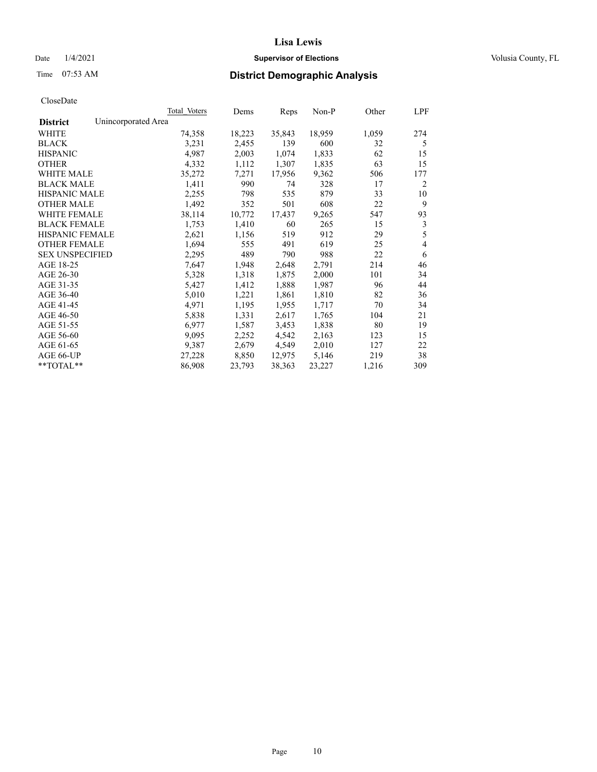# Date  $1/4/2021$  **Supervisor of Elections Supervisor of Elections** Volusia County, FL

|                                        | Total Voters | Dems   | Reps   | $Non-P$ | Other | LPF            |
|----------------------------------------|--------------|--------|--------|---------|-------|----------------|
| Unincorporated Area<br><b>District</b> |              |        |        |         |       |                |
| WHITE                                  | 74,358       | 18,223 | 35,843 | 18,959  | 1,059 | 274            |
| <b>BLACK</b>                           | 3,231        | 2,455  | 139    | 600     | 32    | 5              |
| <b>HISPANIC</b>                        | 4,987        | 2,003  | 1,074  | 1,833   | 62    | 15             |
| <b>OTHER</b>                           | 4,332        | 1,112  | 1,307  | 1,835   | 63    | 15             |
| <b>WHITE MALE</b>                      | 35,272       | 7,271  | 17,956 | 9,362   | 506   | 177            |
| <b>BLACK MALE</b>                      | 1,411        | 990    | 74     | 328     | 17    | 2              |
| HISPANIC MALE                          | 2,255        | 798    | 535    | 879     | 33    | 10             |
| <b>OTHER MALE</b>                      | 1,492        | 352    | 501    | 608     | 22    | 9              |
| WHITE FEMALE                           | 38,114       | 10,772 | 17,437 | 9,265   | 547   | 93             |
| <b>BLACK FEMALE</b>                    | 1,753        | 1,410  | 60     | 265     | 15    | 3              |
| HISPANIC FEMALE                        | 2,621        | 1,156  | 519    | 912     | 29    | 5              |
| <b>OTHER FEMALE</b>                    | 1,694        | 555    | 491    | 619     | 25    | $\overline{4}$ |
| <b>SEX UNSPECIFIED</b>                 | 2,295        | 489    | 790    | 988     | 22    | 6              |
| AGE 18-25                              | 7,647        | 1,948  | 2,648  | 2,791   | 214   | 46             |
| AGE 26-30                              | 5,328        | 1,318  | 1,875  | 2,000   | 101   | 34             |
| AGE 31-35                              | 5,427        | 1,412  | 1,888  | 1,987   | 96    | 44             |
| AGE 36-40                              | 5,010        | 1,221  | 1,861  | 1,810   | 82    | 36             |
| AGE 41-45                              | 4,971        | 1,195  | 1,955  | 1,717   | 70    | 34             |
| AGE 46-50                              | 5,838        | 1,331  | 2,617  | 1,765   | 104   | 21             |
| AGE 51-55                              | 6,977        | 1,587  | 3,453  | 1,838   | 80    | 19             |
| AGE 56-60                              | 9,095        | 2,252  | 4,542  | 2,163   | 123   | 15             |
| AGE 61-65                              | 9,387        | 2,679  | 4,549  | 2,010   | 127   | 22             |
| AGE 66-UP                              | 27,228       | 8,850  | 12,975 | 5,146   | 219   | 38             |
| $*$ TOTAL $*$                          | 86,908       | 23,793 | 38,363 | 23,227  | 1,216 | 309            |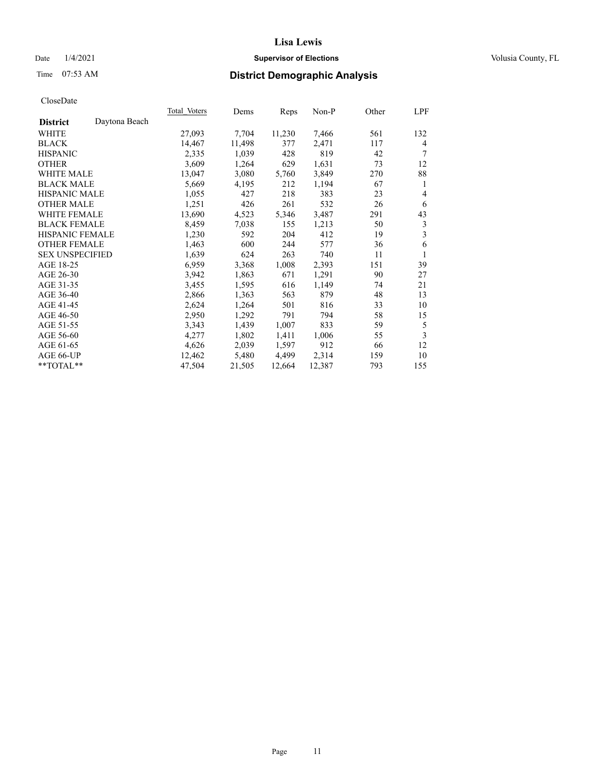# Date  $1/4/2021$  **Supervisor of Elections Supervisor of Elections** Volusia County, FL

# Time 07:53 AM **District Demographic Analysis**

| Total Voters | Dems   | Reps   | Non-P  | Other | LPF            |
|--------------|--------|--------|--------|-------|----------------|
|              |        |        |        |       |                |
| 27,093       | 7,704  | 11,230 | 7,466  | 561   | 132            |
| 14,467       | 11,498 | 377    | 2,471  | 117   | 4              |
| 2,335        | 1,039  | 428    | 819    | 42    | 7              |
| 3,609        | 1,264  | 629    | 1,631  | 73    | 12             |
| 13,047       | 3,080  | 5,760  | 3,849  | 270   | 88             |
| 5,669        | 4,195  | 212    | 1,194  | 67    | 1              |
| 1,055        | 427    | 218    | 383    | 23    | $\overline{4}$ |
| 1,251        | 426    | 261    | 532    | 26    | 6              |
| 13,690       | 4,523  | 5,346  | 3,487  | 291   | 43             |
| 8,459        | 7,038  | 155    | 1,213  | 50    | 3              |
| 1,230        | 592    | 204    | 412    | 19    | 3              |
| 1,463        | 600    | 244    | 577    | 36    | 6              |
| 1,639        | 624    | 263    | 740    | 11    | 1              |
| 6,959        | 3,368  | 1,008  | 2,393  | 151   | 39             |
| 3,942        | 1,863  | 671    | 1,291  | 90    | 27             |
| 3,455        | 1,595  | 616    | 1,149  | 74    | 21             |
| 2,866        | 1,363  | 563    | 879    | 48    | 13             |
| 2,624        | 1,264  | 501    | 816    | 33    | 10             |
| 2,950        | 1,292  | 791    | 794    | 58    | 15             |
| 3,343        | 1,439  | 1,007  | 833    | 59    | 5              |
| 4,277        | 1,802  | 1,411  | 1,006  | 55    | 3              |
| 4,626        | 2,039  | 1,597  | 912    | 66    | 12             |
| 12,462       | 5,480  | 4,499  | 2,314  | 159   | 10             |
| 47,504       | 21,505 | 12,664 | 12,387 | 793   | 155            |
|              |        |        |        |       |                |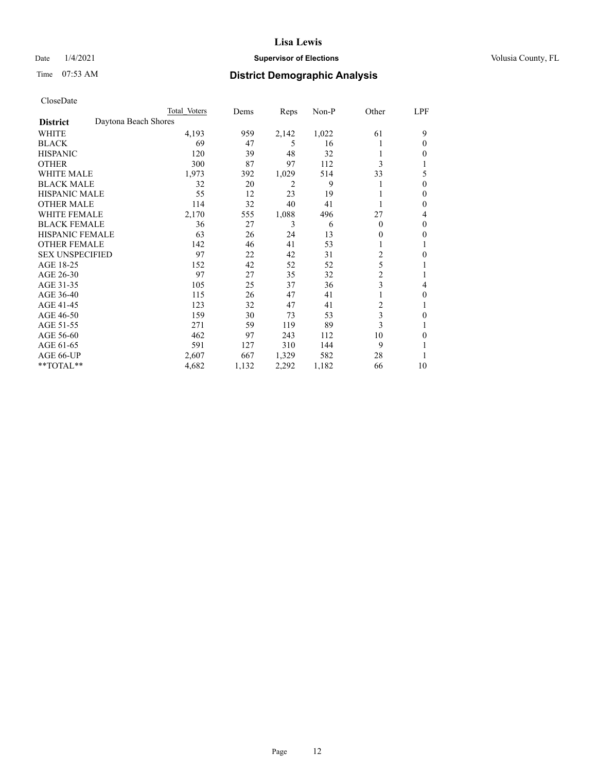# Date  $1/4/2021$  **Supervisor of Elections Supervisor of Elections** Volusia County, FL

# Time 07:53 AM **District Demographic Analysis**

|                        | Total Voters         | Dems       | Reps  | Non-P | Other          | LPF |
|------------------------|----------------------|------------|-------|-------|----------------|-----|
| <b>District</b>        | Daytona Beach Shores |            |       |       |                |     |
| WHITE                  | 4,193                | 959        | 2,142 | 1,022 | 61             | 9   |
| <b>BLACK</b>           |                      | 69<br>47   | 5     | 16    |                | 0   |
| <b>HISPANIC</b>        |                      | 120<br>39  | 48    | 32    |                | 0   |
| <b>OTHER</b>           |                      | 300<br>87  | 97    | 112   | 3              |     |
| WHITE MALE             | 1,973                | 392        | 1,029 | 514   | 33             | 5   |
| <b>BLACK MALE</b>      |                      | 20<br>32   | 2     | 9     |                | 0   |
| <b>HISPANIC MALE</b>   |                      | 55<br>12   | 23    | 19    |                | 0   |
| <b>OTHER MALE</b>      |                      | 32<br>114  | 40    | 41    |                | 0   |
| WHITE FEMALE           | 2,170                | 555        | 1,088 | 496   | 27             | 4   |
| <b>BLACK FEMALE</b>    |                      | 27<br>36   | 3     | 6     | $\Omega$       | 0   |
| <b>HISPANIC FEMALE</b> |                      | 63<br>26   | 24    | 13    | $_{0}$         | 0   |
| <b>OTHER FEMALE</b>    |                      | 142<br>46  | 41    | 53    |                |     |
| <b>SEX UNSPECIFIED</b> |                      | 97<br>22   | 42    | 31    | $\overline{c}$ | 0   |
| AGE 18-25              |                      | 42<br>152  | 52    | 52    | 5              |     |
| AGE 26-30              |                      | 97<br>27   | 35    | 32    | $\overline{2}$ |     |
| AGE 31-35              |                      | 105<br>25  | 37    | 36    | 3              | 4   |
| AGE 36-40              |                      | 115<br>26  | 47    | 41    |                | 0   |
| AGE 41-45              |                      | 32<br>123  | 47    | 41    | 2              |     |
| AGE 46-50              |                      | 30<br>159  | 73    | 53    | 3              | 0   |
| AGE 51-55              |                      | 271<br>59  | 119   | 89    | 3              |     |
| AGE 56-60              |                      | 462<br>97  | 243   | 112   | 10             | 0   |
| AGE 61-65              |                      | 591<br>127 | 310   | 144   | 9              |     |
| AGE 66-UP              | 2,607                | 667        | 1,329 | 582   | 28             |     |
| **TOTAL**              | 4,682                | 1,132      | 2,292 | 1,182 | 66             | 10  |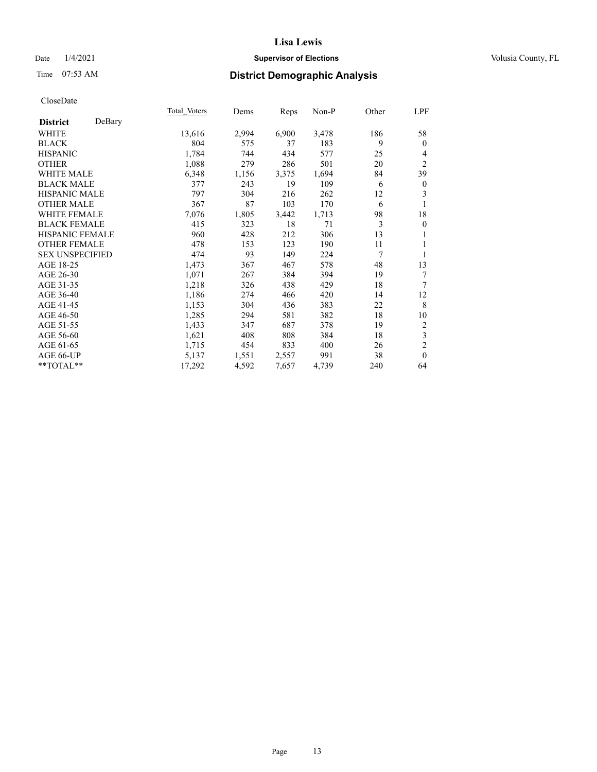# Date  $1/4/2021$  **Supervisor of Elections Supervisor of Elections** Volusia County, FL

# Time 07:53 AM **District Demographic Analysis**

|                        |        | Total Voters | Dems  | Reps  | Non-P | Other | LPF              |
|------------------------|--------|--------------|-------|-------|-------|-------|------------------|
| <b>District</b>        | DeBary |              |       |       |       |       |                  |
| WHITE                  |        | 13,616       | 2,994 | 6,900 | 3,478 | 186   | 58               |
| <b>BLACK</b>           |        | 804          | 575   | 37    | 183   | 9     | $\mathbf{0}$     |
| <b>HISPANIC</b>        |        | 1,784        | 744   | 434   | 577   | 25    | 4                |
| <b>OTHER</b>           |        | 1,088        | 279   | 286   | 501   | 20    | $\overline{2}$   |
| WHITE MALE             |        | 6,348        | 1,156 | 3,375 | 1,694 | 84    | 39               |
| <b>BLACK MALE</b>      |        | 377          | 243   | 19    | 109   | 6     | $\boldsymbol{0}$ |
| <b>HISPANIC MALE</b>   |        | 797          | 304   | 216   | 262   | 12    | 3                |
| <b>OTHER MALE</b>      |        | 367          | 87    | 103   | 170   | 6     | 1                |
| <b>WHITE FEMALE</b>    |        | 7,076        | 1,805 | 3,442 | 1,713 | 98    | 18               |
| <b>BLACK FEMALE</b>    |        | 415          | 323   | 18    | 71    | 3     | $\boldsymbol{0}$ |
| <b>HISPANIC FEMALE</b> |        | 960          | 428   | 212   | 306   | 13    |                  |
| <b>OTHER FEMALE</b>    |        | 478          | 153   | 123   | 190   | 11    | 1                |
| <b>SEX UNSPECIFIED</b> |        | 474          | 93    | 149   | 224   | 7     | 1                |
| AGE 18-25              |        | 1,473        | 367   | 467   | 578   | 48    | 13               |
| AGE 26-30              |        | 1,071        | 267   | 384   | 394   | 19    | 7                |
| AGE 31-35              |        | 1,218        | 326   | 438   | 429   | 18    | 7                |
| AGE 36-40              |        | 1,186        | 274   | 466   | 420   | 14    | 12               |
| AGE 41-45              |        | 1,153        | 304   | 436   | 383   | 22    | 8                |
| AGE 46-50              |        | 1,285        | 294   | 581   | 382   | 18    | 10               |
| AGE 51-55              |        | 1,433        | 347   | 687   | 378   | 19    | 2                |
| AGE 56-60              |        | 1,621        | 408   | 808   | 384   | 18    | 3                |
| AGE 61-65              |        | 1,715        | 454   | 833   | 400   | 26    | $\mathfrak{2}$   |
| AGE 66-UP              |        | 5,137        | 1,551 | 2,557 | 991   | 38    | $\theta$         |
| **TOTAL**              |        | 17,292       | 4,592 | 7,657 | 4,739 | 240   | 64               |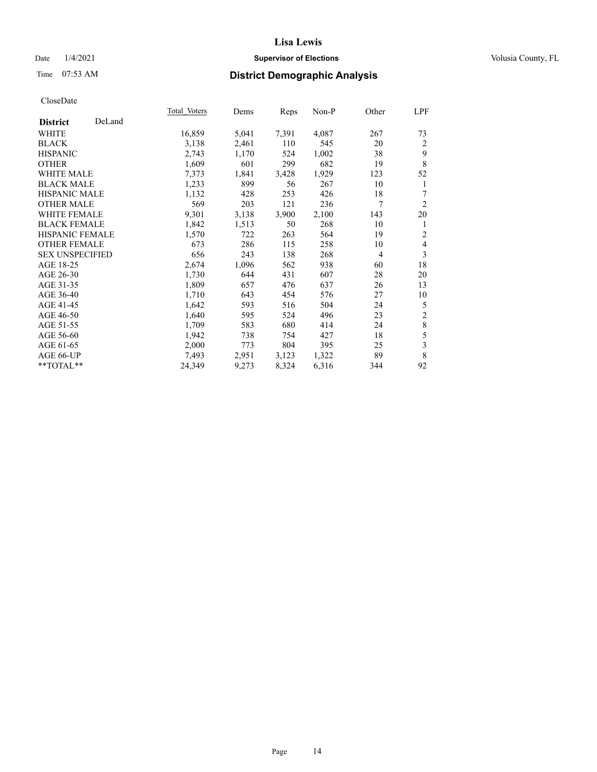# Date  $1/4/2021$  **Supervisor of Elections Supervisor of Elections** Volusia County, FL

# Time 07:53 AM **District Demographic Analysis**

|                        |        | Total Voters | Dems  | Reps  | Non-P | Other          | <u>LPF</u>     |
|------------------------|--------|--------------|-------|-------|-------|----------------|----------------|
| <b>District</b>        | DeLand |              |       |       |       |                |                |
| WHITE                  |        | 16,859       | 5,041 | 7,391 | 4,087 | 267            | 73             |
| <b>BLACK</b>           |        | 3,138        | 2,461 | 110   | 545   | 20             | 2              |
| <b>HISPANIC</b>        |        | 2,743        | 1,170 | 524   | 1,002 | 38             | 9              |
| <b>OTHER</b>           |        | 1,609        | 601   | 299   | 682   | 19             | 8              |
| <b>WHITE MALE</b>      |        | 7,373        | 1,841 | 3,428 | 1,929 | 123            | 52             |
| <b>BLACK MALE</b>      |        | 1,233        | 899   | 56    | 267   | 10             | 1              |
| <b>HISPANIC MALE</b>   |        | 1,132        | 428   | 253   | 426   | 18             | 7              |
| <b>OTHER MALE</b>      |        | 569          | 203   | 121   | 236   | 7              | $\overline{2}$ |
| <b>WHITE FEMALE</b>    |        | 9,301        | 3,138 | 3,900 | 2,100 | 143            | 20             |
| <b>BLACK FEMALE</b>    |        | 1,842        | 1,513 | 50    | 268   | 10             | 1              |
| <b>HISPANIC FEMALE</b> |        | 1,570        | 722   | 263   | 564   | 19             | $\overline{2}$ |
| <b>OTHER FEMALE</b>    |        | 673          | 286   | 115   | 258   | 10             | $\overline{4}$ |
| <b>SEX UNSPECIFIED</b> |        | 656          | 243   | 138   | 268   | $\overline{4}$ | 3              |
| AGE 18-25              |        | 2,674        | 1,096 | 562   | 938   | 60             | 18             |
| AGE 26-30              |        | 1,730        | 644   | 431   | 607   | 28             | 20             |
| AGE 31-35              |        | 1,809        | 657   | 476   | 637   | 26             | 13             |
| AGE 36-40              |        | 1,710        | 643   | 454   | 576   | 27             | 10             |
| AGE 41-45              |        | 1,642        | 593   | 516   | 504   | 24             | 5              |
| AGE 46-50              |        | 1,640        | 595   | 524   | 496   | 23             | $\sqrt{2}$     |
| AGE 51-55              |        | 1,709        | 583   | 680   | 414   | 24             | $\,8\,$        |
| AGE 56-60              |        | 1,942        | 738   | 754   | 427   | 18             | 5              |
| AGE 61-65              |        | 2,000        | 773   | 804   | 395   | 25             | $\mathfrak{Z}$ |
| AGE 66-UP              |        | 7,493        | 2,951 | 3,123 | 1,322 | 89             | 8              |
| **TOTAL**              |        | 24,349       | 9,273 | 8,324 | 6,316 | 344            | 92             |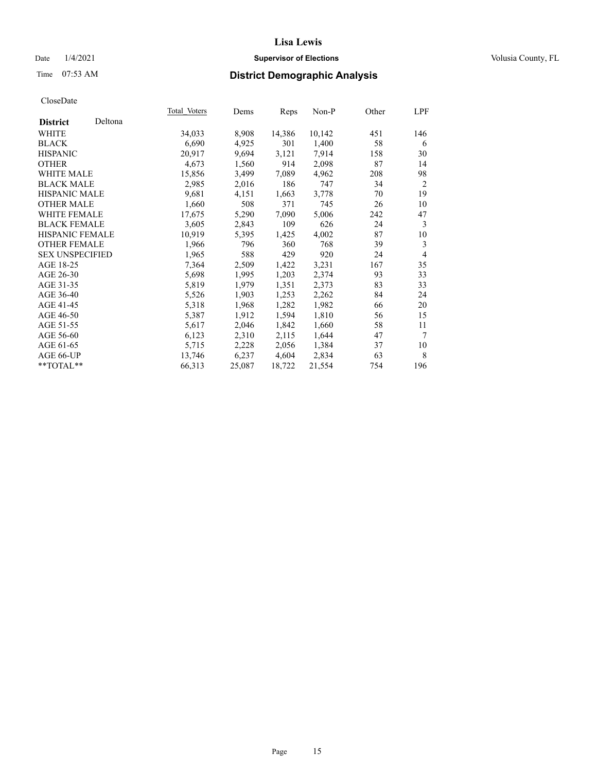# Date  $1/4/2021$  **Supervisor of Elections Supervisor of Elections** Volusia County, FL

# Time 07:53 AM **District Demographic Analysis**

| Total Voters | Dems   |        | Non-P  | Other | LPF            |
|--------------|--------|--------|--------|-------|----------------|
|              |        |        |        |       |                |
| 34,033       | 8,908  | 14,386 | 10,142 | 451   | 146            |
| 6,690        | 4,925  | 301    | 1,400  | 58    | 6              |
| 20,917       | 9,694  | 3,121  | 7,914  | 158   | 30             |
| 4,673        | 1,560  | 914    | 2,098  | 87    | 14             |
| 15,856       | 3,499  | 7,089  | 4,962  | 208   | 98             |
| 2,985        | 2,016  | 186    | 747    | 34    | $\overline{2}$ |
| 9,681        | 4,151  | 1,663  | 3,778  | 70    | 19             |
| 1,660        | 508    | 371    | 745    | 26    | 10             |
| 17,675       | 5,290  | 7,090  | 5,006  | 242   | 47             |
| 3,605        | 2,843  | 109    | 626    | 24    | 3              |
| 10,919       | 5,395  | 1,425  | 4,002  | 87    | 10             |
| 1,966        | 796    | 360    | 768    | 39    | 3              |
| 1,965        | 588    | 429    | 920    | 24    | $\overline{4}$ |
| 7,364        | 2,509  | 1,422  | 3,231  | 167   | 35             |
| 5,698        | 1,995  | 1,203  | 2,374  | 93    | 33             |
| 5,819        | 1,979  | 1,351  | 2,373  | 83    | 33             |
| 5,526        | 1,903  | 1,253  | 2,262  | 84    | 24             |
| 5,318        | 1,968  | 1,282  | 1,982  | 66    | 20             |
| 5,387        | 1,912  | 1,594  | 1,810  | 56    | 15             |
| 5,617        | 2,046  | 1,842  | 1,660  | 58    | 11             |
| 6,123        | 2,310  | 2,115  | 1,644  | 47    | 7              |
| 5,715        | 2,228  | 2,056  | 1,384  | 37    | 10             |
| 13,746       | 6,237  | 4,604  | 2,834  | 63    | 8              |
| 66,313       | 25,087 | 18,722 | 21,554 | 754   | 196            |
|              |        |        | Reps   |       |                |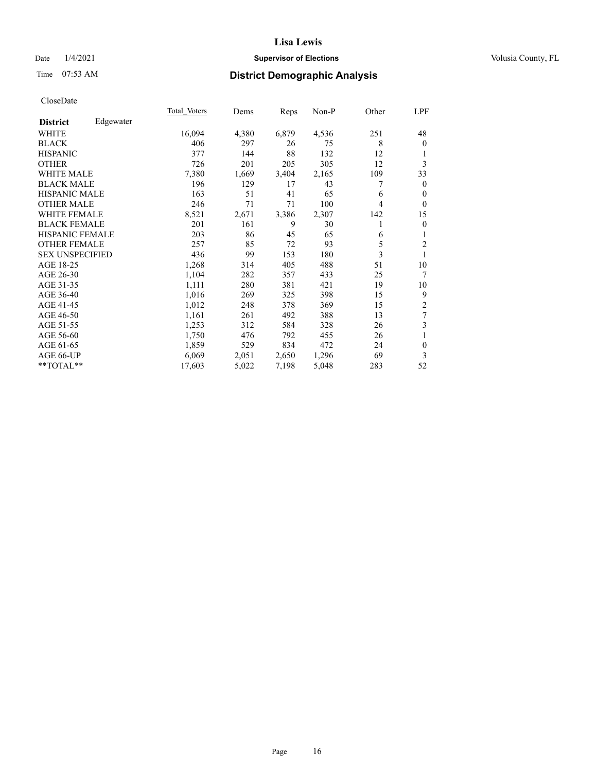# Date  $1/4/2021$  **Supervisor of Elections Supervisor of Elections** Volusia County, FL

# Time 07:53 AM **District Demographic Analysis**

|                        |           | Total Voters | Dems  | Reps  | Non-P | Other | <u>LPF</u>     |
|------------------------|-----------|--------------|-------|-------|-------|-------|----------------|
| <b>District</b>        | Edgewater |              |       |       |       |       |                |
| WHITE                  |           | 16,094       | 4,380 | 6,879 | 4,536 | 251   | 48             |
| <b>BLACK</b>           |           | 406          | 297   | 26    | 75    | 8     | $\mathbf{0}$   |
| <b>HISPANIC</b>        |           | 377          | 144   | 88    | 132   | 12    | 1              |
| <b>OTHER</b>           |           | 726          | 201   | 205   | 305   | 12    | 3              |
| <b>WHITE MALE</b>      |           | 7,380        | 1,669 | 3,404 | 2,165 | 109   | 33             |
| <b>BLACK MALE</b>      |           | 196          | 129   | 17    | 43    | 7     | $\mathbf{0}$   |
| <b>HISPANIC MALE</b>   |           | 163          | 51    | 41    | 65    | 6     | $\theta$       |
| <b>OTHER MALE</b>      |           | 246          | 71    | 71    | 100   | 4     | $\Omega$       |
| WHITE FEMALE           |           | 8,521        | 2,671 | 3,386 | 2,307 | 142   | 15             |
| <b>BLACK FEMALE</b>    |           | 201          | 161   | 9     | 30    |       | $\mathbf{0}$   |
| <b>HISPANIC FEMALE</b> |           | 203          | 86    | 45    | 65    | 6     | 1              |
| <b>OTHER FEMALE</b>    |           | 257          | 85    | 72    | 93    | 5     | $\overline{c}$ |
| <b>SEX UNSPECIFIED</b> |           | 436          | 99    | 153   | 180   | 3     |                |
| AGE 18-25              |           | 1,268        | 314   | 405   | 488   | 51    | 10             |
| AGE 26-30              |           | 1,104        | 282   | 357   | 433   | 25    | 7              |
| AGE 31-35              |           | 1,111        | 280   | 381   | 421   | 19    | 10             |
| AGE 36-40              |           | 1,016        | 269   | 325   | 398   | 15    | 9              |
| AGE 41-45              |           | 1,012        | 248   | 378   | 369   | 15    | 2              |
| AGE 46-50              |           | 1,161        | 261   | 492   | 388   | 13    | 7              |
| AGE 51-55              |           | 1,253        | 312   | 584   | 328   | 26    | 3              |
| AGE 56-60              |           | 1,750        | 476   | 792   | 455   | 26    | 1              |
| AGE 61-65              |           | 1,859        | 529   | 834   | 472   | 24    | $\mathbf{0}$   |
| AGE 66-UP              |           | 6,069        | 2,051 | 2,650 | 1,296 | 69    | 3              |
| $*$ $*$ TOTAL $*$ $*$  |           | 17,603       | 5,022 | 7,198 | 5,048 | 283   | 52             |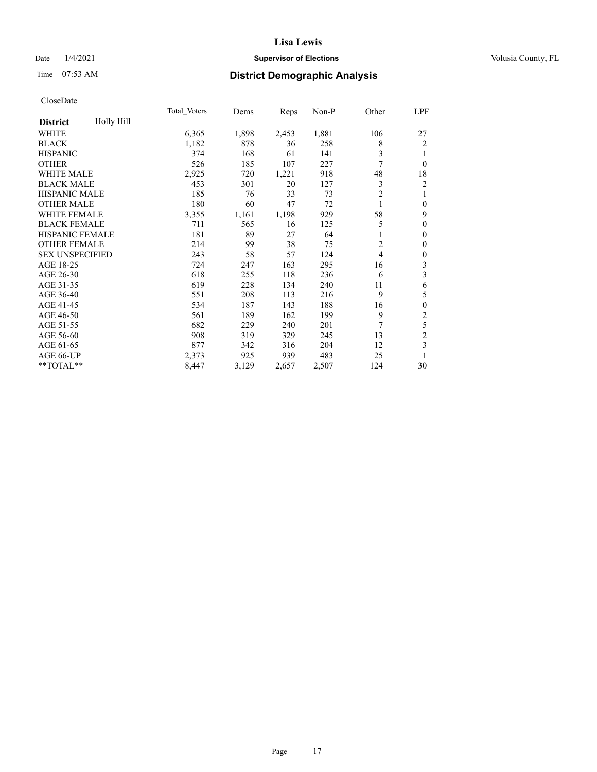# Date  $1/4/2021$  **Supervisor of Elections Supervisor of Elections** Volusia County, FL

# Time 07:53 AM **District Demographic Analysis**

|                        |            | Total Voters | Dems  | Reps  | Non-P | Other          | LPF              |
|------------------------|------------|--------------|-------|-------|-------|----------------|------------------|
| <b>District</b>        | Holly Hill |              |       |       |       |                |                  |
| WHITE                  |            | 6,365        | 1,898 | 2,453 | 1,881 | 106            | 27               |
| <b>BLACK</b>           |            | 1,182        | 878   | 36    | 258   | 8              | $\overline{2}$   |
| <b>HISPANIC</b>        |            | 374          | 168   | 61    | 141   | 3              | 1                |
| <b>OTHER</b>           |            | 526          | 185   | 107   | 227   | 7              | $\theta$         |
| <b>WHITE MALE</b>      |            | 2,925        | 720   | 1,221 | 918   | 48             | 18               |
| <b>BLACK MALE</b>      |            | 453          | 301   | 20    | 127   | 3              | $\overline{c}$   |
| HISPANIC MALE          |            | 185          | 76    | 33    | 73    | $\overline{2}$ | 1                |
| <b>OTHER MALE</b>      |            | 180          | 60    | 47    | 72    | 1              | $\boldsymbol{0}$ |
| <b>WHITE FEMALE</b>    |            | 3,355        | 1,161 | 1,198 | 929   | 58             | 9                |
| <b>BLACK FEMALE</b>    |            | 711          | 565   | 16    | 125   | 5              | $\mathbf{0}$     |
| <b>HISPANIC FEMALE</b> |            | 181          | 89    | 27    | 64    |                | $\boldsymbol{0}$ |
| <b>OTHER FEMALE</b>    |            | 214          | 99    | 38    | 75    | 2              | $\mathbf{0}$     |
| <b>SEX UNSPECIFIED</b> |            | 243          | 58    | 57    | 124   | 4              | $\boldsymbol{0}$ |
| AGE 18-25              |            | 724          | 247   | 163   | 295   | 16             | 3                |
| AGE 26-30              |            | 618          | 255   | 118   | 236   | 6              | 3                |
| AGE 31-35              |            | 619          | 228   | 134   | 240   | 11             | 6                |
| AGE 36-40              |            | 551          | 208   | 113   | 216   | 9              | 5                |
| AGE 41-45              |            | 534          | 187   | 143   | 188   | 16             | $\boldsymbol{0}$ |
| AGE 46-50              |            | 561          | 189   | 162   | 199   | 9              | $\overline{c}$   |
| AGE 51-55              |            | 682          | 229   | 240   | 201   | 7              | 5                |
| AGE 56-60              |            | 908          | 319   | 329   | 245   | 13             | $\overline{c}$   |
| AGE 61-65              |            | 877          | 342   | 316   | 204   | 12             | 3                |
| AGE 66-UP              |            | 2,373        | 925   | 939   | 483   | 25             |                  |
| **TOTAL**              |            | 8,447        | 3,129 | 2,657 | 2,507 | 124            | 30               |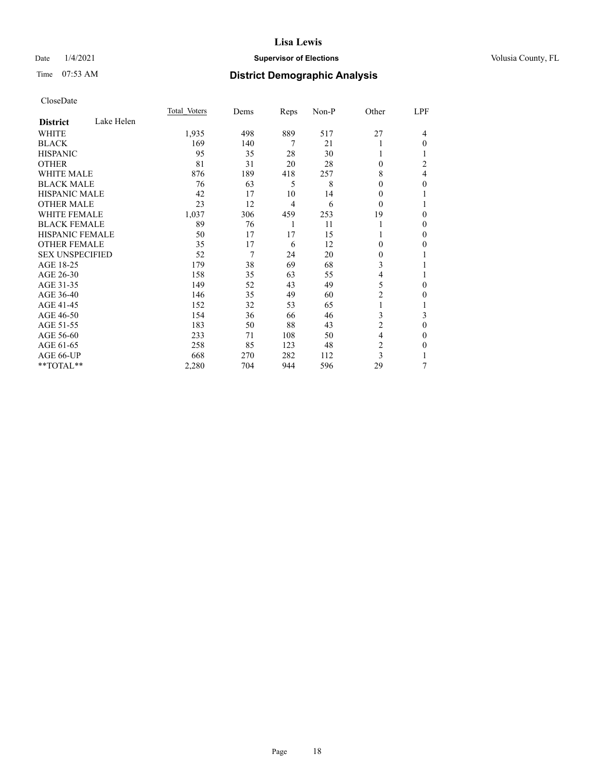# Date  $1/4/2021$  **Supervisor of Elections Supervisor of Elections** Volusia County, FL

# Time 07:53 AM **District Demographic Analysis**

|                        |            | Total Voters | Dems | Reps           | Non-P | Other          | LPF          |
|------------------------|------------|--------------|------|----------------|-------|----------------|--------------|
| <b>District</b>        | Lake Helen |              |      |                |       |                |              |
| WHITE                  |            | 1,935        | 498  | 889            | 517   | 27             | 4            |
| <b>BLACK</b>           |            | 169          | 140  | 7              | 21    |                | 0            |
| <b>HISPANIC</b>        |            | 95           | 35   | 28             | 30    | 1              |              |
| <b>OTHER</b>           |            | 81           | 31   | 20             | 28    | $\Omega$       | 2            |
| <b>WHITE MALE</b>      |            | 876          | 189  | 418            | 257   | 8              | 4            |
| <b>BLACK MALE</b>      |            | 76           | 63   | 5              | 8     | $\theta$       | 0            |
| <b>HISPANIC MALE</b>   |            | 42           | 17   | 10             | 14    | 0              |              |
| <b>OTHER MALE</b>      |            | 23           | 12   | $\overline{4}$ | 6     | $\theta$       |              |
| <b>WHITE FEMALE</b>    |            | 1,037        | 306  | 459            | 253   | 19             | 0            |
| <b>BLACK FEMALE</b>    |            | 89           | 76   | 1              | 11    | 1              | 0            |
| <b>HISPANIC FEMALE</b> |            | 50           | 17   | 17             | 15    |                | 0            |
| <b>OTHER FEMALE</b>    |            | 35           | 17   | 6              | 12    | $\theta$       | 0            |
| <b>SEX UNSPECIFIED</b> |            | 52           | 7    | 24             | 20    | $\mathbf{0}$   |              |
| AGE 18-25              |            | 179          | 38   | 69             | 68    | 3              |              |
| AGE 26-30              |            | 158          | 35   | 63             | 55    | 4              |              |
| AGE 31-35              |            | 149          | 52   | 43             | 49    | 5              | 0            |
| AGE 36-40              |            | 146          | 35   | 49             | 60    | $\overline{2}$ | 0            |
| AGE 41-45              |            | 152          | 32   | 53             | 65    | 1              |              |
| AGE 46-50              |            | 154          | 36   | 66             | 46    | 3              | 3            |
| AGE 51-55              |            | 183          | 50   | 88             | 43    | $\overline{c}$ | $\mathbf{0}$ |
| AGE 56-60              |            | 233          | 71   | 108            | 50    | 4              | 0            |
| AGE 61-65              |            | 258          | 85   | 123            | 48    | $\overline{c}$ | 0            |
| AGE 66-UP              |            | 668          | 270  | 282            | 112   | 3              |              |
| **TOTAL**              |            | 2,280        | 704  | 944            | 596   | 29             | 7            |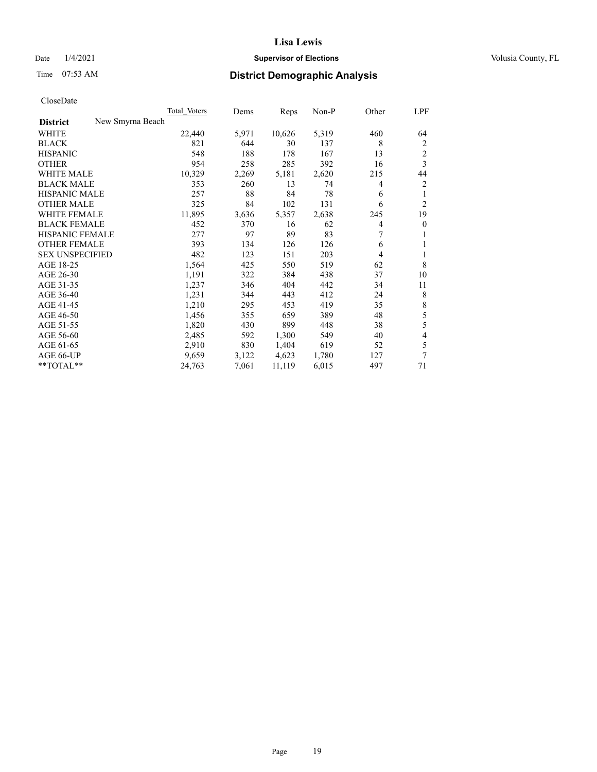# Date  $1/4/2021$  **Supervisor of Elections Supervisor of Elections** Volusia County, FL

| CloseDate |
|-----------|
|-----------|

|                                     | Total Voters | Dems  | Reps   | Non-P | Other | LPF                     |
|-------------------------------------|--------------|-------|--------|-------|-------|-------------------------|
| New Smyrna Beach<br><b>District</b> |              |       |        |       |       |                         |
| WHITE                               | 22,440       | 5,971 | 10,626 | 5,319 | 460   | 64                      |
| <b>BLACK</b>                        | 821          | 644   | 30     | 137   | 8     | 2                       |
| <b>HISPANIC</b>                     | 548          | 188   | 178    | 167   | 13    | $\overline{2}$          |
| <b>OTHER</b>                        | 954          | 258   | 285    | 392   | 16    | $\overline{\mathbf{3}}$ |
| <b>WHITE MALE</b>                   | 10,329       | 2,269 | 5,181  | 2,620 | 215   | 44                      |
| <b>BLACK MALE</b>                   | 353          | 260   | 13     | 74    | 4     | $\overline{2}$          |
| <b>HISPANIC MALE</b>                | 257          | 88    | 84     | 78    | 6     | 1                       |
| <b>OTHER MALE</b>                   | 325          | 84    | 102    | 131   | 6     | $\overline{2}$          |
| <b>WHITE FEMALE</b>                 | 11,895       | 3,636 | 5,357  | 2,638 | 245   | 19                      |
| <b>BLACK FEMALE</b>                 | 452          | 370   | 16     | 62    | 4     | $\overline{0}$          |
| <b>HISPANIC FEMALE</b>              | 277          | 97    | 89     | 83    | 7     | 1                       |
| <b>OTHER FEMALE</b>                 | 393          | 134   | 126    | 126   | 6     | 1                       |
| <b>SEX UNSPECIFIED</b>              | 482          | 123   | 151    | 203   | 4     | 1                       |
| AGE 18-25                           | 1,564        | 425   | 550    | 519   | 62    | 8                       |
| AGE 26-30                           | 1,191        | 322   | 384    | 438   | 37    | 10                      |
| AGE 31-35                           | 1,237        | 346   | 404    | 442   | 34    | 11                      |
| AGE 36-40                           | 1,231        | 344   | 443    | 412   | 24    | 8                       |
| AGE 41-45                           | 1,210        | 295   | 453    | 419   | 35    | $\,8\,$                 |
| AGE 46-50                           | 1,456        | 355   | 659    | 389   | 48    | 5                       |
| AGE 51-55                           | 1,820        | 430   | 899    | 448   | 38    | $\mathfrak s$           |
| AGE 56-60                           | 2,485        | 592   | 1,300  | 549   | 40    | 4                       |
| AGE 61-65                           | 2,910        | 830   | 1,404  | 619   | 52    | 5                       |
| AGE 66-UP                           | 9,659        | 3,122 | 4,623  | 1,780 | 127   | 7                       |
| **TOTAL**                           | 24,763       | 7,061 | 11,119 | 6,015 | 497   | 71                      |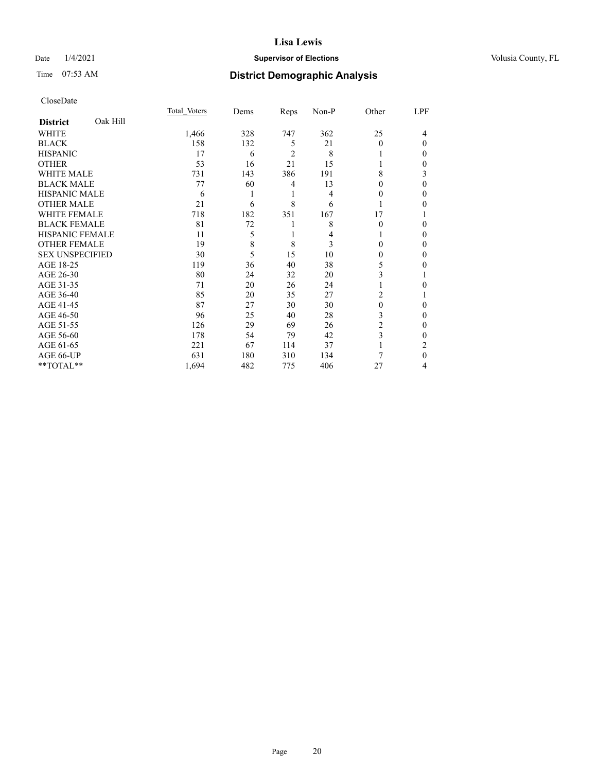# Date  $1/4/2021$  **Supervisor of Elections Supervisor of Elections** Volusia County, FL

# Time 07:53 AM **District Demographic Analysis**

|                        |          | Total Voters | Dems | Reps           | Non-P | Other    | LPF |
|------------------------|----------|--------------|------|----------------|-------|----------|-----|
| <b>District</b>        | Oak Hill |              |      |                |       |          |     |
| WHITE                  |          | 1,466        | 328  | 747            | 362   | 25       | 4   |
| <b>BLACK</b>           |          | 158          | 132  | 5              | 21    | 0        | 0   |
| <b>HISPANIC</b>        |          | 17           | 6    | $\overline{2}$ | 8     |          | 0   |
| <b>OTHER</b>           |          | 53           | 16   | 21             | 15    |          | 0   |
| <b>WHITE MALE</b>      |          | 731          | 143  | 386            | 191   | 8        | 3   |
| <b>BLACK MALE</b>      |          | 77           | 60   | 4              | 13    | 0        | 0   |
| <b>HISPANIC MALE</b>   |          | 6            |      | 1              | 4     | $_{0}$   | 0   |
| <b>OTHER MALE</b>      |          | 21           | 6    | 8              | 6     |          | 0   |
| <b>WHITE FEMALE</b>    |          | 718          | 182  | 351            | 167   | 17       |     |
| <b>BLACK FEMALE</b>    |          | 81           | 72   | 1              | 8     | $\Omega$ | 0   |
| <b>HISPANIC FEMALE</b> |          | 11           | 5    | 1              | 4     |          | 0   |
| <b>OTHER FEMALE</b>    |          | 19           | 8    | 8              | 3     | 0        | 0   |
| <b>SEX UNSPECIFIED</b> |          | 30           | 5    | 15             | 10    | 0        | 0   |
| AGE 18-25              |          | 119          | 36   | 40             | 38    | 5        | 0   |
| AGE 26-30              |          | 80           | 24   | 32             | 20    | 3        |     |
| AGE 31-35              |          | 71           | 20   | 26             | 24    |          | 0   |
| AGE 36-40              |          | 85           | 20   | 35             | 27    | 2        |     |
| AGE 41-45              |          | 87           | 27   | 30             | 30    | $\theta$ | 0   |
| AGE 46-50              |          | 96           | 25   | 40             | 28    | 3        | 0   |
| AGE 51-55              |          | 126          | 29   | 69             | 26    | 2        | 0   |
| AGE 56-60              |          | 178          | 54   | 79             | 42    | 3        | 0   |
| AGE 61-65              |          | 221          | 67   | 114            | 37    | 1        | 2   |
| AGE 66-UP              |          | 631          | 180  | 310            | 134   | 7        | 0   |
| **TOTAL**              |          | 1,694        | 482  | 775            | 406   | 27       | 4   |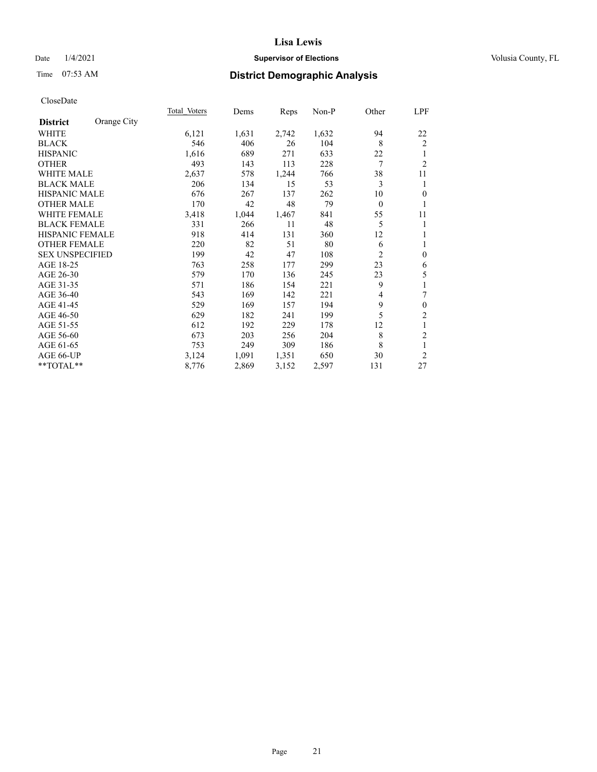# Date  $1/4/2021$  **Supervisor of Elections Supervisor of Elections** Volusia County, FL

# Time 07:53 AM **District Demographic Analysis**

|                                | Total Voters | Dems  | Reps  | Non-P | Other          | <u>LPF</u>       |
|--------------------------------|--------------|-------|-------|-------|----------------|------------------|
| Orange City<br><b>District</b> |              |       |       |       |                |                  |
| WHITE                          | 6,121        | 1,631 | 2,742 | 1,632 | 94             | 22               |
| <b>BLACK</b>                   | 546          | 406   | 26    | 104   | 8              | 2                |
| <b>HISPANIC</b>                | 1,616        | 689   | 271   | 633   | 22             | 1                |
| <b>OTHER</b>                   | 493          | 143   | 113   | 228   | 7              | $\overline{2}$   |
| <b>WHITE MALE</b>              | 2,637        | 578   | 1,244 | 766   | 38             | 11               |
| <b>BLACK MALE</b>              | 206          | 134   | 15    | 53    | 3              | 1                |
| <b>HISPANIC MALE</b>           | 676          | 267   | 137   | 262   | 10             | $\overline{0}$   |
| <b>OTHER MALE</b>              | 170          | 42    | 48    | 79    | $\theta$       | 1                |
| <b>WHITE FEMALE</b>            | 3,418        | 1,044 | 1,467 | 841   | 55             | 11               |
| <b>BLACK FEMALE</b>            | 331          | 266   | 11    | 48    | 5              | 1                |
| <b>HISPANIC FEMALE</b>         | 918          | 414   | 131   | 360   | 12             | 1                |
| <b>OTHER FEMALE</b>            | 220          | 82    | 51    | 80    | 6              | 1                |
| <b>SEX UNSPECIFIED</b>         | 199          | 42    | 47    | 108   | $\overline{2}$ | $\boldsymbol{0}$ |
| AGE 18-25                      | 763          | 258   | 177   | 299   | 23             | 6                |
| AGE 26-30                      | 579          | 170   | 136   | 245   | 23             | 5                |
| AGE 31-35                      | 571          | 186   | 154   | 221   | 9              | $\mathbf{1}$     |
| AGE 36-40                      | 543          | 169   | 142   | 221   | 4              | 7                |
| AGE 41-45                      | 529          | 169   | 157   | 194   | 9              | $\boldsymbol{0}$ |
| AGE 46-50                      | 629          | 182   | 241   | 199   | 5              | $\mathfrak{2}$   |
| AGE 51-55                      | 612          | 192   | 229   | 178   | 12             | 1                |
| AGE 56-60                      | 673          | 203   | 256   | 204   | 8              | $\overline{2}$   |
| AGE 61-65                      | 753          | 249   | 309   | 186   | 8              | 1                |
| AGE 66-UP                      | 3,124        | 1,091 | 1,351 | 650   | 30             | $\overline{2}$   |
| $*$ $TOTAL**$                  | 8,776        | 2,869 | 3,152 | 2,597 | 131            | 27               |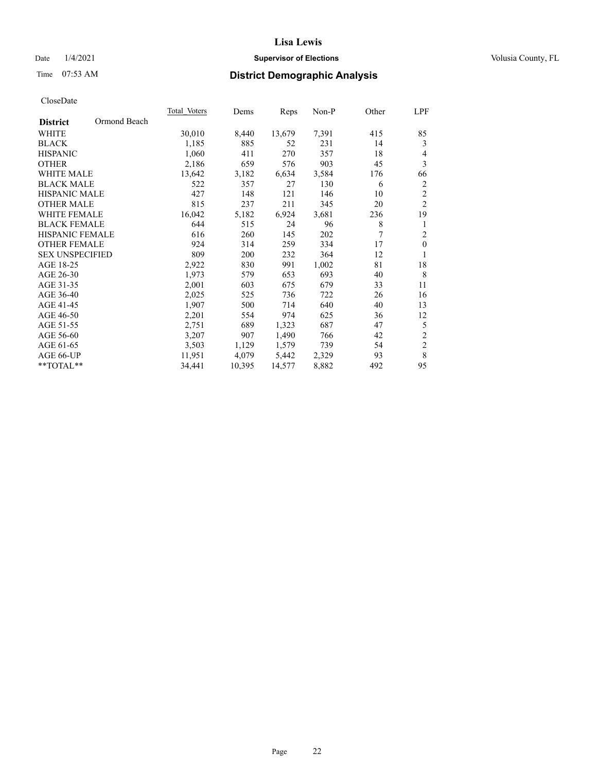# Date  $1/4/2021$  **Supervisor of Elections Supervisor of Elections** Volusia County, FL

# Time 07:53 AM **District Demographic Analysis**

|                        |              | Total Voters | Dems   | Reps   | Non-P | Other          | LPF            |
|------------------------|--------------|--------------|--------|--------|-------|----------------|----------------|
| <b>District</b>        | Ormond Beach |              |        |        |       |                |                |
| <b>WHITE</b>           |              | 30,010       | 8,440  | 13,679 | 7,391 | 415            | 85             |
| <b>BLACK</b>           |              | 1,185        | 885    | 52     | 231   | 14             | 3              |
| <b>HISPANIC</b>        |              | 1,060        | 411    | 270    | 357   | 18             | 4              |
| <b>OTHER</b>           |              | 2,186        | 659    | 576    | 903   | 45             | 3              |
| <b>WHITE MALE</b>      |              | 13,642       | 3,182  | 6,634  | 3,584 | 176            | 66             |
| <b>BLACK MALE</b>      |              | 522          | 357    | 27     | 130   | 6              | $\overline{c}$ |
| <b>HISPANIC MALE</b>   |              | 427          | 148    | 121    | 146   | 10             | $\sqrt{2}$     |
| <b>OTHER MALE</b>      |              | 815          | 237    | 211    | 345   | 20             | $\overline{2}$ |
| <b>WHITE FEMALE</b>    |              | 16,042       | 5,182  | 6,924  | 3,681 | 236            | 19             |
| <b>BLACK FEMALE</b>    |              | 644          | 515    | 24     | 96    | 8              | $\mathbf{1}$   |
| HISPANIC FEMALE        |              | 616          | 260    | 145    | 202   | $\overline{7}$ | $\overline{2}$ |
| <b>OTHER FEMALE</b>    |              | 924          | 314    | 259    | 334   | 17             | $\mathbf{0}$   |
| <b>SEX UNSPECIFIED</b> |              | 809          | 200    | 232    | 364   | 12             | 1              |
| AGE 18-25              |              | 2,922        | 830    | 991    | 1,002 | 81             | 18             |
| AGE 26-30              |              | 1,973        | 579    | 653    | 693   | 40             | 8              |
| AGE 31-35              |              | 2,001        | 603    | 675    | 679   | 33             | 11             |
| AGE 36-40              |              | 2,025        | 525    | 736    | 722   | 26             | 16             |
| AGE 41-45              |              | 1,907        | 500    | 714    | 640   | 40             | 13             |
| AGE 46-50              |              | 2,201        | 554    | 974    | 625   | 36             | 12             |
| AGE 51-55              |              | 2,751        | 689    | 1,323  | 687   | 47             | 5              |
| AGE 56-60              |              | 3,207        | 907    | 1,490  | 766   | 42             | $\sqrt{2}$     |
| AGE 61-65              |              | 3,503        | 1,129  | 1,579  | 739   | 54             | $\sqrt{2}$     |
| AGE 66-UP              |              | 11,951       | 4,079  | 5,442  | 2,329 | 93             | $\,$ 8 $\,$    |
| **TOTAL**              |              | 34,441       | 10,395 | 14,577 | 8,882 | 492            | 95             |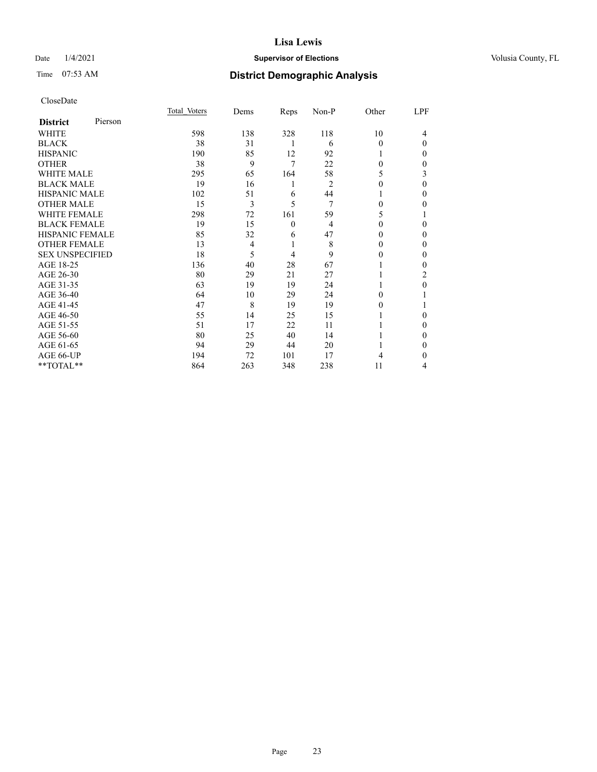# Date  $1/4/2021$  **Supervisor of Elections Supervisor of Elections** Volusia County, FL

# Time 07:53 AM **District Demographic Analysis**

|                        |         | Total Voters | Dems           | Reps     | Non-P          | Other    | LPF      |
|------------------------|---------|--------------|----------------|----------|----------------|----------|----------|
| <b>District</b>        | Pierson |              |                |          |                |          |          |
| WHITE                  |         | 598          | 138            | 328      | 118            | 10       | 4        |
| <b>BLACK</b>           |         | 38           | 31             | 1        | 6              | 0        | $\Omega$ |
| <b>HISPANIC</b>        |         | 190          | 85             | 12       | 92             |          | $\Omega$ |
| <b>OTHER</b>           |         | 38           | 9              | 7        | 22             | 0        | $\Omega$ |
| WHITE MALE             |         | 295          | 65             | 164      | 58             | 5        | 3        |
| <b>BLACK MALE</b>      |         | 19           | 16             | 1        | 2              | 0        | $\theta$ |
| <b>HISPANIC MALE</b>   |         | 102          | 51             | 6        | 44             |          | $\Omega$ |
| <b>OTHER MALE</b>      |         | 15           | 3              | 5        | 7              | $\Omega$ | $\Omega$ |
| <b>WHITE FEMALE</b>    |         | 298          | 72             | 161      | 59             | 5        |          |
| <b>BLACK FEMALE</b>    |         | 19           | 15             | $\theta$ | $\overline{4}$ | 0        | 0        |
| <b>HISPANIC FEMALE</b> |         | 85           | 32             | 6        | 47             | 0        | $\Omega$ |
| <b>OTHER FEMALE</b>    |         | 13           | $\overline{4}$ | 1        | 8              | $\Omega$ | $\Omega$ |
| <b>SEX UNSPECIFIED</b> |         | 18           | 5              | 4        | 9              | 0        | $\Omega$ |
| AGE 18-25              |         | 136          | 40             | 28       | 67             |          | 0        |
| AGE 26-30              |         | 80           | 29             | 21       | 27             |          | 2        |
| AGE 31-35              |         | 63           | 19             | 19       | 24             |          | 0        |
| AGE 36-40              |         | 64           | 10             | 29       | 24             | 0        |          |
| AGE 41-45              |         | 47           | 8              | 19       | 19             | 0        |          |
| AGE 46-50              |         | 55           | 14             | 25       | 15             |          | $\Omega$ |
| AGE 51-55              |         | 51           | 17             | 22       | 11             |          | $\Omega$ |
| AGE 56-60              |         | 80           | 25             | 40       | 14             |          | 0        |
| AGE 61-65              |         | 94           | 29             | 44       | 20             |          | $\Omega$ |
| AGE 66-UP              |         | 194          | 72             | 101      | 17             | 4        | 0        |
| **TOTAL**              |         | 864          | 263            | 348      | 238            | 11       | 4        |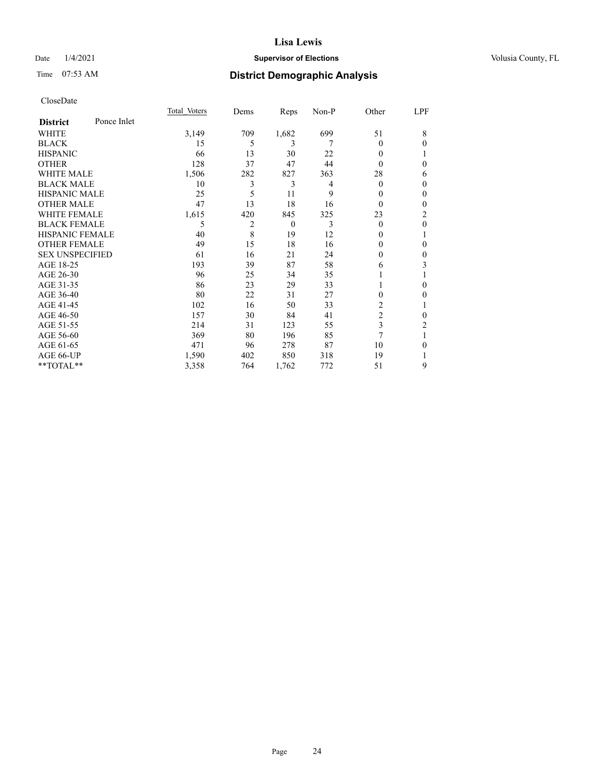# Date  $1/4/2021$  **Supervisor of Elections Supervisor of Elections** Volusia County, FL

# Time 07:53 AM **District Demographic Analysis**

|                        |             | Total Voters | Dems | Reps     | $Non-P$ | Other          | LPF              |
|------------------------|-------------|--------------|------|----------|---------|----------------|------------------|
| <b>District</b>        | Ponce Inlet |              |      |          |         |                |                  |
| WHITE                  |             | 3,149        | 709  | 1,682    | 699     | 51             | 8                |
| <b>BLACK</b>           |             | 15           | 5    | 3        | 7       | 0              | $\mathbf{0}$     |
| <b>HISPANIC</b>        |             | 66           | 13   | 30       | 22      | 0              |                  |
| <b>OTHER</b>           |             | 128          | 37   | 47       | 44      | 0              | $\mathbf{0}$     |
| <b>WHITE MALE</b>      |             | 1,506        | 282  | 827      | 363     | 28             | 6                |
| <b>BLACK MALE</b>      |             | 10           | 3    | 3        | 4       | 0              | $\boldsymbol{0}$ |
| <b>HISPANIC MALE</b>   |             | 25           | 5    | 11       | 9       | 0              | $\mathbf{0}$     |
| <b>OTHER MALE</b>      |             | 47           | 13   | 18       | 16      | 0              | $\mathbf{0}$     |
| <b>WHITE FEMALE</b>    |             | 1,615        | 420  | 845      | 325     | 23             | 2                |
| <b>BLACK FEMALE</b>    |             | 5            | 2    | $\theta$ | 3       | 0              | $\mathbf{0}$     |
| <b>HISPANIC FEMALE</b> |             | 40           | 8    | 19       | 12      | $_{0}$         | 1                |
| <b>OTHER FEMALE</b>    |             | 49           | 15   | 18       | 16      | 0              | $\theta$         |
| <b>SEX UNSPECIFIED</b> |             | 61           | 16   | 21       | 24      | 0              | $\mathbf{0}$     |
| AGE 18-25              |             | 193          | 39   | 87       | 58      | 6              | 3                |
| AGE 26-30              |             | 96           | 25   | 34       | 35      |                | 1                |
| AGE 31-35              |             | 86           | 23   | 29       | 33      |                | $\mathbf{0}$     |
| AGE 36-40              |             | 80           | 22   | 31       | 27      | 0              | $\mathbf{0}$     |
| AGE 41-45              |             | 102          | 16   | 50       | 33      | 2              |                  |
| AGE 46-50              |             | 157          | 30   | 84       | 41      | $\overline{2}$ | $\theta$         |
| AGE 51-55              |             | 214          | 31   | 123      | 55      | 3              | 2                |
| AGE 56-60              |             | 369          | 80   | 196      | 85      | 7              |                  |
| AGE 61-65              |             | 471          | 96   | 278      | 87      | 10             | $\mathbf{0}$     |
| AGE 66-UP              |             | 1,590        | 402  | 850      | 318     | 19             |                  |
| **TOTAL**              |             | 3,358        | 764  | 1,762    | 772     | 51             | 9                |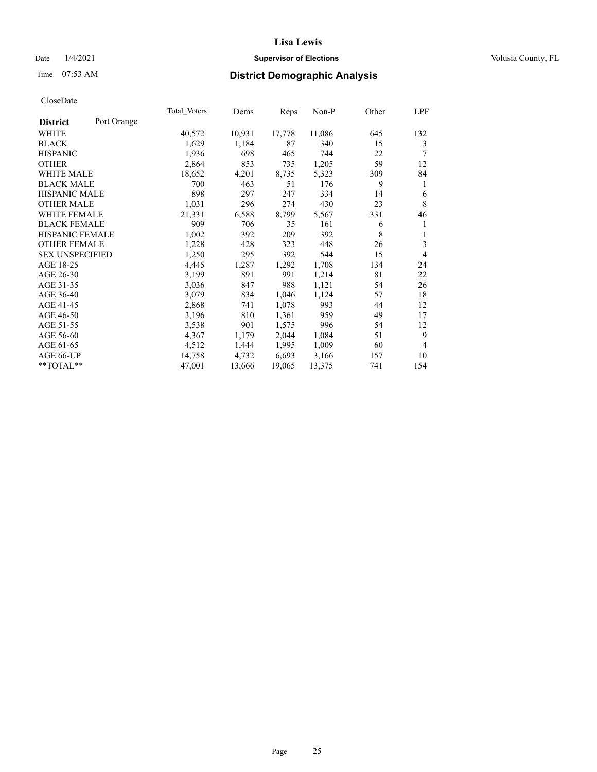# Date  $1/4/2021$  **Supervisor of Elections Supervisor of Elections** Volusia County, FL

# Time 07:53 AM **District Demographic Analysis**

|                                | Total Voters | Dems   | Reps   | Non-P  | Other | LPF            |
|--------------------------------|--------------|--------|--------|--------|-------|----------------|
| Port Orange<br><b>District</b> |              |        |        |        |       |                |
| WHITE                          | 40,572       | 10,931 | 17,778 | 11,086 | 645   | 132            |
| <b>BLACK</b>                   | 1,629        | 1,184  | 87     | 340    | 15    | 3              |
| <b>HISPANIC</b>                | 1,936        | 698    | 465    | 744    | 22    | 7              |
| <b>OTHER</b>                   | 2,864        | 853    | 735    | 1,205  | 59    | 12             |
| <b>WHITE MALE</b>              | 18,652       | 4,201  | 8,735  | 5,323  | 309   | 84             |
| <b>BLACK MALE</b>              | 700          | 463    | 51     | 176    | 9     | 1              |
| <b>HISPANIC MALE</b>           | 898          | 297    | 247    | 334    | 14    | 6              |
| <b>OTHER MALE</b>              | 1,031        | 296    | 274    | 430    | 23    | $\,$ 8 $\,$    |
| WHITE FEMALE                   | 21,331       | 6,588  | 8,799  | 5,567  | 331   | 46             |
| <b>BLACK FEMALE</b>            | 909          | 706    | 35     | 161    | 6     | 1              |
| <b>HISPANIC FEMALE</b>         | 1,002        | 392    | 209    | 392    | 8     | 1              |
| <b>OTHER FEMALE</b>            | 1,228        | 428    | 323    | 448    | 26    | 3              |
| <b>SEX UNSPECIFIED</b>         | 1,250        | 295    | 392    | 544    | 15    | 4              |
| AGE 18-25                      | 4,445        | 1,287  | 1,292  | 1,708  | 134   | 24             |
| AGE 26-30                      | 3,199        | 891    | 991    | 1,214  | 81    | 22             |
| AGE 31-35                      | 3,036        | 847    | 988    | 1,121  | 54    | 26             |
| AGE 36-40                      | 3,079        | 834    | 1,046  | 1,124  | 57    | 18             |
| AGE 41-45                      | 2,868        | 741    | 1,078  | 993    | 44    | 12             |
| AGE 46-50                      | 3,196        | 810    | 1,361  | 959    | 49    | 17             |
| AGE 51-55                      | 3,538        | 901    | 1,575  | 996    | 54    | 12             |
| AGE 56-60                      | 4,367        | 1,179  | 2,044  | 1,084  | 51    | 9              |
| AGE 61-65                      | 4,512        | 1,444  | 1,995  | 1,009  | 60    | $\overline{4}$ |
| AGE 66-UP                      | 14,758       | 4,732  | 6,693  | 3,166  | 157   | 10             |
| **TOTAL**                      | 47,001       | 13,666 | 19,065 | 13,375 | 741   | 154            |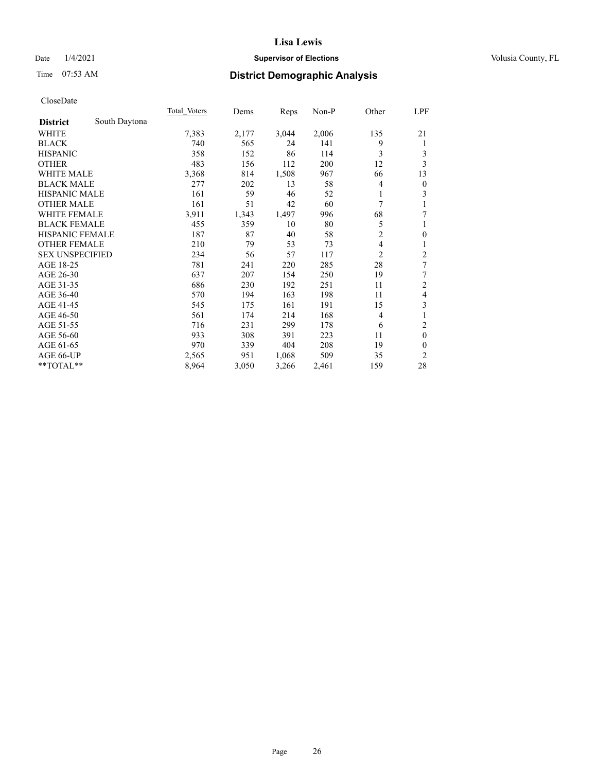# Date  $1/4/2021$  **Supervisor of Elections Supervisor of Elections** Volusia County, FL

# Time 07:53 AM **District Demographic Analysis**

|                        |               | Total Voters | Dems  | Reps  | Non-P | Other          | LPF              |
|------------------------|---------------|--------------|-------|-------|-------|----------------|------------------|
| <b>District</b>        | South Daytona |              |       |       |       |                |                  |
| WHITE                  |               | 7,383        | 2,177 | 3,044 | 2,006 | 135            | 21               |
| <b>BLACK</b>           |               | 740          | 565   | 24    | 141   | 9              | 1                |
| <b>HISPANIC</b>        |               | 358          | 152   | 86    | 114   | 3              | 3                |
| <b>OTHER</b>           |               | 483          | 156   | 112   | 200   | 12             | 3                |
| <b>WHITE MALE</b>      |               | 3,368        | 814   | 1,508 | 967   | 66             | 13               |
| <b>BLACK MALE</b>      |               | 277          | 202   | 13    | 58    | 4              | $\boldsymbol{0}$ |
| HISPANIC MALE          |               | 161          | 59    | 46    | 52    | 1              | 3                |
| <b>OTHER MALE</b>      |               | 161          | 51    | 42    | 60    | 7              | 1                |
| <b>WHITE FEMALE</b>    |               | 3,911        | 1,343 | 1,497 | 996   | 68             | 7                |
| <b>BLACK FEMALE</b>    |               | 455          | 359   | 10    | 80    | 5              | 1                |
| HISPANIC FEMALE        |               | 187          | 87    | 40    | 58    | 2              | $\mathbf{0}$     |
| <b>OTHER FEMALE</b>    |               | 210          | 79    | 53    | 73    | 4              | 1                |
| <b>SEX UNSPECIFIED</b> |               | 234          | 56    | 57    | 117   | $\overline{2}$ | $\overline{c}$   |
| AGE 18-25              |               | 781          | 241   | 220   | 285   | 28             | 7                |
| AGE 26-30              |               | 637          | 207   | 154   | 250   | 19             | 7                |
| AGE 31-35              |               | 686          | 230   | 192   | 251   | 11             | $\mathfrak{2}$   |
| AGE 36-40              |               | 570          | 194   | 163   | 198   | 11             | $\overline{4}$   |
| AGE 41-45              |               | 545          | 175   | 161   | 191   | 15             | 3                |
| AGE 46-50              |               | 561          | 174   | 214   | 168   | 4              | $\mathbf{1}$     |
| AGE 51-55              |               | 716          | 231   | 299   | 178   | 6              | $\overline{2}$   |
| AGE 56-60              |               | 933          | 308   | 391   | 223   | 11             | $\boldsymbol{0}$ |
| AGE 61-65              |               | 970          | 339   | 404   | 208   | 19             | $\mathbf{0}$     |
| AGE 66-UP              |               | 2,565        | 951   | 1,068 | 509   | 35             | $\overline{2}$   |
| **TOTAL**              |               | 8,964        | 3,050 | 3,266 | 2,461 | 159            | 28               |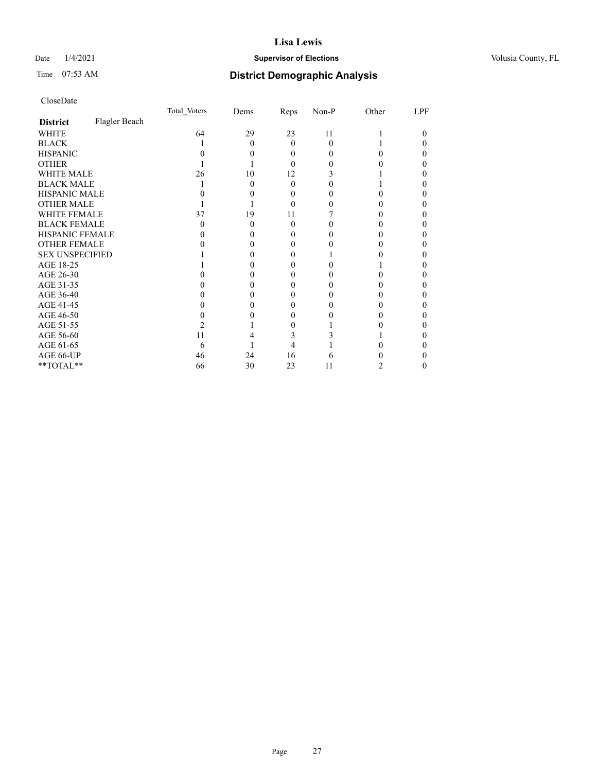# Date  $1/4/2021$  **Supervisor of Elections Supervisor of Elections** Volusia County, FL

# Time 07:53 AM **District Demographic Analysis**

|                        |               | Total Voters | Dems | Reps     | Non-P | Other | LPF |
|------------------------|---------------|--------------|------|----------|-------|-------|-----|
| <b>District</b>        | Flagler Beach |              |      |          |       |       |     |
| WHITE                  |               | 64           | 29   | 23       | 11    |       | 0   |
| <b>BLACK</b>           |               |              | 0    | 0        | 0     |       |     |
| <b>HISPANIC</b>        |               |              |      | $\theta$ |       |       |     |
| <b>OTHER</b>           |               |              |      | 0        |       |       |     |
| WHITE MALE             |               | 26           | 10   | 12       |       |       |     |
| <b>BLACK MALE</b>      |               |              | 0    | 0        |       |       |     |
| <b>HISPANIC MALE</b>   |               |              |      | 0        |       |       |     |
| <b>OTHER MALE</b>      |               |              |      | 0        |       |       |     |
| <b>WHITE FEMALE</b>    |               | 37           | 19   | 11       |       |       |     |
| <b>BLACK FEMALE</b>    |               |              | 0    | $\Omega$ |       |       |     |
| HISPANIC FEMALE        |               |              |      | 0        |       |       |     |
| OTHER FEMALE           |               |              |      | $_{0}$   |       |       |     |
| <b>SEX UNSPECIFIED</b> |               |              |      |          |       |       |     |
| AGE 18-25              |               |              |      |          |       |       |     |
| AGE 26-30              |               |              |      |          |       |       |     |
| AGE 31-35              |               |              |      |          |       |       |     |
| AGE 36-40              |               |              |      |          |       |       |     |
| AGE 41-45              |               |              |      |          |       |       |     |
| AGE 46-50              |               |              |      | 0        |       |       |     |
| AGE 51-55              |               |              |      |          |       |       |     |
| AGE 56-60              |               | 11           |      |          |       |       |     |
| AGE 61-65              |               | 6            |      |          |       |       |     |
| AGE 66-UP              |               | 46           | 24   | 16       |       |       |     |
| **TOTAL**              |               | 66           | 30   | 23       | 11    | 2     |     |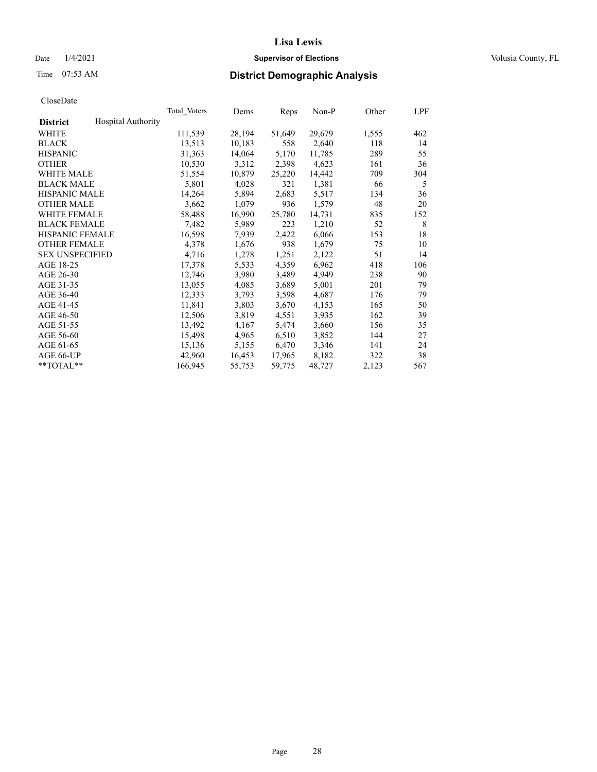# Date  $1/4/2021$  **Supervisor of Elections Supervisor of Elections** Volusia County, FL

# Time 07:53 AM **District Demographic Analysis**

|                        |                           | Total Voters | Dems   | Reps   | Non-P  | Other | LPF |
|------------------------|---------------------------|--------------|--------|--------|--------|-------|-----|
| <b>District</b>        | <b>Hospital Authority</b> |              |        |        |        |       |     |
| WHITE                  |                           | 111,539      | 28,194 | 51,649 | 29,679 | 1,555 | 462 |
| <b>BLACK</b>           |                           | 13,513       | 10,183 | 558    | 2,640  | 118   | 14  |
| <b>HISPANIC</b>        |                           | 31,363       | 14,064 | 5,170  | 11,785 | 289   | 55  |
| <b>OTHER</b>           |                           | 10,530       | 3,312  | 2,398  | 4,623  | 161   | 36  |
| WHITE MALE             |                           | 51,554       | 10,879 | 25,220 | 14,442 | 709   | 304 |
| <b>BLACK MALE</b>      |                           | 5,801        | 4,028  | 321    | 1,381  | 66    | 5   |
| <b>HISPANIC MALE</b>   |                           | 14,264       | 5,894  | 2,683  | 5,517  | 134   | 36  |
| <b>OTHER MALE</b>      |                           | 3,662        | 1,079  | 936    | 1,579  | 48    | 20  |
| <b>WHITE FEMALE</b>    |                           | 58,488       | 16,990 | 25,780 | 14,731 | 835   | 152 |
| <b>BLACK FEMALE</b>    |                           | 7,482        | 5,989  | 223    | 1,210  | 52    | 8   |
| <b>HISPANIC FEMALE</b> |                           | 16,598       | 7,939  | 2,422  | 6,066  | 153   | 18  |
| <b>OTHER FEMALE</b>    |                           | 4,378        | 1,676  | 938    | 1,679  | 75    | 10  |
| <b>SEX UNSPECIFIED</b> |                           | 4,716        | 1,278  | 1,251  | 2,122  | 51    | 14  |
| AGE 18-25              |                           | 17,378       | 5,533  | 4,359  | 6,962  | 418   | 106 |
| AGE 26-30              |                           | 12,746       | 3,980  | 3,489  | 4,949  | 238   | 90  |
| AGE 31-35              |                           | 13,055       | 4,085  | 3,689  | 5,001  | 201   | 79  |
| AGE 36-40              |                           | 12,333       | 3,793  | 3,598  | 4,687  | 176   | 79  |
| AGE 41-45              |                           | 11,841       | 3,803  | 3,670  | 4,153  | 165   | 50  |
| AGE 46-50              |                           | 12,506       | 3,819  | 4,551  | 3,935  | 162   | 39  |
| AGE 51-55              |                           | 13,492       | 4,167  | 5,474  | 3,660  | 156   | 35  |
| AGE 56-60              |                           | 15,498       | 4,965  | 6,510  | 3,852  | 144   | 27  |
| AGE 61-65              |                           | 15,136       | 5,155  | 6,470  | 3,346  | 141   | 24  |
| AGE 66-UP              |                           | 42,960       | 16,453 | 17,965 | 8,182  | 322   | 38  |
| $*$ TOTAL $*$          |                           | 166,945      | 55,753 | 59,775 | 48,727 | 2,123 | 567 |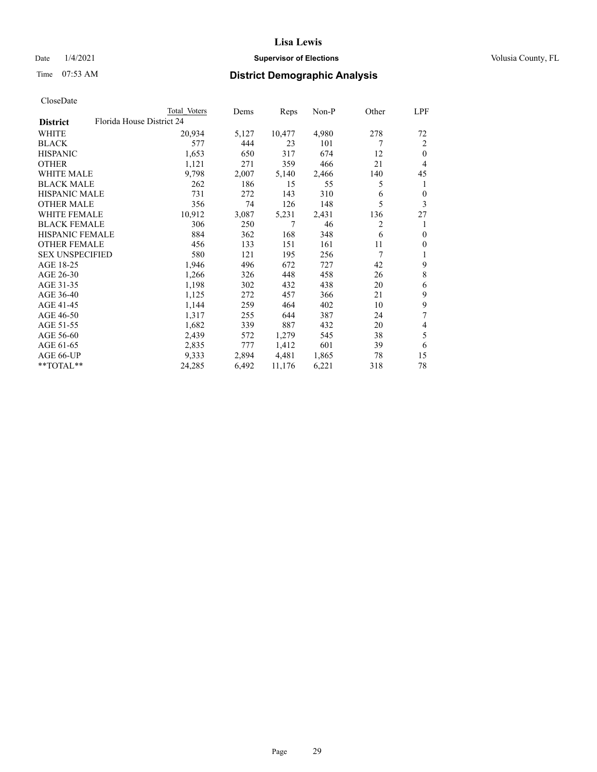# Date  $1/4/2021$  **Supervisor of Elections Supervisor of Elections** Volusia County, FL

| CloseDate |
|-----------|
|-----------|

|                                              | Total Voters | Dems  | Reps   | Non-P | Other | LPF                      |
|----------------------------------------------|--------------|-------|--------|-------|-------|--------------------------|
| Florida House District 24<br><b>District</b> |              |       |        |       |       |                          |
| WHITE                                        | 20,934       | 5,127 | 10,477 | 4,980 | 278   | 72                       |
| <b>BLACK</b>                                 | 577          | 444   | 23     | 101   | 7     | 2                        |
| <b>HISPANIC</b>                              | 1,653        | 650   | 317    | 674   | 12    | $\mathbf{0}$             |
| <b>OTHER</b>                                 | 1,121        | 271   | 359    | 466   | 21    | $\overline{4}$           |
| <b>WHITE MALE</b>                            | 9,798        | 2,007 | 5,140  | 2,466 | 140   | 45                       |
| <b>BLACK MALE</b>                            | 262          | 186   | 15     | 55    | 5     | 1                        |
| <b>HISPANIC MALE</b>                         | 731          | 272   | 143    | 310   | 6     | $\boldsymbol{0}$         |
| <b>OTHER MALE</b>                            | 356          | 74    | 126    | 148   | 5     | 3                        |
| WHITE FEMALE                                 | 10,912       | 3,087 | 5,231  | 2,431 | 136   | 27                       |
| <b>BLACK FEMALE</b>                          | 306          | 250   | 7      | 46    | 2     | 1                        |
| HISPANIC FEMALE                              | 884          | 362   | 168    | 348   | 6     | $\mathbf{0}$             |
| <b>OTHER FEMALE</b>                          | 456          | 133   | 151    | 161   | 11    | $\mathbf{0}$             |
| <b>SEX UNSPECIFIED</b>                       | 580          | 121   | 195    | 256   | 7     | 1                        |
| AGE 18-25                                    | 1,946        | 496   | 672    | 727   | 42    | 9                        |
| AGE 26-30                                    | 1,266        | 326   | 448    | 458   | 26    | $\,$ $\,$                |
| AGE 31-35                                    | 1,198        | 302   | 432    | 438   | 20    | 6                        |
| AGE 36-40                                    | 1,125        | 272   | 457    | 366   | 21    | 9                        |
| AGE 41-45                                    | 1,144        | 259   | 464    | 402   | 10    | 9                        |
| AGE 46-50                                    | 1,317        | 255   | 644    | 387   | 24    | 7                        |
| AGE 51-55                                    | 1,682        | 339   | 887    | 432   | 20    | $\overline{\mathcal{A}}$ |
| AGE 56-60                                    | 2,439        | 572   | 1,279  | 545   | 38    | 5                        |
| AGE 61-65                                    | 2,835        | 777   | 1,412  | 601   | 39    | 6                        |
| AGE 66-UP                                    | 9,333        | 2,894 | 4,481  | 1,865 | 78    | 15                       |
| **TOTAL**                                    | 24,285       | 6,492 | 11,176 | 6,221 | 318   | 78                       |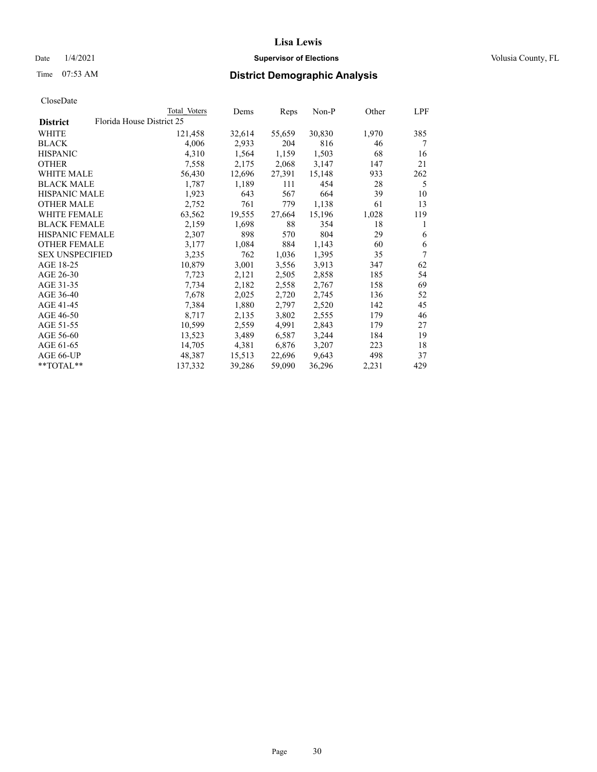# Date  $1/4/2021$  **Supervisor of Elections Supervisor of Elections** Volusia County, FL

|                                              | Total Voters | Dems   | Reps   | Non-P  | Other | LPF |
|----------------------------------------------|--------------|--------|--------|--------|-------|-----|
| Florida House District 25<br><b>District</b> |              |        |        |        |       |     |
| WHITE                                        | 121,458      | 32,614 | 55,659 | 30,830 | 1,970 | 385 |
| <b>BLACK</b>                                 | 4,006        | 2,933  | 204    | 816    | 46    | 7   |
| <b>HISPANIC</b>                              | 4,310        | 1,564  | 1,159  | 1,503  | 68    | 16  |
| <b>OTHER</b>                                 | 7,558        | 2,175  | 2,068  | 3,147  | 147   | 21  |
| <b>WHITE MALE</b>                            | 56,430       | 12,696 | 27,391 | 15,148 | 933   | 262 |
| <b>BLACK MALE</b>                            | 1,787        | 1,189  | 111    | 454    | 28    | 5   |
| <b>HISPANIC MALE</b>                         | 1,923        | 643    | 567    | 664    | 39    | 10  |
| <b>OTHER MALE</b>                            | 2,752        | 761    | 779    | 1,138  | 61    | 13  |
| <b>WHITE FEMALE</b>                          | 63,562       | 19,555 | 27,664 | 15,196 | 1,028 | 119 |
| <b>BLACK FEMALE</b>                          | 2,159        | 1,698  | 88     | 354    | 18    | 1   |
| HISPANIC FEMALE                              | 2,307        | 898    | 570    | 804    | 29    | 6   |
| <b>OTHER FEMALE</b>                          | 3,177        | 1,084  | 884    | 1,143  | 60    | 6   |
| <b>SEX UNSPECIFIED</b>                       | 3,235        | 762    | 1,036  | 1,395  | 35    | 7   |
| AGE 18-25                                    | 10,879       | 3,001  | 3,556  | 3,913  | 347   | 62  |
| AGE 26-30                                    | 7,723        | 2,121  | 2,505  | 2,858  | 185   | 54  |
| AGE 31-35                                    | 7,734        | 2,182  | 2,558  | 2,767  | 158   | 69  |
| AGE 36-40                                    | 7,678        | 2,025  | 2,720  | 2,745  | 136   | 52  |
| AGE 41-45                                    | 7,384        | 1,880  | 2,797  | 2,520  | 142   | 45  |
| AGE 46-50                                    | 8,717        | 2,135  | 3,802  | 2,555  | 179   | 46  |
| AGE 51-55                                    | 10,599       | 2,559  | 4,991  | 2,843  | 179   | 27  |
| AGE 56-60                                    | 13,523       | 3,489  | 6,587  | 3,244  | 184   | 19  |
| AGE 61-65                                    | 14,705       | 4,381  | 6,876  | 3,207  | 223   | 18  |
| AGE 66-UP                                    | 48,387       | 15,513 | 22,696 | 9,643  | 498   | 37  |
| **TOTAL**                                    | 137,332      | 39,286 | 59,090 | 36,296 | 2,231 | 429 |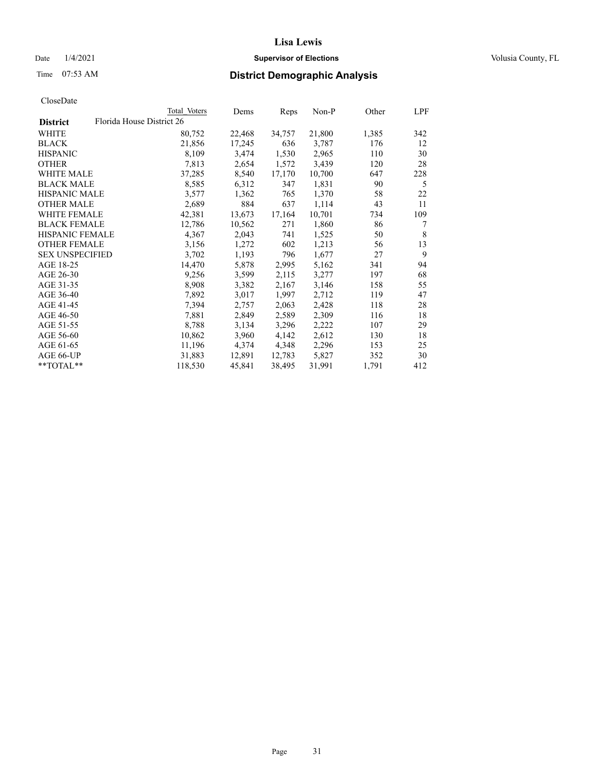# Date  $1/4/2021$  **Supervisor of Elections Supervisor of Elections** Volusia County, FL

| CloseDate |
|-----------|
|-----------|

|                        |                           | Total Voters | Dems   | Reps   | Non-P  | Other | LPF |
|------------------------|---------------------------|--------------|--------|--------|--------|-------|-----|
| <b>District</b>        | Florida House District 26 |              |        |        |        |       |     |
| WHITE                  |                           | 80,752       | 22,468 | 34,757 | 21,800 | 1,385 | 342 |
| <b>BLACK</b>           |                           | 21,856       | 17,245 | 636    | 3,787  | 176   | 12  |
| <b>HISPANIC</b>        |                           | 8,109        | 3,474  | 1,530  | 2,965  | 110   | 30  |
| <b>OTHER</b>           |                           | 7,813        | 2,654  | 1,572  | 3,439  | 120   | 28  |
| <b>WHITE MALE</b>      |                           | 37,285       | 8,540  | 17,170 | 10,700 | 647   | 228 |
| <b>BLACK MALE</b>      |                           | 8,585        | 6,312  | 347    | 1,831  | 90    | 5   |
| <b>HISPANIC MALE</b>   |                           | 3,577        | 1,362  | 765    | 1,370  | 58    | 22  |
| <b>OTHER MALE</b>      |                           | 2,689        | 884    | 637    | 1,114  | 43    | 11  |
| <b>WHITE FEMALE</b>    |                           | 42,381       | 13,673 | 17,164 | 10,701 | 734   | 109 |
| <b>BLACK FEMALE</b>    |                           | 12,786       | 10,562 | 271    | 1,860  | 86    | 7   |
| HISPANIC FEMALE        |                           | 4,367        | 2,043  | 741    | 1,525  | 50    | 8   |
| <b>OTHER FEMALE</b>    |                           | 3,156        | 1,272  | 602    | 1,213  | 56    | 13  |
| <b>SEX UNSPECIFIED</b> |                           | 3,702        | 1,193  | 796    | 1,677  | 27    | 9   |
| AGE 18-25              |                           | 14,470       | 5,878  | 2,995  | 5,162  | 341   | 94  |
| AGE 26-30              |                           | 9,256        | 3,599  | 2,115  | 3,277  | 197   | 68  |
| AGE 31-35              |                           | 8,908        | 3,382  | 2,167  | 3,146  | 158   | 55  |
| AGE 36-40              |                           | 7,892        | 3,017  | 1,997  | 2,712  | 119   | 47  |
| AGE 41-45              |                           | 7,394        | 2,757  | 2,063  | 2,428  | 118   | 28  |
| AGE 46-50              |                           | 7,881        | 2,849  | 2,589  | 2,309  | 116   | 18  |
| AGE 51-55              |                           | 8,788        | 3,134  | 3,296  | 2,222  | 107   | 29  |
| AGE 56-60              |                           | 10,862       | 3,960  | 4,142  | 2,612  | 130   | 18  |
| AGE 61-65              |                           | 11,196       | 4,374  | 4,348  | 2,296  | 153   | 25  |
| AGE 66-UP              |                           | 31,883       | 12,891 | 12,783 | 5,827  | 352   | 30  |
| **TOTAL**              |                           | 118,530      | 45,841 | 38,495 | 31,991 | 1,791 | 412 |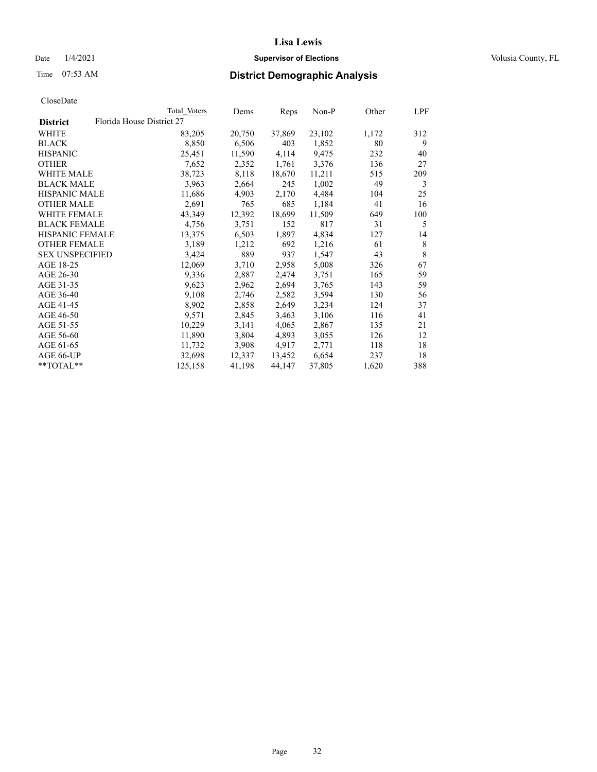# Date  $1/4/2021$  **Supervisor of Elections Supervisor of Elections** Volusia County, FL

# Time 07:53 AM **District Demographic Analysis**

| <b>District</b>        |                           |        | Reps   | $Non-P$ | Other | LPF |
|------------------------|---------------------------|--------|--------|---------|-------|-----|
|                        | Florida House District 27 |        |        |         |       |     |
| WHITE                  | 83,205                    | 20,750 | 37,869 | 23,102  | 1,172 | 312 |
| <b>BLACK</b>           | 8,850                     | 6,506  | 403    | 1,852   | 80    | 9   |
| <b>HISPANIC</b>        | 25,451                    | 11,590 | 4,114  | 9,475   | 232   | 40  |
| <b>OTHER</b>           | 7,652                     | 2,352  | 1,761  | 3,376   | 136   | 27  |
| <b>WHITE MALE</b>      | 38,723                    | 8,118  | 18,670 | 11,211  | 515   | 209 |
| <b>BLACK MALE</b>      | 3,963                     | 2,664  | 245    | 1,002   | 49    | 3   |
| <b>HISPANIC MALE</b>   | 11,686                    | 4,903  | 2,170  | 4,484   | 104   | 25  |
| <b>OTHER MALE</b>      | 2,691                     | 765    | 685    | 1,184   | 41    | 16  |
| <b>WHITE FEMALE</b>    | 43,349                    | 12,392 | 18,699 | 11,509  | 649   | 100 |
| <b>BLACK FEMALE</b>    | 4,756                     | 3,751  | 152    | 817     | 31    | 5   |
| HISPANIC FEMALE        | 13,375                    | 6,503  | 1,897  | 4,834   | 127   | 14  |
| <b>OTHER FEMALE</b>    | 3,189                     | 1,212  | 692    | 1,216   | 61    | 8   |
| <b>SEX UNSPECIFIED</b> | 3,424                     | 889    | 937    | 1,547   | 43    | 8   |
| AGE 18-25              | 12,069                    | 3,710  | 2,958  | 5,008   | 326   | 67  |
| AGE 26-30              | 9,336                     | 2,887  | 2,474  | 3,751   | 165   | 59  |
| AGE 31-35              | 9,623                     | 2,962  | 2,694  | 3,765   | 143   | 59  |
| AGE 36-40              | 9,108                     | 2,746  | 2,582  | 3,594   | 130   | 56  |
| AGE 41-45              | 8,902                     | 2,858  | 2,649  | 3,234   | 124   | 37  |
| AGE 46-50              | 9,571                     | 2,845  | 3,463  | 3,106   | 116   | 41  |
| AGE 51-55              | 10,229                    | 3,141  | 4,065  | 2,867   | 135   | 21  |
| AGE 56-60              | 11,890                    | 3,804  | 4,893  | 3,055   | 126   | 12  |
| AGE 61-65              | 11,732                    | 3,908  | 4,917  | 2,771   | 118   | 18  |
| AGE 66-UP              | 32,698                    | 12,337 | 13,452 | 6,654   | 237   | 18  |
| **TOTAL**              | 125,158                   | 41,198 | 44,147 | 37,805  | 1,620 | 388 |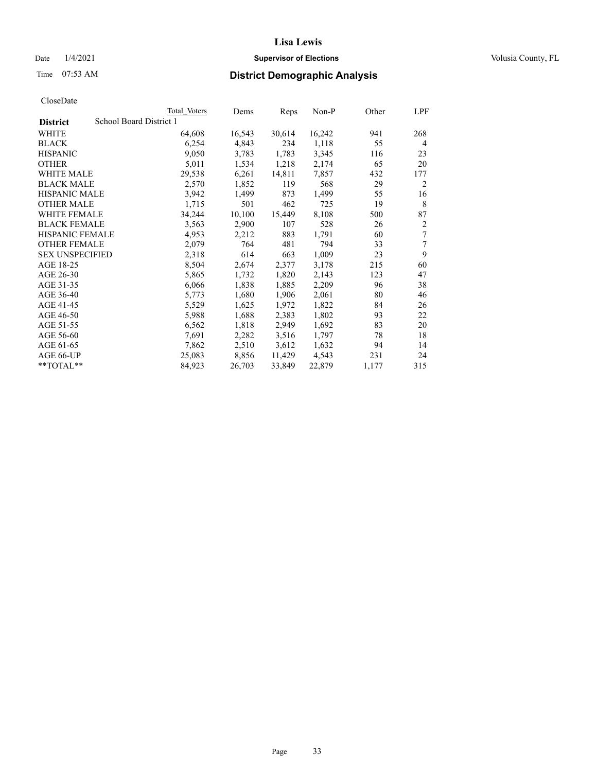# Date  $1/4/2021$  **Supervisor of Elections Supervisor of Elections** Volusia County, FL

# Time 07:53 AM **District Demographic Analysis**

|                        | Total Voters            | Dems   | Reps   | Non-P  | Other | LPF |
|------------------------|-------------------------|--------|--------|--------|-------|-----|
| <b>District</b>        | School Board District 1 |        |        |        |       |     |
| WHITE                  | 64,608                  | 16,543 | 30,614 | 16,242 | 941   | 268 |
| <b>BLACK</b>           | 6,254                   | 4,843  | 234    | 1,118  | 55    | 4   |
| <b>HISPANIC</b>        | 9,050                   | 3,783  | 1,783  | 3,345  | 116   | 23  |
| <b>OTHER</b>           | 5,011                   | 1,534  | 1,218  | 2,174  | 65    | 20  |
| WHITE MALE             | 29,538                  | 6,261  | 14,811 | 7,857  | 432   | 177 |
| <b>BLACK MALE</b>      | 2,570                   | 1,852  | 119    | 568    | 29    | 2   |
| <b>HISPANIC MALE</b>   | 3,942                   | 1,499  | 873    | 1,499  | 55    | 16  |
| <b>OTHER MALE</b>      | 1,715                   | 501    | 462    | 725    | 19    | 8   |
| WHITE FEMALE           | 34,244                  | 10,100 | 15,449 | 8,108  | 500   | 87  |
| <b>BLACK FEMALE</b>    | 3,563                   | 2,900  | 107    | 528    | 26    | 2   |
| <b>HISPANIC FEMALE</b> | 4,953                   | 2,212  | 883    | 1,791  | 60    | 7   |
| <b>OTHER FEMALE</b>    | 2,079                   | 764    | 481    | 794    | 33    | 7   |
| <b>SEX UNSPECIFIED</b> | 2,318                   | 614    | 663    | 1,009  | 23    | 9   |
| AGE 18-25              | 8,504                   | 2,674  | 2,377  | 3,178  | 215   | 60  |
| AGE 26-30              | 5,865                   | 1,732  | 1,820  | 2,143  | 123   | 47  |
| AGE 31-35              | 6,066                   | 1,838  | 1,885  | 2,209  | 96    | 38  |
| AGE 36-40              | 5,773                   | 1,680  | 1,906  | 2,061  | 80    | 46  |
| AGE 41-45              | 5,529                   | 1,625  | 1,972  | 1,822  | 84    | 26  |
| AGE 46-50              | 5,988                   | 1,688  | 2,383  | 1,802  | 93    | 22  |
| AGE 51-55              | 6,562                   | 1,818  | 2,949  | 1,692  | 83    | 20  |
| AGE 56-60              | 7,691                   | 2,282  | 3,516  | 1,797  | 78    | 18  |
| AGE 61-65              | 7,862                   | 2,510  | 3,612  | 1,632  | 94    | 14  |
| AGE 66-UP              | 25,083                  | 8,856  | 11,429 | 4,543  | 231   | 24  |
| **TOTAL**              | 84,923                  | 26,703 | 33,849 | 22,879 | 1,177 | 315 |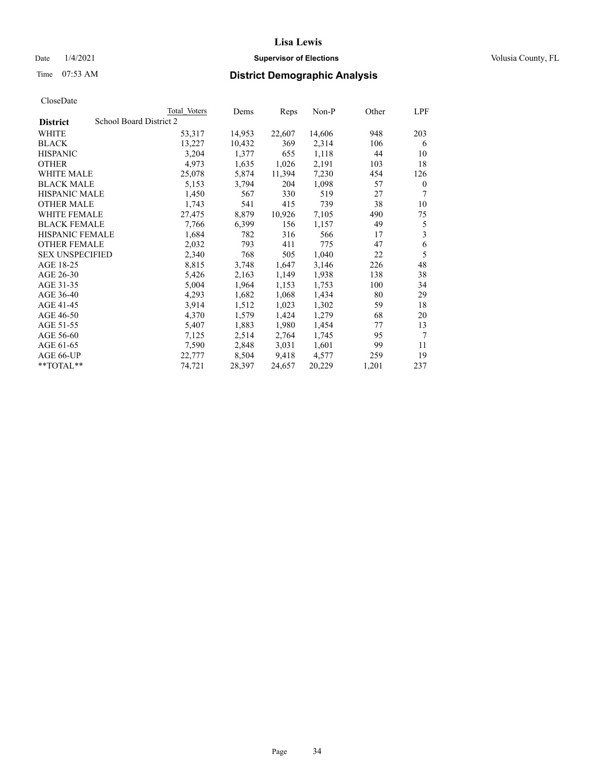# Date  $1/4/2021$  **Supervisor of Elections Supervisor of Elections** Volusia County, FL

# Time 07:53 AM **District Demographic Analysis**

|                        |                         | Total Voters | Dems   | Reps   | Non-P  | Other | LPF      |
|------------------------|-------------------------|--------------|--------|--------|--------|-------|----------|
| <b>District</b>        | School Board District 2 |              |        |        |        |       |          |
| WHITE                  |                         | 53,317       | 14,953 | 22,607 | 14,606 | 948   | 203      |
| <b>BLACK</b>           |                         | 13,227       | 10,432 | 369    | 2,314  | 106   | 6        |
| <b>HISPANIC</b>        |                         | 3,204        | 1,377  | 655    | 1,118  | 44    | 10       |
| <b>OTHER</b>           |                         | 4,973        | 1,635  | 1,026  | 2,191  | 103   | 18       |
| WHITE MALE             |                         | 25,078       | 5,874  | 11,394 | 7,230  | 454   | 126      |
| <b>BLACK MALE</b>      |                         | 5,153        | 3,794  | 204    | 1,098  | 57    | $\theta$ |
| <b>HISPANIC MALE</b>   |                         | 1,450        | 567    | 330    | 519    | 27    | 7        |
| <b>OTHER MALE</b>      |                         | 1,743        | 541    | 415    | 739    | 38    | 10       |
| <b>WHITE FEMALE</b>    |                         | 27,475       | 8,879  | 10,926 | 7,105  | 490   | 75       |
| <b>BLACK FEMALE</b>    |                         | 7,766        | 6,399  | 156    | 1,157  | 49    | 5        |
| <b>HISPANIC FEMALE</b> |                         | 1,684        | 782    | 316    | 566    | 17    | 3        |
| <b>OTHER FEMALE</b>    |                         | 2,032        | 793    | 411    | 775    | 47    | 6        |
| <b>SEX UNSPECIFIED</b> |                         | 2,340        | 768    | 505    | 1,040  | 22    | 5        |
| AGE 18-25              |                         | 8,815        | 3,748  | 1,647  | 3,146  | 226   | 48       |
| AGE 26-30              |                         | 5,426        | 2,163  | 1,149  | 1,938  | 138   | 38       |
| AGE 31-35              |                         | 5,004        | 1,964  | 1,153  | 1,753  | 100   | 34       |
| AGE 36-40              |                         | 4,293        | 1,682  | 1,068  | 1,434  | 80    | 29       |
| AGE 41-45              |                         | 3,914        | 1,512  | 1,023  | 1,302  | 59    | 18       |
| AGE 46-50              |                         | 4,370        | 1,579  | 1,424  | 1,279  | 68    | 20       |
| AGE 51-55              |                         | 5,407        | 1,883  | 1,980  | 1,454  | 77    | 13       |
| AGE 56-60              |                         | 7,125        | 2,514  | 2,764  | 1,745  | 95    | $\tau$   |
| AGE 61-65              |                         | 7,590        | 2,848  | 3,031  | 1,601  | 99    | 11       |
| AGE 66-UP              |                         | 22,777       | 8,504  | 9,418  | 4,577  | 259   | 19       |
| $*$ TOTAL $*$          |                         | 74,721       | 28,397 | 24,657 | 20,229 | 1,201 | 237      |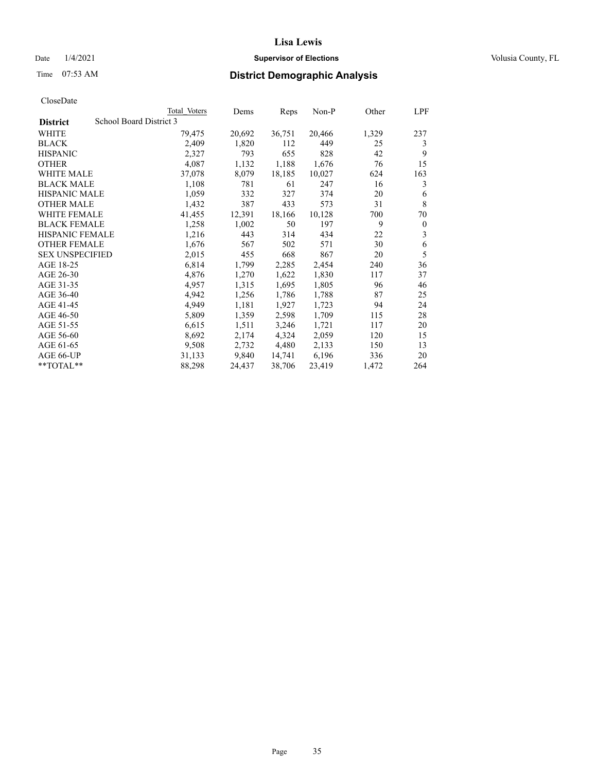# Date  $1/4/2021$  **Supervisor of Elections Supervisor of Elections** Volusia County, FL

# Time 07:53 AM **District Demographic Analysis**

|                        | Total Voters            | Dems   | Reps   | Non-P  | Other | LPF          |
|------------------------|-------------------------|--------|--------|--------|-------|--------------|
| <b>District</b>        | School Board District 3 |        |        |        |       |              |
| WHITE                  | 79,475                  | 20,692 | 36,751 | 20,466 | 1,329 | 237          |
| <b>BLACK</b>           | 2,409                   | 1,820  | 112    | 449    | 25    | 3            |
| <b>HISPANIC</b>        | 2,327                   | 793    | 655    | 828    | 42    | 9            |
| <b>OTHER</b>           | 4,087                   | 1,132  | 1,188  | 1,676  | 76    | 15           |
| WHITE MALE             | 37,078                  | 8,079  | 18,185 | 10,027 | 624   | 163          |
| <b>BLACK MALE</b>      | 1,108                   | 781    | 61     | 247    | 16    | 3            |
| <b>HISPANIC MALE</b>   | 1,059                   | 332    | 327    | 374    | 20    | 6            |
| <b>OTHER MALE</b>      | 1,432                   | 387    | 433    | 573    | 31    | 8            |
| <b>WHITE FEMALE</b>    | 41,455                  | 12,391 | 18,166 | 10,128 | 700   | 70           |
| <b>BLACK FEMALE</b>    | 1,258                   | 1,002  | 50     | 197    | 9     | $\mathbf{0}$ |
| <b>HISPANIC FEMALE</b> | 1,216                   | 443    | 314    | 434    | 22    | 3            |
| <b>OTHER FEMALE</b>    | 1,676                   | 567    | 502    | 571    | 30    | 6            |
| <b>SEX UNSPECIFIED</b> | 2,015                   | 455    | 668    | 867    | 20    | 5            |
| AGE 18-25              | 6,814                   | 1,799  | 2,285  | 2,454  | 240   | 36           |
| AGE 26-30              | 4,876                   | 1,270  | 1,622  | 1,830  | 117   | 37           |
| AGE 31-35              | 4,957                   | 1,315  | 1,695  | 1,805  | 96    | 46           |
| AGE 36-40              | 4,942                   | 1,256  | 1,786  | 1,788  | 87    | 25           |
| AGE 41-45              | 4,949                   | 1,181  | 1,927  | 1,723  | 94    | 24           |
| AGE 46-50              | 5,809                   | 1,359  | 2,598  | 1,709  | 115   | 28           |
| AGE 51-55              | 6,615                   | 1,511  | 3,246  | 1,721  | 117   | 20           |
| AGE 56-60              | 8,692                   | 2,174  | 4,324  | 2,059  | 120   | 15           |
| AGE 61-65              | 9,508                   | 2,732  | 4,480  | 2,133  | 150   | 13           |
| AGE 66-UP              | 31,133                  | 9,840  | 14,741 | 6,196  | 336   | 20           |
| $*$ TOTAL $*$          | 88,298                  | 24,437 | 38,706 | 23,419 | 1,472 | 264          |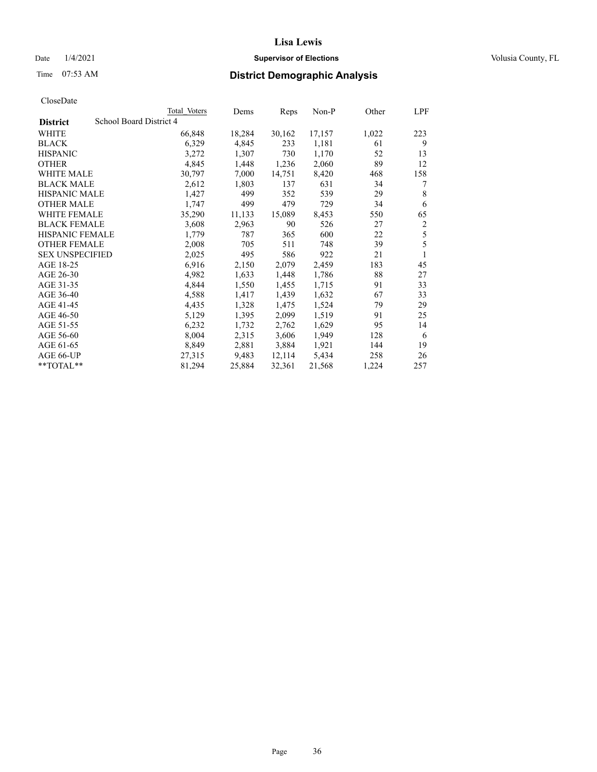# Date  $1/4/2021$  **Supervisor of Elections Supervisor of Elections** Volusia County, FL

# Time 07:53 AM **District Demographic Analysis**

|                        |                         | Total Voters | Dems   | Reps   | Non-P  | Other | LPF |
|------------------------|-------------------------|--------------|--------|--------|--------|-------|-----|
| <b>District</b>        | School Board District 4 |              |        |        |        |       |     |
| WHITE                  |                         | 66,848       | 18,284 | 30,162 | 17,157 | 1,022 | 223 |
| <b>BLACK</b>           |                         | 6,329        | 4,845  | 233    | 1,181  | 61    | 9   |
| <b>HISPANIC</b>        |                         | 3,272        | 1,307  | 730    | 1,170  | 52    | 13  |
| <b>OTHER</b>           |                         | 4,845        | 1,448  | 1,236  | 2,060  | 89    | 12  |
| WHITE MALE             |                         | 30,797       | 7,000  | 14,751 | 8,420  | 468   | 158 |
| <b>BLACK MALE</b>      |                         | 2,612        | 1,803  | 137    | 631    | 34    | 7   |
| <b>HISPANIC MALE</b>   |                         | 1,427        | 499    | 352    | 539    | 29    | 8   |
| <b>OTHER MALE</b>      |                         | 1,747        | 499    | 479    | 729    | 34    | 6   |
| WHITE FEMALE           |                         | 35,290       | 11,133 | 15,089 | 8,453  | 550   | 65  |
| <b>BLACK FEMALE</b>    |                         | 3,608        | 2,963  | 90     | 526    | 27    | 2   |
| <b>HISPANIC FEMALE</b> |                         | 1,779        | 787    | 365    | 600    | 22    | 5   |
| <b>OTHER FEMALE</b>    |                         | 2,008        | 705    | 511    | 748    | 39    | 5   |
| <b>SEX UNSPECIFIED</b> |                         | 2,025        | 495    | 586    | 922    | 21    | 1   |
| AGE 18-25              |                         | 6,916        | 2,150  | 2,079  | 2,459  | 183   | 45  |
| AGE 26-30              |                         | 4,982        | 1,633  | 1,448  | 1,786  | 88    | 27  |
| AGE 31-35              |                         | 4,844        | 1,550  | 1,455  | 1,715  | 91    | 33  |
| AGE 36-40              |                         | 4,588        | 1,417  | 1,439  | 1,632  | 67    | 33  |
| AGE 41-45              |                         | 4,435        | 1,328  | 1,475  | 1,524  | 79    | 29  |
| AGE 46-50              |                         | 5,129        | 1,395  | 2,099  | 1,519  | 91    | 25  |
| AGE 51-55              |                         | 6,232        | 1,732  | 2,762  | 1,629  | 95    | 14  |
| AGE 56-60              |                         | 8,004        | 2,315  | 3,606  | 1,949  | 128   | 6   |
| AGE 61-65              |                         | 8,849        | 2,881  | 3,884  | 1,921  | 144   | 19  |
| AGE 66-UP              |                         | 27,315       | 9,483  | 12,114 | 5,434  | 258   | 26  |
| **TOTAL**              |                         | 81,294       | 25,884 | 32,361 | 21,568 | 1,224 | 257 |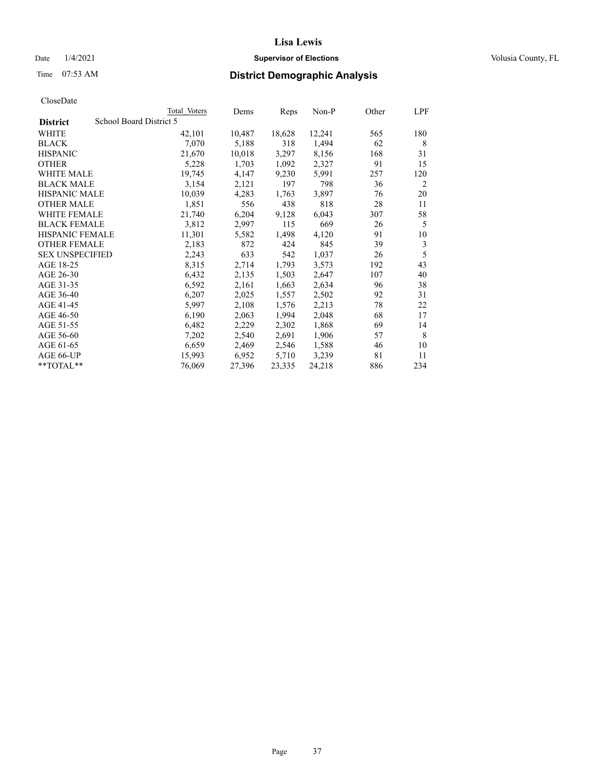## Date  $1/4/2021$  **Supervisor of Elections Supervisor of Elections** Volusia County, FL

# Time 07:53 AM **District Demographic Analysis**

|                        | Total Voters            | Dems   | Reps   | Non-P  | Other | LPF |
|------------------------|-------------------------|--------|--------|--------|-------|-----|
| <b>District</b>        | School Board District 5 |        |        |        |       |     |
| WHITE                  | 42,101                  | 10,487 | 18,628 | 12,241 | 565   | 180 |
| <b>BLACK</b>           | 7,070                   | 5,188  | 318    | 1,494  | 62    | 8   |
| <b>HISPANIC</b>        | 21,670                  | 10,018 | 3,297  | 8,156  | 168   | 31  |
| <b>OTHER</b>           | 5,228                   | 1,703  | 1,092  | 2,327  | 91    | 15  |
| WHITE MALE             | 19,745                  | 4,147  | 9,230  | 5,991  | 257   | 120 |
| <b>BLACK MALE</b>      | 3,154                   | 2,121  | 197    | 798    | 36    | 2   |
| <b>HISPANIC MALE</b>   | 10,039                  | 4,283  | 1,763  | 3,897  | 76    | 20  |
| <b>OTHER MALE</b>      | 1,851                   | 556    | 438    | 818    | 28    | 11  |
| WHITE FEMALE           | 21,740                  | 6,204  | 9,128  | 6,043  | 307   | 58  |
| <b>BLACK FEMALE</b>    | 3,812                   | 2,997  | 115    | 669    | 26    | 5   |
| <b>HISPANIC FEMALE</b> | 11,301                  | 5,582  | 1,498  | 4,120  | 91    | 10  |
| <b>OTHER FEMALE</b>    | 2,183                   | 872    | 424    | 845    | 39    | 3   |
| <b>SEX UNSPECIFIED</b> | 2,243                   | 633    | 542    | 1,037  | 26    | 5   |
| AGE 18-25              | 8,315                   | 2,714  | 1,793  | 3,573  | 192   | 43  |
| AGE 26-30              | 6,432                   | 2,135  | 1,503  | 2,647  | 107   | 40  |
| AGE 31-35              | 6,592                   | 2,161  | 1,663  | 2,634  | 96    | 38  |
| AGE 36-40              | 6,207                   | 2,025  | 1,557  | 2,502  | 92    | 31  |
| AGE 41-45              | 5,997                   | 2,108  | 1,576  | 2,213  | 78    | 22  |
| AGE 46-50              | 6,190                   | 2,063  | 1,994  | 2,048  | 68    | 17  |
| AGE 51-55              | 6,482                   | 2,229  | 2,302  | 1,868  | 69    | 14  |
| AGE 56-60              | 7,202                   | 2,540  | 2,691  | 1,906  | 57    | 8   |
| AGE 61-65              | 6,659                   | 2,469  | 2,546  | 1,588  | 46    | 10  |
| AGE 66-UP              | 15,993                  | 6,952  | 5,710  | 3,239  | 81    | 11  |
| **TOTAL**              | 76,069                  | 27,396 | 23,335 | 24,218 | 886   | 234 |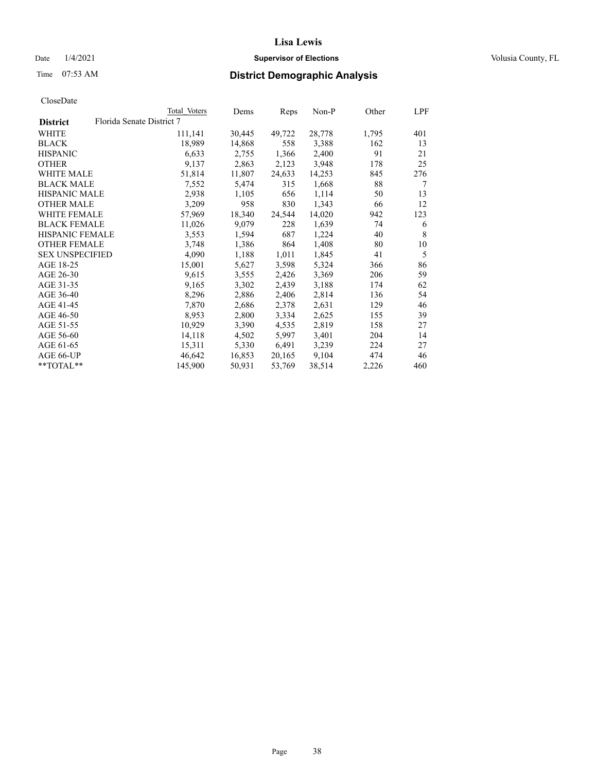## Date  $1/4/2021$  **Supervisor of Elections Supervisor of Elections** Volusia County, FL

|                        |                           | Total Voters | Dems   | Reps   | $Non-P$ | Other | <u>LPF</u> |
|------------------------|---------------------------|--------------|--------|--------|---------|-------|------------|
| <b>District</b>        | Florida Senate District 7 |              |        |        |         |       |            |
| WHITE                  |                           | 111,141      | 30,445 | 49,722 | 28,778  | 1,795 | 401        |
| <b>BLACK</b>           |                           | 18,989       | 14,868 | 558    | 3,388   | 162   | 13         |
| <b>HISPANIC</b>        |                           | 6,633        | 2,755  | 1,366  | 2,400   | 91    | 21         |
| <b>OTHER</b>           |                           | 9,137        | 2,863  | 2,123  | 3,948   | 178   | 25         |
| WHITE MALE             |                           | 51,814       | 11,807 | 24,633 | 14,253  | 845   | 276        |
| <b>BLACK MALE</b>      |                           | 7,552        | 5,474  | 315    | 1,668   | 88    | 7          |
| <b>HISPANIC MALE</b>   |                           | 2,938        | 1,105  | 656    | 1,114   | 50    | 13         |
| <b>OTHER MALE</b>      |                           | 3,209        | 958    | 830    | 1,343   | 66    | 12         |
| <b>WHITE FEMALE</b>    |                           | 57,969       | 18,340 | 24,544 | 14,020  | 942   | 123        |
| <b>BLACK FEMALE</b>    |                           | 11,026       | 9,079  | 228    | 1,639   | 74    | 6          |
| HISPANIC FEMALE        |                           | 3,553        | 1,594  | 687    | 1,224   | 40    | 8          |
| <b>OTHER FEMALE</b>    |                           | 3,748        | 1,386  | 864    | 1,408   | 80    | 10         |
| <b>SEX UNSPECIFIED</b> |                           | 4,090        | 1,188  | 1,011  | 1,845   | 41    | 5          |
| AGE 18-25              |                           | 15,001       | 5,627  | 3,598  | 5,324   | 366   | 86         |
| AGE 26-30              |                           | 9,615        | 3,555  | 2,426  | 3,369   | 206   | 59         |
| AGE 31-35              |                           | 9,165        | 3,302  | 2,439  | 3,188   | 174   | 62         |
| AGE 36-40              |                           | 8,296        | 2,886  | 2,406  | 2,814   | 136   | 54         |
| AGE 41-45              |                           | 7,870        | 2,686  | 2,378  | 2,631   | 129   | 46         |
| AGE 46-50              |                           | 8,953        | 2,800  | 3,334  | 2,625   | 155   | 39         |
| AGE 51-55              |                           | 10,929       | 3,390  | 4,535  | 2,819   | 158   | 27         |
| AGE 56-60              |                           | 14,118       | 4,502  | 5,997  | 3,401   | 204   | 14         |
| AGE 61-65              |                           | 15,311       | 5,330  | 6,491  | 3,239   | 224   | 27         |
| AGE 66-UP              |                           | 46,642       | 16,853 | 20,165 | 9,104   | 474   | 46         |
| $*$ TOTAL $*$          |                           | 145,900      | 50,931 | 53,769 | 38,514  | 2,226 | 460        |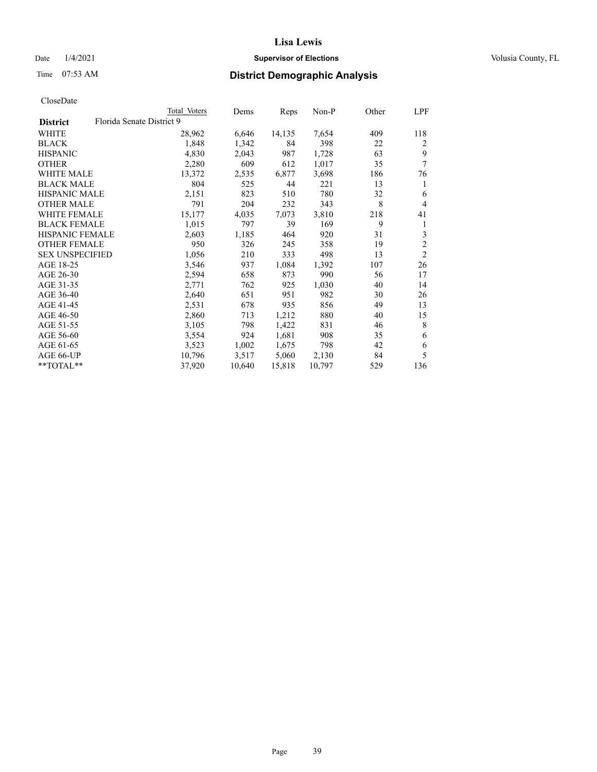## Date  $1/4/2021$  **Supervisor of Elections Supervisor of Elections** Volusia County, FL

## Time 07:53 AM **District Demographic Analysis**

|                        |                           | Total Voters | Dems   | Reps   | $Non-P$ | Other | LPF            |
|------------------------|---------------------------|--------------|--------|--------|---------|-------|----------------|
| <b>District</b>        | Florida Senate District 9 |              |        |        |         |       |                |
| WHITE                  |                           | 28,962       | 6,646  | 14,135 | 7,654   | 409   | 118            |
| <b>BLACK</b>           |                           | 1,848        | 1,342  | 84     | 398     | 22    | 2              |
| <b>HISPANIC</b>        |                           | 4,830        | 2,043  | 987    | 1,728   | 63    | 9              |
| <b>OTHER</b>           |                           | 2,280        | 609    | 612    | 1,017   | 35    | 7              |
| WHITE MALE             |                           | 13,372       | 2,535  | 6,877  | 3,698   | 186   | 76             |
| <b>BLACK MALE</b>      |                           | 804          | 525    | 44     | 221     | 13    | 1              |
| <b>HISPANIC MALE</b>   |                           | 2,151        | 823    | 510    | 780     | 32    | 6              |
| <b>OTHER MALE</b>      |                           | 791          | 204    | 232    | 343     | 8     | $\overline{4}$ |
| WHITE FEMALE           |                           | 15,177       | 4,035  | 7,073  | 3,810   | 218   | 41             |
| <b>BLACK FEMALE</b>    |                           | 1,015        | 797    | 39     | 169     | 9     | 1              |
| HISPANIC FEMALE        |                           | 2,603        | 1,185  | 464    | 920     | 31    | 3              |
| <b>OTHER FEMALE</b>    |                           | 950          | 326    | 245    | 358     | 19    | $\overline{c}$ |
| <b>SEX UNSPECIFIED</b> |                           | 1,056        | 210    | 333    | 498     | 13    | $\overline{2}$ |
| AGE 18-25              |                           | 3,546        | 937    | 1,084  | 1,392   | 107   | 26             |
| AGE 26-30              |                           | 2,594        | 658    | 873    | 990     | 56    | 17             |
| AGE 31-35              |                           | 2,771        | 762    | 925    | 1,030   | 40    | 14             |
| AGE 36-40              |                           | 2,640        | 651    | 951    | 982     | 30    | 26             |
| AGE 41-45              |                           | 2,531        | 678    | 935    | 856     | 49    | 13             |
| AGE 46-50              |                           | 2,860        | 713    | 1,212  | 880     | 40    | 15             |
| AGE 51-55              |                           | 3,105        | 798    | 1,422  | 831     | 46    | 8              |
| AGE 56-60              |                           | 3,554        | 924    | 1,681  | 908     | 35    | 6              |
| AGE 61-65              |                           | 3,523        | 1,002  | 1,675  | 798     | 42    | 6              |
| AGE 66-UP              |                           | 10,796       | 3,517  | 5,060  | 2,130   | 84    | 5              |
| **TOTAL**              |                           | 37,920       | 10,640 | 15,818 | 10,797  | 529   | 136            |
|                        |                           |              |        |        |         |       |                |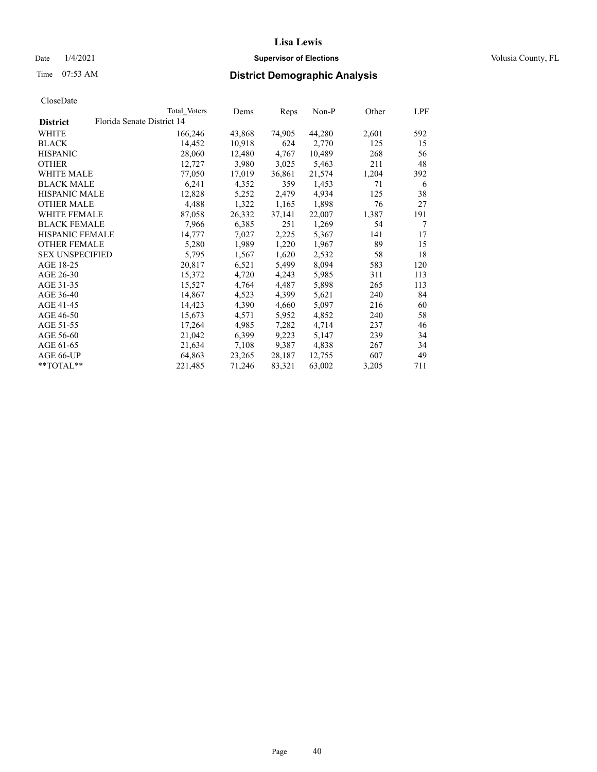## Date  $1/4/2021$  **Supervisor of Elections Supervisor of Elections** Volusia County, FL

|                                               | Total Voters | Dems   | Reps   | Non-P  | Other | LPF |
|-----------------------------------------------|--------------|--------|--------|--------|-------|-----|
| Florida Senate District 14<br><b>District</b> |              |        |        |        |       |     |
| WHITE                                         | 166,246      | 43,868 | 74,905 | 44,280 | 2,601 | 592 |
| <b>BLACK</b>                                  | 14,452       | 10,918 | 624    | 2,770  | 125   | 15  |
| <b>HISPANIC</b>                               | 28,060       | 12,480 | 4,767  | 10,489 | 268   | 56  |
| <b>OTHER</b>                                  | 12,727       | 3,980  | 3,025  | 5,463  | 211   | 48  |
| <b>WHITE MALE</b>                             | 77,050       | 17,019 | 36,861 | 21,574 | 1,204 | 392 |
| <b>BLACK MALE</b>                             | 6,241        | 4,352  | 359    | 1,453  | 71    | 6   |
| <b>HISPANIC MALE</b>                          | 12,828       | 5,252  | 2,479  | 4,934  | 125   | 38  |
| <b>OTHER MALE</b>                             | 4,488        | 1,322  | 1,165  | 1,898  | 76    | 27  |
| <b>WHITE FEMALE</b>                           | 87,058       | 26,332 | 37,141 | 22,007 | 1,387 | 191 |
| <b>BLACK FEMALE</b>                           | 7,966        | 6,385  | 251    | 1,269  | 54    | 7   |
| <b>HISPANIC FEMALE</b>                        | 14,777       | 7,027  | 2,225  | 5,367  | 141   | 17  |
| <b>OTHER FEMALE</b>                           | 5,280        | 1,989  | 1,220  | 1,967  | 89    | 15  |
| <b>SEX UNSPECIFIED</b>                        | 5,795        | 1,567  | 1,620  | 2,532  | 58    | 18  |
| AGE 18-25                                     | 20,817       | 6,521  | 5,499  | 8,094  | 583   | 120 |
| AGE 26-30                                     | 15,372       | 4,720  | 4,243  | 5,985  | 311   | 113 |
| AGE 31-35                                     | 15,527       | 4,764  | 4,487  | 5,898  | 265   | 113 |
| AGE 36-40                                     | 14,867       | 4,523  | 4,399  | 5,621  | 240   | 84  |
| AGE 41-45                                     | 14,423       | 4,390  | 4,660  | 5,097  | 216   | 60  |
| AGE 46-50                                     | 15,673       | 4,571  | 5,952  | 4,852  | 240   | 58  |
| AGE 51-55                                     | 17,264       | 4,985  | 7,282  | 4,714  | 237   | 46  |
| AGE 56-60                                     | 21,042       | 6,399  | 9,223  | 5,147  | 239   | 34  |
| AGE 61-65                                     | 21,634       | 7,108  | 9,387  | 4,838  | 267   | 34  |
| AGE 66-UP                                     | 64,863       | 23,265 | 28,187 | 12,755 | 607   | 49  |
| $*$ TOTAL $*$                                 | 221,485      | 71,246 | 83,321 | 63,002 | 3,205 | 711 |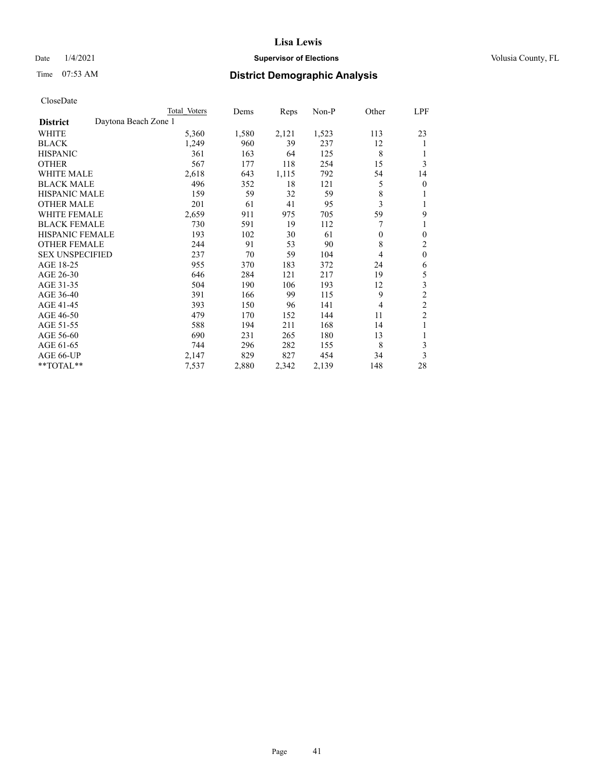## Date  $1/4/2021$  **Supervisor of Elections Supervisor of Elections** Volusia County, FL

# Time 07:53 AM **District Demographic Analysis**

|                        |                      | Total Voters | Dems  | Reps  | Non-P | Other    | LPF            |
|------------------------|----------------------|--------------|-------|-------|-------|----------|----------------|
| <b>District</b>        | Daytona Beach Zone 1 |              |       |       |       |          |                |
| WHITE                  |                      | 5,360        | 1,580 | 2,121 | 1,523 | 113      | 23             |
| <b>BLACK</b>           |                      | 1,249        | 960   | 39    | 237   | 12       | 1              |
| <b>HISPANIC</b>        |                      | 361          | 163   | 64    | 125   | 8        | 1              |
| <b>OTHER</b>           |                      | 567          | 177   | 118   | 254   | 15       | 3              |
| <b>WHITE MALE</b>      |                      | 2,618        | 643   | 1,115 | 792   | 54       | 14             |
| <b>BLACK MALE</b>      |                      | 496          | 352   | 18    | 121   | 5        | $\mathbf{0}$   |
| <b>HISPANIC MALE</b>   |                      | 159          | 59    | 32    | 59    | 8        | 1              |
| <b>OTHER MALE</b>      |                      | 201          | 61    | 41    | 95    | 3        | 1              |
| <b>WHITE FEMALE</b>    |                      | 2,659        | 911   | 975   | 705   | 59       | 9              |
| <b>BLACK FEMALE</b>    |                      | 730          | 591   | 19    | 112   |          | 1              |
| <b>HISPANIC FEMALE</b> |                      | 193          | 102   | 30    | 61    | $\theta$ | $\theta$       |
| <b>OTHER FEMALE</b>    |                      | 244          | 91    | 53    | 90    | 8        | 2              |
| <b>SEX UNSPECIFIED</b> |                      | 237          | 70    | 59    | 104   | 4        | $\mathbf{0}$   |
| AGE 18-25              |                      | 955          | 370   | 183   | 372   | 24       | 6              |
| AGE 26-30              |                      | 646          | 284   | 121   | 217   | 19       | 5              |
| AGE 31-35              |                      | 504          | 190   | 106   | 193   | 12       | 3              |
| AGE 36-40              |                      | 391          | 166   | 99    | 115   | 9        | $\mathfrak{2}$ |
| AGE 41-45              |                      | 393          | 150   | 96    | 141   | 4        | $\overline{c}$ |
| AGE 46-50              |                      | 479          | 170   | 152   | 144   | 11       | $\overline{c}$ |
| AGE 51-55              |                      | 588          | 194   | 211   | 168   | 14       | 1              |
| AGE 56-60              |                      | 690          | 231   | 265   | 180   | 13       |                |
| AGE 61-65              |                      | 744          | 296   | 282   | 155   | 8        | 3              |
| AGE 66-UP              |                      | 2,147        | 829   | 827   | 454   | 34       | 3              |
| **TOTAL**              |                      | 7,537        | 2,880 | 2,342 | 2,139 | 148      | 28             |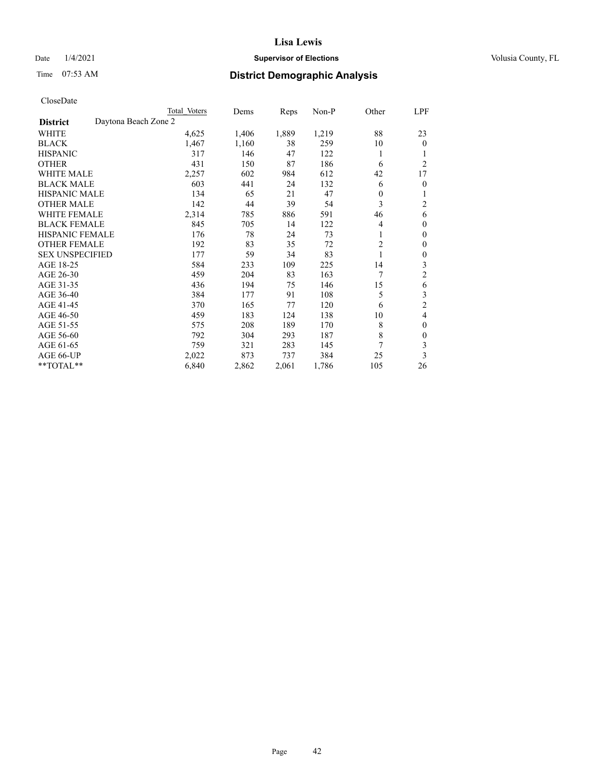## Date  $1/4/2021$  **Supervisor of Elections Supervisor of Elections** Volusia County, FL

| CloseDate |
|-----------|
|-----------|

|                                         | Total Voters | Dems  | Reps  | Non-P | Other          | LPF              |
|-----------------------------------------|--------------|-------|-------|-------|----------------|------------------|
| Daytona Beach Zone 2<br><b>District</b> |              |       |       |       |                |                  |
| WHITE                                   | 4,625        | 1,406 | 1,889 | 1,219 | 88             | 23               |
| <b>BLACK</b>                            | 1,467        | 1,160 | 38    | 259   | 10             | $\mathbf{0}$     |
| <b>HISPANIC</b>                         | 317          | 146   | 47    | 122   | 1              | 1                |
| <b>OTHER</b>                            | 431          | 150   | 87    | 186   | 6              | $\overline{2}$   |
| <b>WHITE MALE</b>                       | 2,257        | 602   | 984   | 612   | 42             | 17               |
| <b>BLACK MALE</b>                       | 603          | 441   | 24    | 132   | 6              | $\overline{0}$   |
| <b>HISPANIC MALE</b>                    | 134          | 65    | 21    | 47    | $\theta$       | 1                |
| <b>OTHER MALE</b>                       | 142          | 44    | 39    | 54    | 3              | 2                |
| <b>WHITE FEMALE</b>                     | 2,314        | 785   | 886   | 591   | 46             | 6                |
| <b>BLACK FEMALE</b>                     | 845          | 705   | 14    | 122   | 4              | $\mathbf{0}$     |
| <b>HISPANIC FEMALE</b>                  | 176          | 78    | 24    | 73    | 1              | $\mathbf{0}$     |
| <b>OTHER FEMALE</b>                     | 192          | 83    | 35    | 72    | $\overline{c}$ | $\mathbf{0}$     |
| <b>SEX UNSPECIFIED</b>                  | 177          | 59    | 34    | 83    | 1              | $\boldsymbol{0}$ |
| AGE 18-25                               | 584          | 233   | 109   | 225   | 14             | 3                |
| AGE 26-30                               | 459          | 204   | 83    | 163   | 7              | $\overline{c}$   |
| AGE 31-35                               | 436          | 194   | 75    | 146   | 15             | 6                |
| AGE 36-40                               | 384          | 177   | 91    | 108   | 5              | 3                |
| AGE 41-45                               | 370          | 165   | 77    | 120   | 6              | $\overline{c}$   |
| AGE 46-50                               | 459          | 183   | 124   | 138   | 10             | 4                |
| AGE 51-55                               | 575          | 208   | 189   | 170   | 8              | $\mathbf{0}$     |
| AGE 56-60                               | 792          | 304   | 293   | 187   | 8              | $\mathbf{0}$     |
| AGE 61-65                               | 759          | 321   | 283   | 145   | 7              | 3                |
| AGE 66-UP                               | 2,022        | 873   | 737   | 384   | 25             | 3                |
| **TOTAL**                               | 6,840        | 2,862 | 2,061 | 1,786 | 105            | 26               |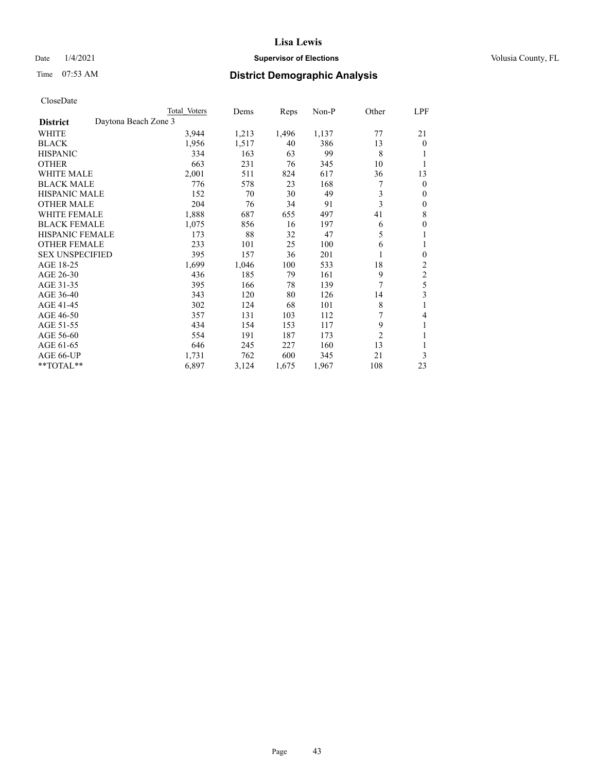## Date  $1/4/2021$  **Supervisor of Elections Supervisor of Elections** Volusia County, FL

|                                         | Total Voters | Dems  | Reps  | Non-P | Other          | LPF            |
|-----------------------------------------|--------------|-------|-------|-------|----------------|----------------|
| Daytona Beach Zone 3<br><b>District</b> |              |       |       |       |                |                |
| WHITE                                   | 3,944        | 1,213 | 1,496 | 1,137 | 77             | 21             |
| <b>BLACK</b>                            | 1,956        | 1,517 | 40    | 386   | 13             | $\theta$       |
| <b>HISPANIC</b>                         | 334          | 163   | 63    | 99    | 8              | 1              |
| <b>OTHER</b>                            | 663          | 231   | 76    | 345   | 10             | 1              |
| <b>WHITE MALE</b>                       | 2,001        | 511   | 824   | 617   | 36             | 13             |
| <b>BLACK MALE</b>                       | 776          | 578   | 23    | 168   | 7              | $\mathbf{0}$   |
| <b>HISPANIC MALE</b>                    | 152          | 70    | 30    | 49    | 3              | $\mathbf{0}$   |
| <b>OTHER MALE</b>                       | 204          | 76    | 34    | 91    | 3              | $\mathbf{0}$   |
| <b>WHITE FEMALE</b>                     | 1,888        | 687   | 655   | 497   | 41             | $\,$ 8 $\,$    |
| <b>BLACK FEMALE</b>                     | 1,075        | 856   | 16    | 197   | 6              | $\mathbf{0}$   |
| <b>HISPANIC FEMALE</b>                  | 173          | 88    | 32    | 47    | 5              | 1              |
| <b>OTHER FEMALE</b>                     | 233          | 101   | 25    | 100   | 6              | 1              |
| <b>SEX UNSPECIFIED</b>                  | 395          | 157   | 36    | 201   | 1              | $\mathbf{0}$   |
| AGE 18-25                               | 1,699        | 1,046 | 100   | 533   | 18             | $\overline{c}$ |
| AGE 26-30                               | 436          | 185   | 79    | 161   | 9              | $\sqrt{2}$     |
| AGE 31-35                               | 395          | 166   | 78    | 139   | 7              | 5              |
| AGE 36-40                               | 343          | 120   | 80    | 126   | 14             | 3              |
| AGE 41-45                               | 302          | 124   | 68    | 101   | $\,$ 8 $\,$    | 1              |
| AGE 46-50                               | 357          | 131   | 103   | 112   | 7              | 4              |
| AGE 51-55                               | 434          | 154   | 153   | 117   | 9              | 1              |
| AGE 56-60                               | 554          | 191   | 187   | 173   | $\overline{2}$ | 1              |
| AGE 61-65                               | 646          | 245   | 227   | 160   | 13             | 1              |
| AGE 66-UP                               | 1,731        | 762   | 600   | 345   | 21             | 3              |
| **TOTAL**                               | 6,897        | 3,124 | 1,675 | 1,967 | 108            | 23             |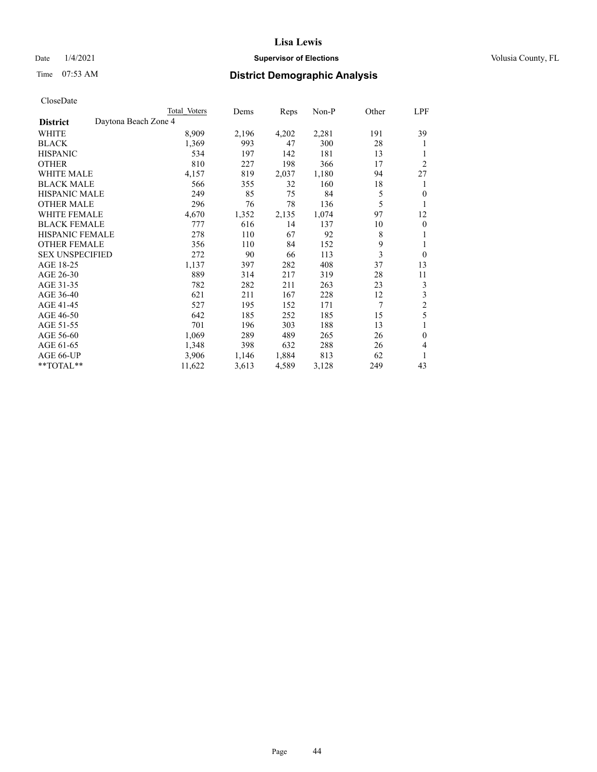## Date  $1/4/2021$  **Supervisor of Elections Supervisor of Elections** Volusia County, FL

|                                         | Total Voters | Dems  | Reps  | Non-P | Other | LPF            |
|-----------------------------------------|--------------|-------|-------|-------|-------|----------------|
| Daytona Beach Zone 4<br><b>District</b> |              |       |       |       |       |                |
| WHITE                                   | 8,909        | 2,196 | 4,202 | 2,281 | 191   | 39             |
| <b>BLACK</b>                            | 1,369        | 993   | 47    | 300   | 28    | 1              |
| <b>HISPANIC</b>                         | 534          | 197   | 142   | 181   | 13    | 1              |
| <b>OTHER</b>                            | 810          | 227   | 198   | 366   | 17    | $\overline{2}$ |
| <b>WHITE MALE</b>                       | 4,157        | 819   | 2,037 | 1,180 | 94    | 27             |
| <b>BLACK MALE</b>                       | 566          | 355   | 32    | 160   | 18    | 1              |
| <b>HISPANIC MALE</b>                    | 249          | 85    | 75    | 84    | 5     | $\theta$       |
| <b>OTHER MALE</b>                       | 296          | 76    | 78    | 136   | 5     | 1              |
| <b>WHITE FEMALE</b>                     | 4,670        | 1,352 | 2,135 | 1,074 | 97    | 12             |
| <b>BLACK FEMALE</b>                     | 777          | 616   | 14    | 137   | 10    | $\overline{0}$ |
| <b>HISPANIC FEMALE</b>                  | 278          | 110   | 67    | 92    | 8     | 1              |
| <b>OTHER FEMALE</b>                     | 356          | 110   | 84    | 152   | 9     | 1              |
| <b>SEX UNSPECIFIED</b>                  | 272          | 90    | 66    | 113   | 3     | $\overline{0}$ |
| AGE 18-25                               | 1,137        | 397   | 282   | 408   | 37    | 13             |
| AGE 26-30                               | 889          | 314   | 217   | 319   | 28    | 11             |
| AGE 31-35                               | 782          | 282   | 211   | 263   | 23    | 3              |
| AGE 36-40                               | 621          | 211   | 167   | 228   | 12    | 3              |
| AGE 41-45                               | 527          | 195   | 152   | 171   | 7     | $\frac{2}{5}$  |
| AGE 46-50                               | 642          | 185   | 252   | 185   | 15    |                |
| AGE 51-55                               | 701          | 196   | 303   | 188   | 13    | 1              |
| AGE 56-60                               | 1,069        | 289   | 489   | 265   | 26    | $\mathbf{0}$   |
| AGE 61-65                               | 1,348        | 398   | 632   | 288   | 26    | 4              |
| AGE 66-UP                               | 3,906        | 1,146 | 1,884 | 813   | 62    | 1              |
| **TOTAL**                               | 11,622       | 3,613 | 4,589 | 3,128 | 249   | 43             |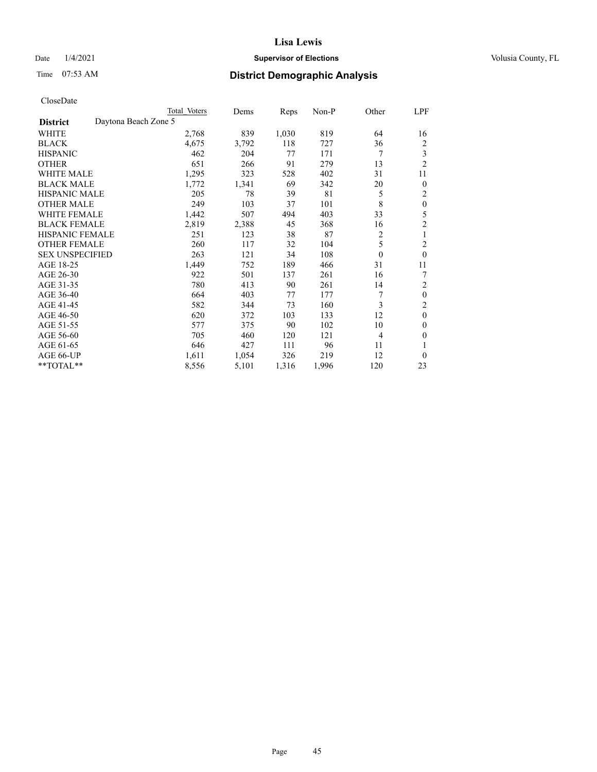## Date  $1/4/2021$  **Supervisor of Elections Supervisor of Elections** Volusia County, FL

## Time 07:53 AM **District Demographic Analysis**

|                                         | Total Voters | Dems  | Reps  | Non-P | Other          | LPF            |
|-----------------------------------------|--------------|-------|-------|-------|----------------|----------------|
| Daytona Beach Zone 5<br><b>District</b> |              |       |       |       |                |                |
| WHITE                                   | 2,768        | 839   | 1,030 | 819   | 64             | 16             |
| <b>BLACK</b>                            | 4,675        | 3,792 | 118   | 727   | 36             | 2              |
| <b>HISPANIC</b>                         | 462          | 204   | 77    | 171   | 7              | 3              |
| <b>OTHER</b>                            | 651          | 266   | 91    | 279   | 13             | $\overline{c}$ |
| <b>WHITE MALE</b>                       | 1,295        | 323   | 528   | 402   | 31             | 11             |
| <b>BLACK MALE</b>                       | 1,772        | 1,341 | 69    | 342   | 20             | $\overline{0}$ |
| <b>HISPANIC MALE</b>                    | 205          | 78    | 39    | 81    | 5              | 2              |
| <b>OTHER MALE</b>                       | 249          | 103   | 37    | 101   | 8              | $\theta$       |
| WHITE FEMALE                            | 1,442        | 507   | 494   | 403   | 33             | 5              |
| <b>BLACK FEMALE</b>                     | 2,819        | 2,388 | 45    | 368   | 16             | 2              |
| <b>HISPANIC FEMALE</b>                  | 251          | 123   | 38    | 87    | 2              | 1              |
| <b>OTHER FEMALE</b>                     | 260          | 117   | 32    | 104   | 5              | 2              |
| <b>SEX UNSPECIFIED</b>                  | 263          | 121   | 34    | 108   | $\theta$       | $\theta$       |
| AGE 18-25                               | 1,449        | 752   | 189   | 466   | 31             | 11             |
| AGE 26-30                               | 922          | 501   | 137   | 261   | 16             | 7              |
| AGE 31-35                               | 780          | 413   | 90    | 261   | 14             | 2              |
| AGE 36-40                               | 664          | 403   | 77    | 177   | 7              | $\theta$       |
| AGE 41-45                               | 582          | 344   | 73    | 160   | 3              | 2              |
| AGE 46-50                               | 620          | 372   | 103   | 133   | 12             | $\mathbf{0}$   |
| AGE 51-55                               | 577          | 375   | 90    | 102   | 10             | 0              |
| AGE 56-60                               | 705          | 460   | 120   | 121   | $\overline{4}$ | 0              |
| AGE 61-65                               | 646          | 427   | 111   | 96    | 11             |                |
| AGE 66-UP                               | 1,611        | 1,054 | 326   | 219   | 12             | 0              |
| $*$ $TOTAL**$                           | 8,556        | 5,101 | 1,316 | 1,996 | 120            | 23             |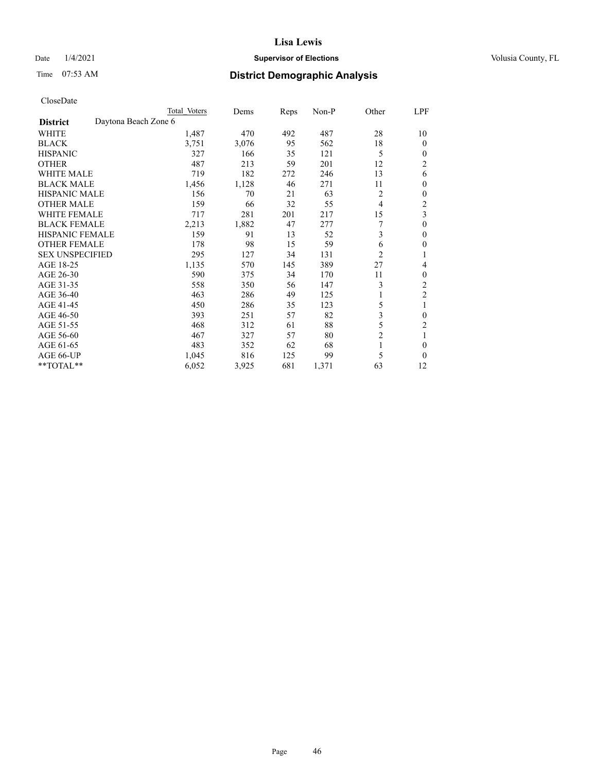## Date  $1/4/2021$  **Supervisor of Elections Supervisor of Elections** Volusia County, FL

|                                         | Total Voters | Dems  | Reps | $Non-P$ | Other          | LPF                     |
|-----------------------------------------|--------------|-------|------|---------|----------------|-------------------------|
| Daytona Beach Zone 6<br><b>District</b> |              |       |      |         |                |                         |
| WHITE                                   | 1,487        | 470   | 492  | 487     | 28             | 10                      |
| <b>BLACK</b>                            | 3,751        | 3,076 | 95   | 562     | 18             | $\theta$                |
| <b>HISPANIC</b>                         | 327          | 166   | 35   | 121     | 5              | $\theta$                |
| <b>OTHER</b>                            | 487          | 213   | 59   | 201     | 12             | 2                       |
| <b>WHITE MALE</b>                       | 719          | 182   | 272  | 246     | 13             | 6                       |
| <b>BLACK MALE</b>                       | 1,456        | 1,128 | 46   | 271     | 11             | $\theta$                |
| HISPANIC MALE                           | 156          | 70    | 21   | 63      | 2              | $\theta$                |
| <b>OTHER MALE</b>                       | 159          | 66    | 32   | 55      | 4              | 2                       |
| WHITE FEMALE                            | 717          | 281   | 201  | 217     | 15             | $\overline{\mathbf{3}}$ |
| <b>BLACK FEMALE</b>                     | 2,213        | 1,882 | 47   | 277     | 7              | $\mathbf{0}$            |
| HISPANIC FEMALE                         | 159          | 91    | 13   | 52      | 3              | $\theta$                |
| <b>OTHER FEMALE</b>                     | 178          | 98    | 15   | 59      | 6              | $\theta$                |
| <b>SEX UNSPECIFIED</b>                  | 295          | 127   | 34   | 131     | $\overline{2}$ | 1                       |
| AGE 18-25                               | 1,135        | 570   | 145  | 389     | 27             | 4                       |
| AGE 26-30                               | 590          | 375   | 34   | 170     | 11             | $\mathbf{0}$            |
| AGE 31-35                               | 558          | 350   | 56   | 147     | 3              | 2                       |
| AGE 36-40                               | 463          | 286   | 49   | 125     |                | $\overline{\mathbf{c}}$ |
| AGE 41-45                               | 450          | 286   | 35   | 123     | 5              |                         |
| AGE 46-50                               | 393          | 251   | 57   | 82      | 3              | $\theta$                |
| AGE 51-55                               | 468          | 312   | 61   | 88      | 5              | 2                       |
| AGE 56-60                               | 467          | 327   | 57   | 80      | $\overline{c}$ | 1                       |
| AGE 61-65                               | 483          | 352   | 62   | 68      | 1              | $\theta$                |
| AGE 66-UP                               | 1,045        | 816   | 125  | 99      | 5              | $\theta$                |
| $**TOTAL**$                             | 6,052        | 3,925 | 681  | 1,371   | 63             | 12                      |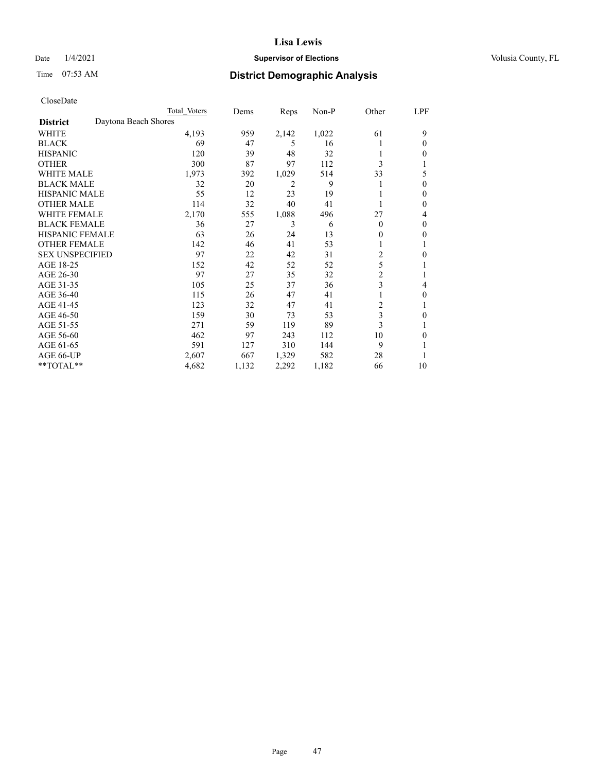## Date  $1/4/2021$  **Supervisor of Elections Supervisor of Elections** Volusia County, FL

|                        | Total Voters         | Dems  | Reps  | Non-P | Other          | LPF    |
|------------------------|----------------------|-------|-------|-------|----------------|--------|
| <b>District</b>        | Daytona Beach Shores |       |       |       |                |        |
| WHITE                  | 4,193                | 959   | 2,142 | 1,022 | 61             | 9      |
| <b>BLACK</b>           | 69                   | 47    | 5     | 16    |                | 0      |
| <b>HISPANIC</b>        | 120                  | 39    | 48    | 32    |                | $_{0}$ |
| <b>OTHER</b>           | 300                  | 87    | 97    | 112   | 3              |        |
| <b>WHITE MALE</b>      | 1,973                | 392   | 1,029 | 514   | 33             | 5      |
| <b>BLACK MALE</b>      | 32                   | 20    | 2     | 9     |                | 0      |
| <b>HISPANIC MALE</b>   | 55                   | 12    | 23    | 19    |                | 0      |
| <b>OTHER MALE</b>      | 114                  | 32    | 40    | 41    |                | 0      |
| WHITE FEMALE           | 2,170                | 555   | 1,088 | 496   | 27             | 4      |
| <b>BLACK FEMALE</b>    | 36                   | 27    | 3     | 6     | $\Omega$       | 0      |
| <b>HISPANIC FEMALE</b> | 63                   | 26    | 24    | 13    | 0              | 0      |
| <b>OTHER FEMALE</b>    | 142                  | 46    | 41    | 53    |                |        |
| <b>SEX UNSPECIFIED</b> | 97                   | 22    | 42    | 31    | 2              | 0      |
| AGE 18-25              | 152                  | 42    | 52    | 52    | 5              |        |
| AGE 26-30              | 97                   | 27    | 35    | 32    | $\overline{c}$ |        |
| AGE 31-35              | 105                  | 25    | 37    | 36    | 3              | 4      |
| AGE 36-40              | 115                  | 26    | 47    | 41    |                | 0      |
| AGE 41-45              | 123                  | 32    | 47    | 41    | 2              |        |
| AGE 46-50              | 159                  | 30    | 73    | 53    | 3              | 0      |
| AGE 51-55              | 271                  | 59    | 119   | 89    | 3              |        |
| AGE 56-60              | 462                  | 97    | 243   | 112   | 10             | 0      |
| AGE 61-65              | 591                  | 127   | 310   | 144   | 9              |        |
| AGE 66-UP              | 2,607                | 667   | 1,329 | 582   | 28             |        |
| **TOTAL**              | 4,682                | 1,132 | 2,292 | 1,182 | 66             | 10     |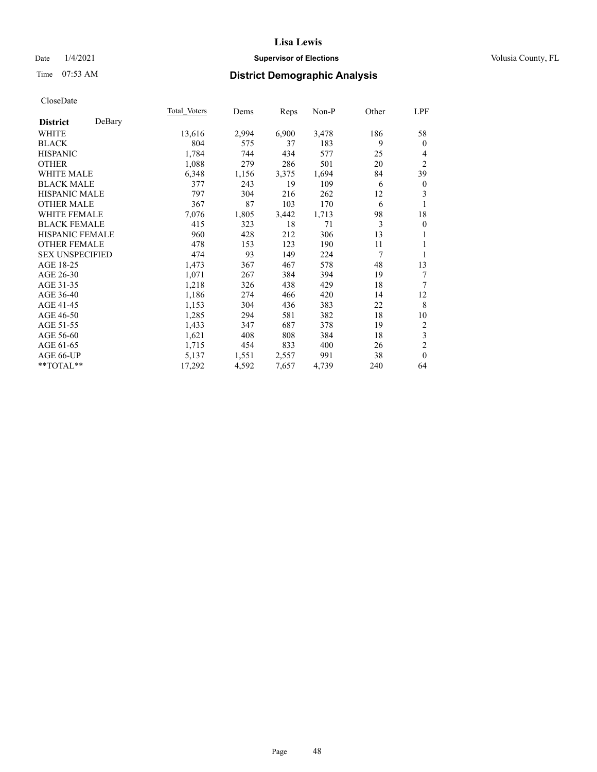## Date  $1/4/2021$  **Supervisor of Elections Supervisor of Elections** Volusia County, FL

## Time 07:53 AM **District Demographic Analysis**

|                        |        | Total Voters | Dems  | Reps  | Non-P | Other | LPF              |
|------------------------|--------|--------------|-------|-------|-------|-------|------------------|
| <b>District</b>        | DeBary |              |       |       |       |       |                  |
| WHITE                  |        | 13,616       | 2,994 | 6,900 | 3,478 | 186   | 58               |
| <b>BLACK</b>           |        | 804          | 575   | 37    | 183   | 9     | $\theta$         |
| <b>HISPANIC</b>        |        | 1,784        | 744   | 434   | 577   | 25    | 4                |
| <b>OTHER</b>           |        | 1,088        | 279   | 286   | 501   | 20    | $\overline{2}$   |
| <b>WHITE MALE</b>      |        | 6,348        | 1,156 | 3,375 | 1,694 | 84    | 39               |
| <b>BLACK MALE</b>      |        | 377          | 243   | 19    | 109   | 6     | $\boldsymbol{0}$ |
| <b>HISPANIC MALE</b>   |        | 797          | 304   | 216   | 262   | 12    | 3                |
| <b>OTHER MALE</b>      |        | 367          | 87    | 103   | 170   | 6     | 1                |
| <b>WHITE FEMALE</b>    |        | 7,076        | 1,805 | 3,442 | 1,713 | 98    | 18               |
| <b>BLACK FEMALE</b>    |        | 415          | 323   | 18    | 71    | 3     | $\boldsymbol{0}$ |
| <b>HISPANIC FEMALE</b> |        | 960          | 428   | 212   | 306   | 13    |                  |
| <b>OTHER FEMALE</b>    |        | 478          | 153   | 123   | 190   | 11    | 1                |
| <b>SEX UNSPECIFIED</b> |        | 474          | 93    | 149   | 224   | 7     | 1                |
| AGE 18-25              |        | 1,473        | 367   | 467   | 578   | 48    | 13               |
| AGE 26-30              |        | 1,071        | 267   | 384   | 394   | 19    | 7                |
| AGE 31-35              |        | 1,218        | 326   | 438   | 429   | 18    | $\tau$           |
| AGE 36-40              |        | 1,186        | 274   | 466   | 420   | 14    | 12               |
| AGE 41-45              |        | 1,153        | 304   | 436   | 383   | 22    | 8                |
| AGE 46-50              |        | 1,285        | 294   | 581   | 382   | 18    | 10               |
| AGE 51-55              |        | 1,433        | 347   | 687   | 378   | 19    | 2                |
| AGE 56-60              |        | 1,621        | 408   | 808   | 384   | 18    | 3                |
| AGE 61-65              |        | 1,715        | 454   | 833   | 400   | 26    | $\mathfrak{2}$   |
| AGE 66-UP              |        | 5,137        | 1,551 | 2,557 | 991   | 38    | $\mathbf{0}$     |
| **TOTAL**              |        | 17,292       | 4,592 | 7,657 | 4,739 | 240   | 64               |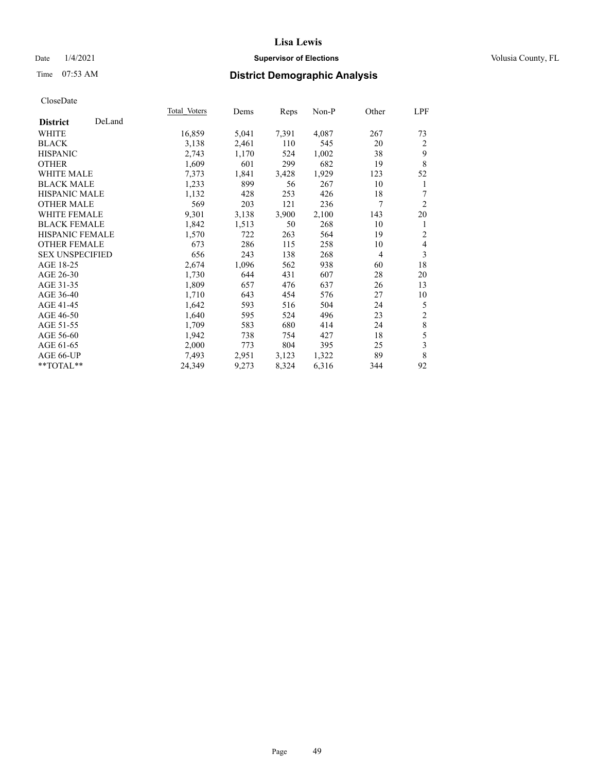## Date  $1/4/2021$  **Supervisor of Elections Supervisor of Elections** Volusia County, FL

## Time 07:53 AM **District Demographic Analysis**

|                        |        | Total Voters | Dems  | Reps  | Non-P | Other | LPF            |
|------------------------|--------|--------------|-------|-------|-------|-------|----------------|
| <b>District</b>        | DeLand |              |       |       |       |       |                |
| WHITE                  |        | 16,859       | 5,041 | 7,391 | 4,087 | 267   | 73             |
| <b>BLACK</b>           |        | 3,138        | 2,461 | 110   | 545   | 20    | $\overline{2}$ |
| <b>HISPANIC</b>        |        | 2,743        | 1,170 | 524   | 1,002 | 38    | 9              |
| <b>OTHER</b>           |        | 1,609        | 601   | 299   | 682   | 19    | 8              |
| <b>WHITE MALE</b>      |        | 7,373        | 1,841 | 3,428 | 1,929 | 123   | 52             |
| <b>BLACK MALE</b>      |        | 1,233        | 899   | 56    | 267   | 10    | 1              |
| <b>HISPANIC MALE</b>   |        | 1,132        | 428   | 253   | 426   | 18    | 7              |
| <b>OTHER MALE</b>      |        | 569          | 203   | 121   | 236   | 7     | $\overline{2}$ |
| <b>WHITE FEMALE</b>    |        | 9,301        | 3,138 | 3,900 | 2,100 | 143   | 20             |
| <b>BLACK FEMALE</b>    |        | 1,842        | 1,513 | 50    | 268   | 10    | 1              |
| <b>HISPANIC FEMALE</b> |        | 1,570        | 722   | 263   | 564   | 19    | $\overline{2}$ |
| <b>OTHER FEMALE</b>    |        | 673          | 286   | 115   | 258   | 10    | $\overline{4}$ |
| <b>SEX UNSPECIFIED</b> |        | 656          | 243   | 138   | 268   | 4     | 3              |
| AGE 18-25              |        | 2,674        | 1,096 | 562   | 938   | 60    | 18             |
| AGE 26-30              |        | 1,730        | 644   | 431   | 607   | 28    | 20             |
| AGE 31-35              |        | 1,809        | 657   | 476   | 637   | 26    | 13             |
| AGE 36-40              |        | 1,710        | 643   | 454   | 576   | 27    | 10             |
| AGE 41-45              |        | 1,642        | 593   | 516   | 504   | 24    | 5              |
| AGE 46-50              |        | 1,640        | 595   | 524   | 496   | 23    | $\sqrt{2}$     |
| AGE 51-55              |        | 1,709        | 583   | 680   | 414   | 24    | $\,$ $\,$      |
| AGE 56-60              |        | 1,942        | 738   | 754   | 427   | 18    | 5              |
| AGE 61-65              |        | 2,000        | 773   | 804   | 395   | 25    | $\overline{3}$ |
| AGE 66-UP              |        | 7,493        | 2,951 | 3,123 | 1,322 | 89    | $\,8\,$        |
| $**TOTAL**$            |        | 24,349       | 9,273 | 8,324 | 6,316 | 344   | 92             |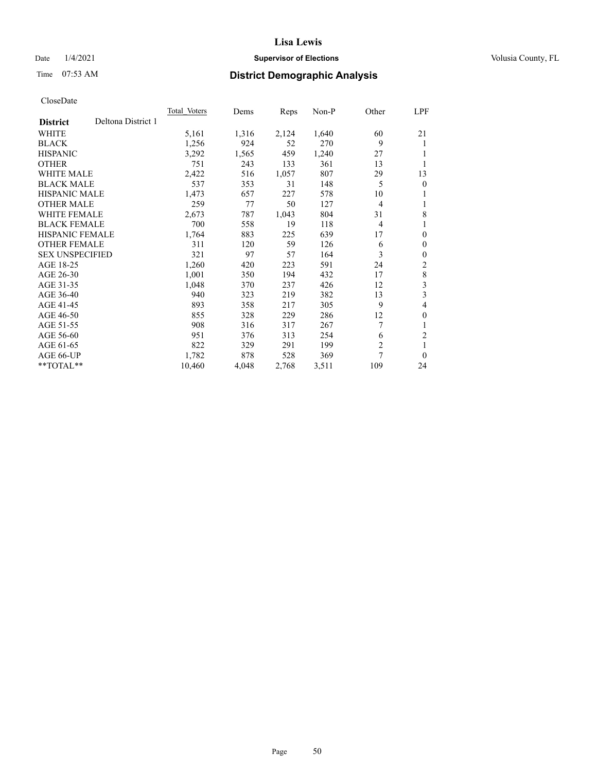## Date  $1/4/2021$  **Supervisor of Elections Supervisor of Elections** Volusia County, FL

# Time 07:53 AM **District Demographic Analysis**

|                        |                    | Total Voters | Dems  | Reps  | Non-P | Other          | LPF            |
|------------------------|--------------------|--------------|-------|-------|-------|----------------|----------------|
| <b>District</b>        | Deltona District 1 |              |       |       |       |                |                |
| WHITE                  |                    | 5,161        | 1,316 | 2,124 | 1,640 | 60             | 21             |
| <b>BLACK</b>           |                    | 1,256        | 924   | 52    | 270   | 9              | 1              |
| <b>HISPANIC</b>        |                    | 3,292        | 1,565 | 459   | 1,240 | 27             | 1              |
| <b>OTHER</b>           |                    | 751          | 243   | 133   | 361   | 13             | 1              |
| <b>WHITE MALE</b>      |                    | 2,422        | 516   | 1,057 | 807   | 29             | 13             |
| <b>BLACK MALE</b>      |                    | 537          | 353   | 31    | 148   | 5              | $\mathbf{0}$   |
| <b>HISPANIC MALE</b>   |                    | 1,473        | 657   | 227   | 578   | 10             | 1              |
| <b>OTHER MALE</b>      |                    | 259          | 77    | 50    | 127   | $\overline{4}$ | 1              |
| WHITE FEMALE           |                    | 2,673        | 787   | 1,043 | 804   | 31             | 8              |
| <b>BLACK FEMALE</b>    |                    | 700          | 558   | 19    | 118   | $\overline{4}$ | 1              |
| <b>HISPANIC FEMALE</b> |                    | 1,764        | 883   | 225   | 639   | 17             | $\theta$       |
| <b>OTHER FEMALE</b>    |                    | 311          | 120   | 59    | 126   | 6              | $\theta$       |
| <b>SEX UNSPECIFIED</b> |                    | 321          | 97    | 57    | 164   | 3              | $\mathbf{0}$   |
| AGE 18-25              |                    | 1,260        | 420   | 223   | 591   | 24             | 2              |
| AGE 26-30              |                    | 1,001        | 350   | 194   | 432   | 17             | $\,$ $\,$      |
| AGE 31-35              |                    | 1,048        | 370   | 237   | 426   | 12             | 3              |
| AGE 36-40              |                    | 940          | 323   | 219   | 382   | 13             | 3              |
| AGE 41-45              |                    | 893          | 358   | 217   | 305   | 9              | 4              |
| AGE 46-50              |                    | 855          | 328   | 229   | 286   | 12             | $\mathbf{0}$   |
| AGE 51-55              |                    | 908          | 316   | 317   | 267   | 7              | 1              |
| AGE 56-60              |                    | 951          | 376   | 313   | 254   | 6              | $\overline{c}$ |
| AGE 61-65              |                    | 822          | 329   | 291   | 199   | $\overline{2}$ | 1              |
| AGE 66-UP              |                    | 1,782        | 878   | 528   | 369   | 7              | $\theta$       |
| $**TOTAL**$            |                    | 10,460       | 4,048 | 2,768 | 3,511 | 109            | 24             |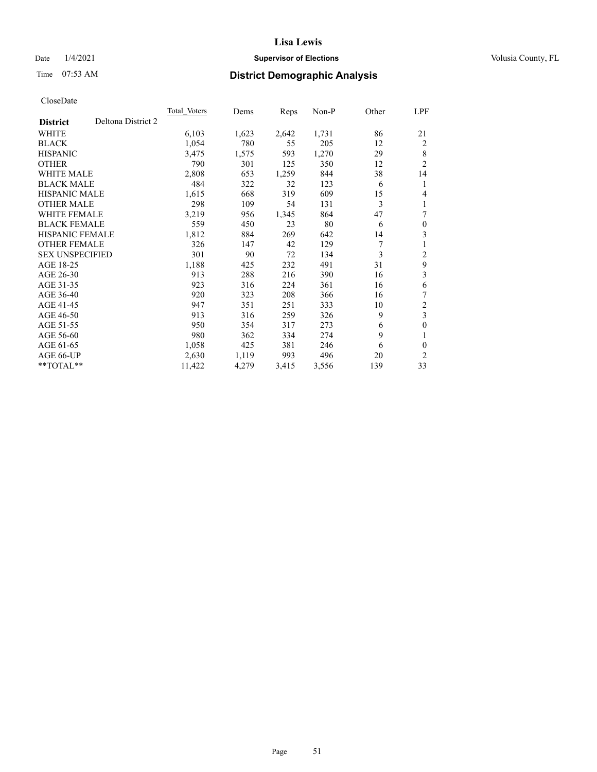## Date  $1/4/2021$  **Supervisor of Elections Supervisor of Elections** Volusia County, FL

# Time 07:53 AM **District Demographic Analysis**

| Total Voters | Dems  | Reps  | Non-P | Other | LPF            |
|--------------|-------|-------|-------|-------|----------------|
|              |       |       |       |       |                |
| 6,103        | 1,623 | 2,642 | 1,731 | 86    | 21             |
| 1,054        | 780   | 55    | 205   | 12    | 2              |
| 3,475        | 1,575 | 593   | 1,270 | 29    | 8              |
| 790          | 301   | 125   | 350   | 12    | $\overline{2}$ |
| 2,808        | 653   | 1,259 | 844   | 38    | 14             |
| 484          | 322   | 32    | 123   | 6     | 1              |
| 1,615        | 668   | 319   | 609   | 15    | 4              |
| 298          | 109   | 54    | 131   | 3     | 1              |
| 3,219        | 956   | 1,345 | 864   | 47    | 7              |
| 559          | 450   | 23    | 80    | 6     | $\theta$       |
| 1,812        | 884   | 269   | 642   | 14    | 3              |
| 326          | 147   | 42    | 129   | 7     | 1              |
| 301          | 90    | 72    | 134   | 3     | 2              |
| 1,188        | 425   | 232   | 491   | 31    | 9              |
| 913          | 288   | 216   | 390   | 16    | 3              |
| 923          | 316   | 224   | 361   | 16    | 6              |
| 920          | 323   | 208   | 366   | 16    | 7              |
| 947          | 351   | 251   | 333   | 10    | $\mathfrak{2}$ |
| 913          | 316   | 259   | 326   | 9     | 3              |
| 950          | 354   | 317   | 273   | 6     | $\theta$       |
| 980          | 362   | 334   | 274   | 9     | 1              |
| 1,058        | 425   | 381   | 246   | 6     | 0              |
| 2,630        | 1,119 | 993   | 496   | 20    | $\overline{2}$ |
| 11,422       | 4,279 | 3,415 | 3,556 | 139   | 33             |
|              |       |       |       |       |                |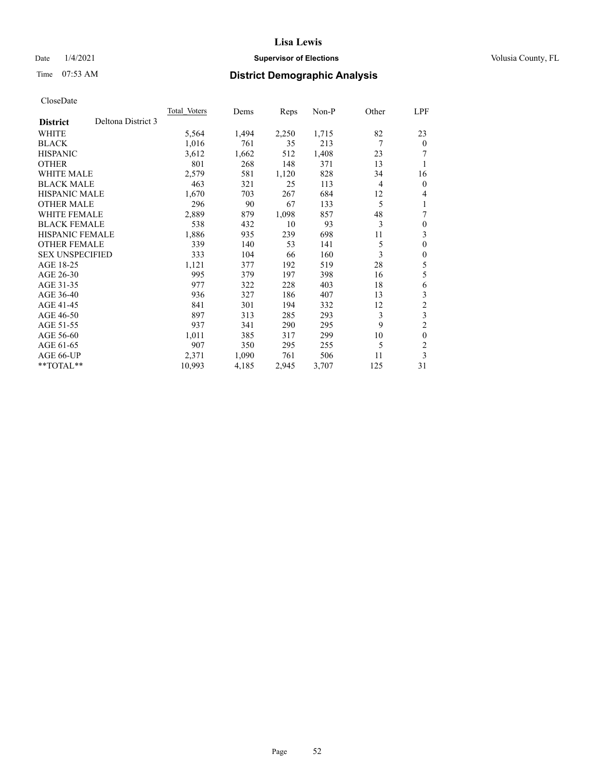## Date  $1/4/2021$  **Supervisor of Elections Supervisor of Elections** Volusia County, FL

# Time 07:53 AM **District Demographic Analysis**

| Total Voters | Dems  | Reps  | Non-P | Other | LPF            |
|--------------|-------|-------|-------|-------|----------------|
|              |       |       |       |       |                |
| 5,564        | 1,494 | 2,250 | 1,715 | 82    | 23             |
| 1,016        | 761   | 35    | 213   | 7     | $\mathbf{0}$   |
| 3,612        | 1,662 | 512   | 1,408 | 23    | 7              |
| 801          | 268   | 148   | 371   | 13    | 1              |
| 2,579        | 581   | 1,120 | 828   | 34    | 16             |
| 463          | 321   | 25    | 113   | 4     | $\overline{0}$ |
| 1,670        | 703   | 267   | 684   | 12    | 4              |
| 296          | 90    | 67    | 133   | 5     | 1              |
| 2,889        | 879   | 1,098 | 857   | 48    | 7              |
| 538          | 432   | 10    | 93    | 3     | $\theta$       |
| 1,886        | 935   | 239   | 698   | 11    | 3              |
| 339          | 140   | 53    | 141   | 5     | $\theta$       |
| 333          | 104   | 66    | 160   | 3     | $\theta$       |
| 1,121        | 377   | 192   | 519   | 28    | 5              |
| 995          | 379   | 197   | 398   | 16    | 5              |
| 977          | 322   | 228   | 403   | 18    | 6              |
| 936          | 327   | 186   | 407   | 13    | 3              |
| 841          | 301   | 194   | 332   | 12    | $\mathfrak{2}$ |
| 897          | 313   | 285   | 293   | 3     | 3              |
| 937          | 341   | 290   | 295   | 9     | $\overline{c}$ |
| 1,011        | 385   | 317   | 299   | 10    | $\theta$       |
| 907          | 350   | 295   | 255   | 5     | $\overline{c}$ |
| 2,371        | 1,090 | 761   | 506   | 11    | 3              |
| 10,993       | 4,185 | 2,945 | 3,707 | 125   | 31             |
|              |       |       |       |       |                |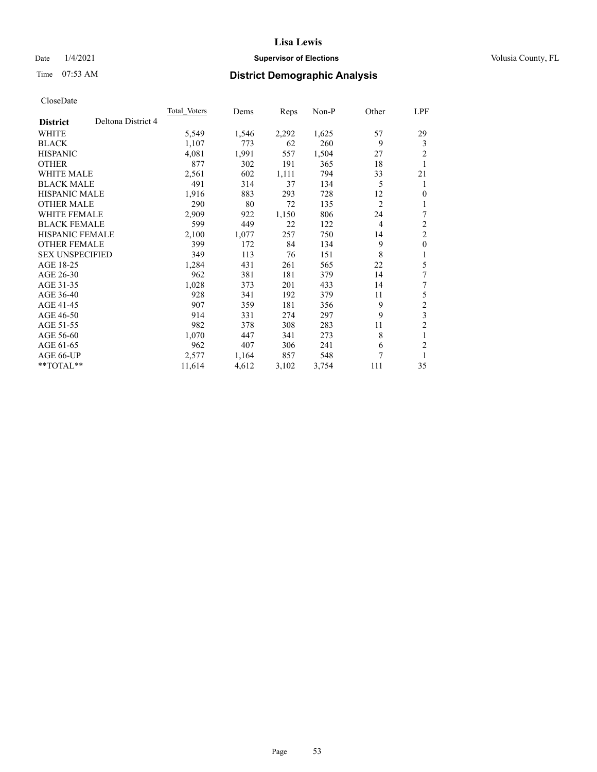## Date  $1/4/2021$  **Supervisor of Elections Supervisor of Elections** Volusia County, FL

# Time 07:53 AM **District Demographic Analysis**

| <b>Total Voters</b> | Dems  | Reps  | Non-P | Other          | LPF              |
|---------------------|-------|-------|-------|----------------|------------------|
|                     |       |       |       |                |                  |
| 5,549               | 1,546 | 2,292 | 1,625 | 57             | 29               |
| 1,107               | 773   | 62    | 260   | 9              | 3                |
| 4,081               | 1,991 | 557   | 1,504 | 27             | $\overline{2}$   |
| 877                 | 302   | 191   | 365   | 18             | 1                |
| 2,561               | 602   | 1,111 | 794   | 33             | 21               |
| 491                 | 314   | 37    | 134   | 5              | 1                |
| 1,916               | 883   | 293   | 728   | 12             | $\theta$         |
| 290                 | 80    | 72    | 135   | $\overline{2}$ | 1                |
| 2,909               | 922   | 1,150 | 806   | 24             | 7                |
| 599                 | 449   | 22    | 122   | $\overline{4}$ | $\overline{2}$   |
| 2,100               | 1,077 | 257   | 750   | 14             | $\overline{2}$   |
| 399                 | 172   | 84    | 134   | 9              | $\boldsymbol{0}$ |
| 349                 | 113   | 76    | 151   | 8              | 1                |
| 1,284               | 431   | 261   | 565   | 22             | 5                |
| 962                 | 381   | 181   | 379   | 14             | 7                |
| 1,028               | 373   | 201   | 433   | 14             | 7                |
| 928                 | 341   | 192   | 379   | 11             | 5                |
| 907                 | 359   | 181   | 356   | 9              | $\mathfrak{2}$   |
| 914                 | 331   | 274   | 297   |                | 3                |
| 982                 | 378   | 308   | 283   | 11             | $\overline{c}$   |
| 1,070               | 447   | 341   | 273   | 8              | 1                |
| 962                 | 407   | 306   | 241   | 6              | $\overline{c}$   |
| 2,577               | 1,164 | 857   | 548   | 7              | 1                |
| 11,614              | 4,612 | 3,102 | 3,754 | 111            | 35               |
|                     |       |       |       |                | 9                |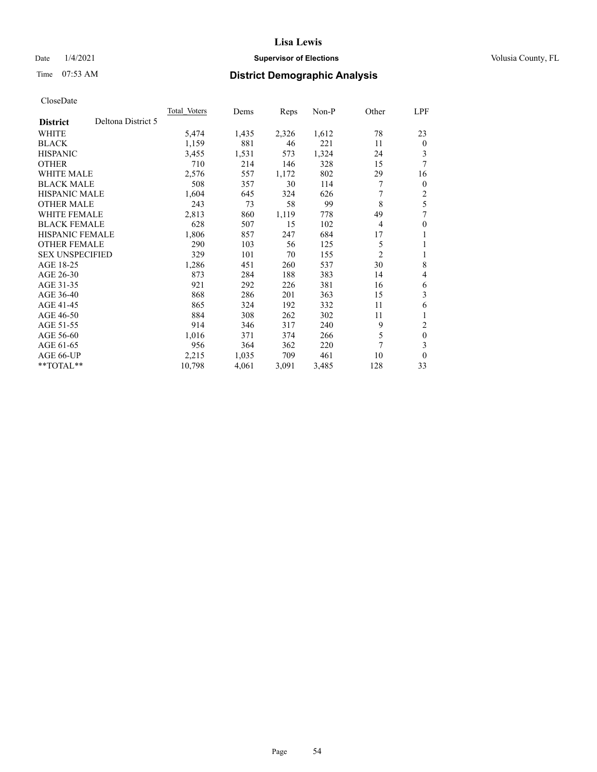## Date  $1/4/2021$  **Supervisor of Elections Supervisor of Elections** Volusia County, FL

# Time 07:53 AM **District Demographic Analysis**

|                                       | Total Voters | Dems  | Reps  | Non-P | Other          | LPF          |
|---------------------------------------|--------------|-------|-------|-------|----------------|--------------|
| Deltona District 5<br><b>District</b> |              |       |       |       |                |              |
| WHITE                                 | 5,474        | 1,435 | 2,326 | 1,612 | 78             | 23           |
| <b>BLACK</b>                          | 1,159        | 881   | 46    | 221   | 11             | $\mathbf{0}$ |
| <b>HISPANIC</b>                       | 3,455        | 1,531 | 573   | 1,324 | 24             | 3            |
| <b>OTHER</b>                          | 710          | 214   | 146   | 328   | 15             | 7            |
| WHITE MALE                            | 2,576        | 557   | 1,172 | 802   | 29             | 16           |
| <b>BLACK MALE</b>                     | 508          | 357   | 30    | 114   | 7              | $\mathbf{0}$ |
| <b>HISPANIC MALE</b>                  | 1,604        | 645   | 324   | 626   | 7              | 2            |
| <b>OTHER MALE</b>                     | 243          | 73    | 58    | 99    | 8              | 5            |
| WHITE FEMALE                          | 2,813        | 860   | 1,119 | 778   | 49             | 7            |
| <b>BLACK FEMALE</b>                   | 628          | 507   | 15    | 102   | 4              | $\theta$     |
| HISPANIC FEMALE                       | 1,806        | 857   | 247   | 684   | 17             | 1            |
| <b>OTHER FEMALE</b>                   | 290          | 103   | 56    | 125   | 5              | 1            |
| <b>SEX UNSPECIFIED</b>                | 329          | 101   | 70    | 155   | $\overline{2}$ | 1            |
| AGE 18-25                             | 1,286        | 451   | 260   | 537   | 30             | 8            |
| AGE 26-30                             | 873          | 284   | 188   | 383   | 14             | 4            |
| AGE 31-35                             | 921          | 292   | 226   | 381   | 16             | 6            |
| AGE 36-40                             | 868          | 286   | 201   | 363   | 15             | 3            |
| AGE 41-45                             | 865          | 324   | 192   | 332   | 11             | 6            |
| AGE 46-50                             | 884          | 308   | 262   | 302   | 11             |              |
| AGE 51-55                             | 914          | 346   | 317   | 240   | 9              | 2            |
| AGE 56-60                             | 1,016        | 371   | 374   | 266   | 5              | $\mathbf{0}$ |
| AGE 61-65                             | 956          | 364   | 362   | 220   | 7              | 3            |
| AGE 66-UP                             | 2,215        | 1,035 | 709   | 461   | 10             | $\mathbf{0}$ |
| **TOTAL**                             | 10,798       | 4,061 | 3,091 | 3,485 | 128            | 33           |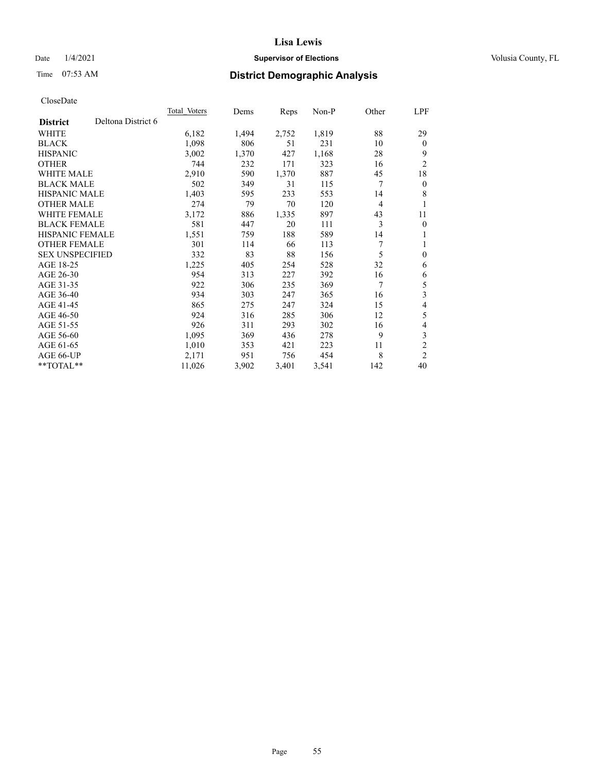## Date  $1/4/2021$  **Supervisor of Elections Supervisor of Elections** Volusia County, FL

# Time 07:53 AM **District Demographic Analysis**

|                        |                    | Total Voters | Dems  | Reps  | Non-P | Other | LPF            |
|------------------------|--------------------|--------------|-------|-------|-------|-------|----------------|
| <b>District</b>        | Deltona District 6 |              |       |       |       |       |                |
| WHITE                  |                    | 6,182        | 1,494 | 2,752 | 1,819 | 88    | 29             |
| <b>BLACK</b>           |                    | 1,098        | 806   | 51    | 231   | 10    | $\mathbf{0}$   |
| <b>HISPANIC</b>        |                    | 3,002        | 1,370 | 427   | 1,168 | 28    | 9              |
| <b>OTHER</b>           |                    | 744          | 232   | 171   | 323   | 16    | $\overline{2}$ |
| WHITE MALE             |                    | 2,910        | 590   | 1,370 | 887   | 45    | 18             |
| <b>BLACK MALE</b>      |                    | 502          | 349   | 31    | 115   | 7     | $\mathbf{0}$   |
| <b>HISPANIC MALE</b>   |                    | 1,403        | 595   | 233   | 553   | 14    | 8              |
| <b>OTHER MALE</b>      |                    | 274          | 79    | 70    | 120   | 4     | 1              |
| WHITE FEMALE           |                    | 3,172        | 886   | 1,335 | 897   | 43    | 11             |
| <b>BLACK FEMALE</b>    |                    | 581          | 447   | 20    | 111   | 3     | $\mathbf{0}$   |
| <b>HISPANIC FEMALE</b> |                    | 1,551        | 759   | 188   | 589   | 14    | 1              |
| <b>OTHER FEMALE</b>    |                    | 301          | 114   | 66    | 113   | 7     | 1              |
| <b>SEX UNSPECIFIED</b> |                    | 332          | 83    | 88    | 156   | 5     | $\theta$       |
| AGE 18-25              |                    | 1,225        | 405   | 254   | 528   | 32    | 6              |
| AGE 26-30              |                    | 954          | 313   | 227   | 392   | 16    | 6              |
| AGE 31-35              |                    | 922          | 306   | 235   | 369   | 7     | 5              |
| AGE 36-40              |                    | 934          | 303   | 247   | 365   | 16    | 3              |
| AGE 41-45              |                    | 865          | 275   | 247   | 324   | 15    | 4              |
| AGE 46-50              |                    | 924          | 316   | 285   | 306   | 12    | 5              |
| AGE 51-55              |                    | 926          | 311   | 293   | 302   | 16    | 4              |
| AGE 56-60              |                    | 1,095        | 369   | 436   | 278   | 9     | 3              |
| AGE 61-65              |                    | 1,010        | 353   | 421   | 223   | 11    | $\overline{2}$ |
| AGE 66-UP              |                    | 2,171        | 951   | 756   | 454   | 8     | $\overline{2}$ |
| $**TOTAL**$            |                    | 11,026       | 3,902 | 3,401 | 3,541 | 142   | 40             |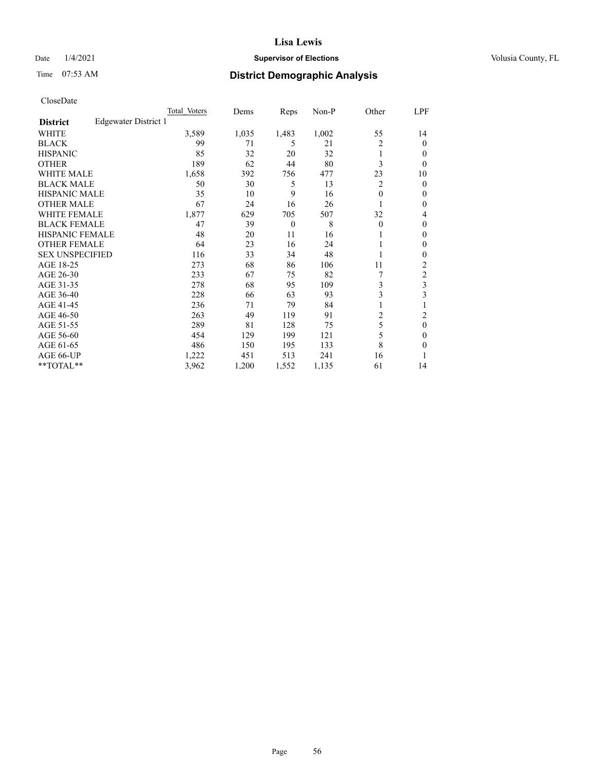## Date  $1/4/2021$  **Supervisor of Elections Supervisor of Elections** Volusia County, FL

# Time 07:53 AM **District Demographic Analysis**

|                        |                      | Total Voters | Dems  | Reps     | Non-P | Other    | LPF    |
|------------------------|----------------------|--------------|-------|----------|-------|----------|--------|
| <b>District</b>        | Edgewater District 1 |              |       |          |       |          |        |
| WHITE                  |                      | 3,589        | 1,035 | 1,483    | 1,002 | 55       | 14     |
| <b>BLACK</b>           |                      | 99           | 71    | 5        | 21    | 2        | 0      |
| <b>HISPANIC</b>        |                      | 85           | 32    | 20       | 32    | 1        | $_{0}$ |
| <b>OTHER</b>           |                      | 189          | 62    | 44       | 80    | 3        | 0      |
| WHITE MALE             |                      | 1,658        | 392   | 756      | 477   | 23       | 10     |
| <b>BLACK MALE</b>      |                      | 50           | 30    | 5        | 13    | 2        | 0      |
| <b>HISPANIC MALE</b>   |                      | 35           | 10    | 9        | 16    | 0        | 0      |
| <b>OTHER MALE</b>      |                      | 67           | 24    | 16       | 26    |          | 0      |
| WHITE FEMALE           |                      | 1,877        | 629   | 705      | 507   | 32       | 4      |
| <b>BLACK FEMALE</b>    |                      | 47           | 39    | $\theta$ | 8     | $\Omega$ | 0      |
| <b>HISPANIC FEMALE</b> |                      | 48           | 20    | 11       | 16    |          | 0      |
| <b>OTHER FEMALE</b>    |                      | 64           | 23    | 16       | 24    |          | 0      |
| <b>SEX UNSPECIFIED</b> |                      | 116          | 33    | 34       | 48    |          | 0      |
| AGE 18-25              |                      | 273          | 68    | 86       | 106   | 11       | 2      |
| AGE 26-30              |                      | 233          | 67    | 75       | 82    | 7        | 2      |
| AGE 31-35              |                      | 278          | 68    | 95       | 109   | 3        | 3      |
| AGE 36-40              |                      | 228          | 66    | 63       | 93    | 3        | 3      |
| AGE 41-45              |                      | 236          | 71    | 79       | 84    |          |        |
| AGE 46-50              |                      | 263          | 49    | 119      | 91    | 2        | 2      |
| AGE 51-55              |                      | 289          | 81    | 128      | 75    | 5        | 0      |
| AGE 56-60              |                      | 454          | 129   | 199      | 121   | 5        | 0      |
| AGE 61-65              |                      | 486          | 150   | 195      | 133   | 8        | 0      |
| AGE 66-UP              |                      | 1,222        | 451   | 513      | 241   | 16       |        |
| **TOTAL**              |                      | 3,962        | 1,200 | 1,552    | 1,135 | 61       | 14     |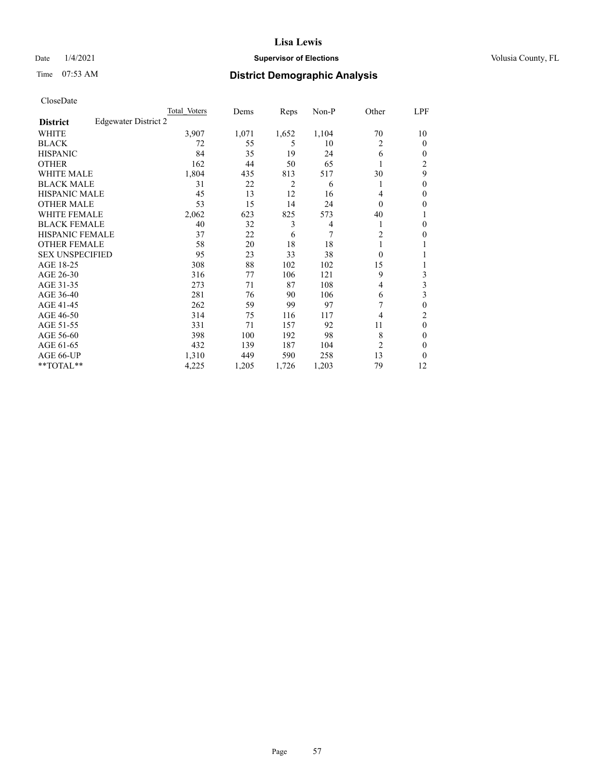## Date  $1/4/2021$  **Supervisor of Elections Supervisor of Elections** Volusia County, FL

# Time 07:53 AM **District Demographic Analysis**

|                        | Total Voters         | Dems  | Reps  | Non-P | Other          | LPF            |
|------------------------|----------------------|-------|-------|-------|----------------|----------------|
| <b>District</b>        | Edgewater District 2 |       |       |       |                |                |
| WHITE                  | 3,907                | 1,071 | 1,652 | 1,104 | 70             | 10             |
| <b>BLACK</b>           | 72                   | 55    | 5     | 10    | 2              | 0              |
| <b>HISPANIC</b>        | 84                   | 35    | 19    | 24    | 6              | $_{0}$         |
| <b>OTHER</b>           | 162                  | 44    | 50    | 65    |                | $\overline{c}$ |
| WHITE MALE             | 1,804                | 435   | 813   | 517   | 30             | 9              |
| <b>BLACK MALE</b>      | 31                   | 22    | 2     | 6     | 1              | 0              |
| <b>HISPANIC MALE</b>   | 45                   | 13    | 12    | 16    | 4              | 0              |
| <b>OTHER MALE</b>      | 53                   | 15    | 14    | 24    | $\Omega$       | 0              |
| WHITE FEMALE           | 2,062                | 623   | 825   | 573   | 40             |                |
| <b>BLACK FEMALE</b>    | 40                   | 32    | 3     | 4     | 1              | 0              |
| <b>HISPANIC FEMALE</b> | 37                   | 22    | 6     | 7     | $\overline{c}$ | 0              |
| <b>OTHER FEMALE</b>    | 58                   | 20    | 18    | 18    | 1              |                |
| <b>SEX UNSPECIFIED</b> | 95                   | 23    | 33    | 38    | $\Omega$       |                |
| AGE 18-25              | 308                  | 88    | 102   | 102   | 15             |                |
| AGE 26-30              | 316                  | 77    | 106   | 121   | 9              | 3              |
| AGE 31-35              | 273                  | 71    | 87    | 108   | 4              | 3              |
| AGE 36-40              | 281                  | 76    | 90    | 106   | 6              | 3              |
| AGE 41-45              | 262                  | 59    | 99    | 97    |                | 0              |
| AGE 46-50              | 314                  | 75    | 116   | 117   | 4              | 2              |
| AGE 51-55              | 331                  | 71    | 157   | 92    | 11             | 0              |
| AGE 56-60              | 398                  | 100   | 192   | 98    | 8              | 0              |
| AGE 61-65              | 432                  | 139   | 187   | 104   | 2              | 0              |
| AGE 66-UP              | 1,310                | 449   | 590   | 258   | 13             | 0              |
| $*$ $TOTAL**$          | 4,225                | 1,205 | 1,726 | 1,203 | 79             | 12             |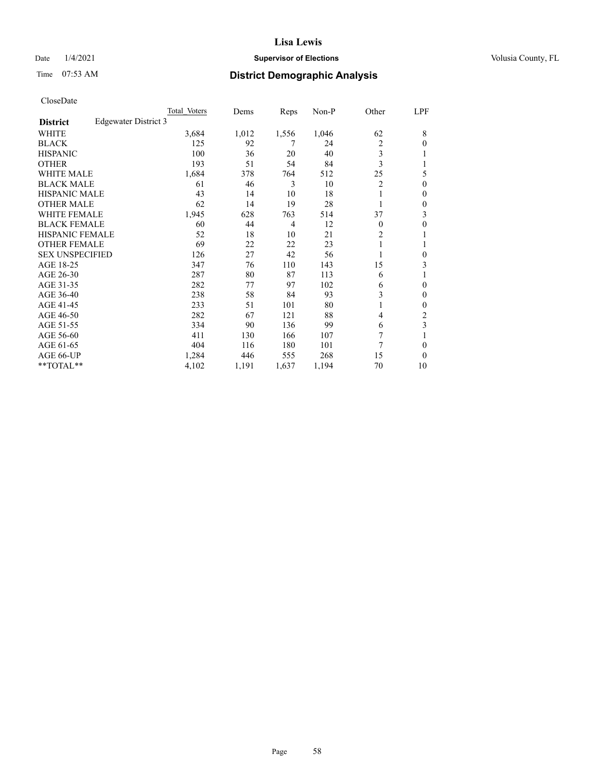## Date  $1/4/2021$  **Supervisor of Elections Supervisor of Elections** Volusia County, FL

# Time 07:53 AM **District Demographic Analysis**

|                        |                      | Total Voters | Dems  | Reps  | Non-P | Other    | LPF |
|------------------------|----------------------|--------------|-------|-------|-------|----------|-----|
| <b>District</b>        | Edgewater District 3 |              |       |       |       |          |     |
| WHITE                  |                      | 3,684        | 1,012 | 1,556 | 1,046 | 62       | 8   |
| <b>BLACK</b>           |                      | 125          | 92    | 7     | 24    | 2        | 0   |
| <b>HISPANIC</b>        |                      | 100          | 36    | 20    | 40    | 3        |     |
| <b>OTHER</b>           |                      | 193          | 51    | 54    | 84    | 3        |     |
| WHITE MALE             |                      | 1,684        | 378   | 764   | 512   | 25       | 5   |
| <b>BLACK MALE</b>      |                      | 61           | 46    | 3     | 10    | 2        | 0   |
| <b>HISPANIC MALE</b>   |                      | 43           | 14    | 10    | 18    |          | 0   |
| <b>OTHER MALE</b>      |                      | 62           | 14    | 19    | 28    | 1        | 0   |
| WHITE FEMALE           |                      | 1,945        | 628   | 763   | 514   | 37       | 3   |
| <b>BLACK FEMALE</b>    |                      | 60           | 44    | 4     | 12    | $\Omega$ | 0   |
| <b>HISPANIC FEMALE</b> |                      | 52           | 18    | 10    | 21    | 2        |     |
| <b>OTHER FEMALE</b>    |                      | 69           | 22    | 22    | 23    |          |     |
| <b>SEX UNSPECIFIED</b> |                      | 126          | 27    | 42    | 56    |          | 0   |
| AGE 18-25              |                      | 347          | 76    | 110   | 143   | 15       | 3   |
| AGE 26-30              |                      | 287          | 80    | 87    | 113   | 6        | 1   |
| AGE 31-35              |                      | 282          | 77    | 97    | 102   | 6        | 0   |
| AGE 36-40              |                      | 238          | 58    | 84    | 93    | 3        | 0   |
| AGE 41-45              |                      | 233          | 51    | 101   | 80    |          | 0   |
| AGE 46-50              |                      | 282          | 67    | 121   | 88    | 4        | 2   |
| AGE 51-55              |                      | 334          | 90    | 136   | 99    | 6        | 3   |
| AGE 56-60              |                      | 411          | 130   | 166   | 107   | 7        |     |
| AGE 61-65              |                      | 404          | 116   | 180   | 101   | 7        | 0   |
| AGE 66-UP              |                      | 1,284        | 446   | 555   | 268   | 15       | 0   |
| **TOTAL**              |                      | 4,102        | 1,191 | 1,637 | 1,194 | 70       | 10  |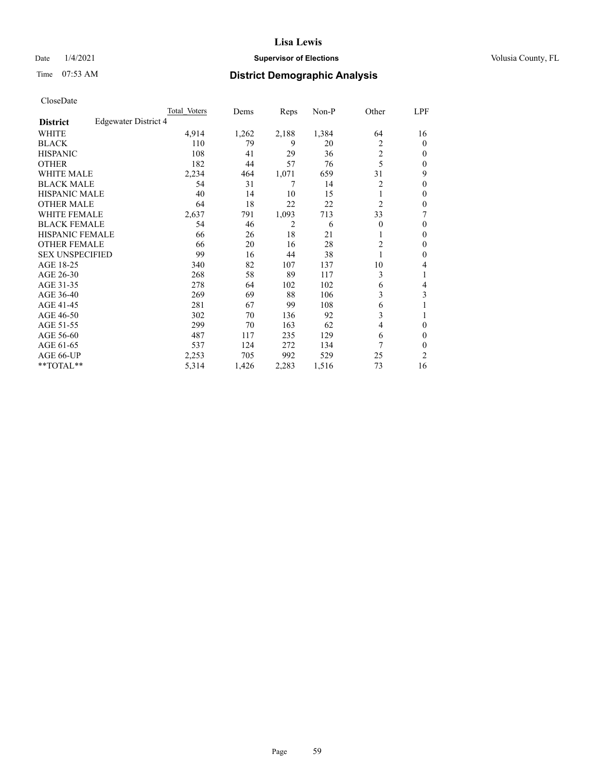## Date  $1/4/2021$  **Supervisor of Elections Supervisor of Elections** Volusia County, FL

# Time 07:53 AM **District Demographic Analysis**

|                        |                      | Total Voters | Dems  | Reps  | Non-P | Other          | LPF    |
|------------------------|----------------------|--------------|-------|-------|-------|----------------|--------|
| <b>District</b>        | Edgewater District 4 |              |       |       |       |                |        |
| WHITE                  |                      | 4,914        | 1,262 | 2,188 | 1,384 | 64             | 16     |
| <b>BLACK</b>           |                      | 110          | 79    | 9     | 20    | 2              | 0      |
| <b>HISPANIC</b>        |                      | 108          | 41    | 29    | 36    | $\overline{c}$ | $_{0}$ |
| <b>OTHER</b>           |                      | 182          | 44    | 57    | 76    | 5              | 0      |
| WHITE MALE             |                      | 2,234        | 464   | 1,071 | 659   | 31             | 9      |
| <b>BLACK MALE</b>      |                      | 54           | 31    | 7     | 14    | $\overline{c}$ | 0      |
| <b>HISPANIC MALE</b>   |                      | 40           | 14    | 10    | 15    |                | 0      |
| <b>OTHER MALE</b>      |                      | 64           | 18    | 22    | 22    | $\overline{2}$ | 0      |
| WHITE FEMALE           |                      | 2,637        | 791   | 1,093 | 713   | 33             | 7      |
| <b>BLACK FEMALE</b>    |                      | 54           | 46    | 2     | 6     | $\Omega$       | 0      |
| <b>HISPANIC FEMALE</b> |                      | 66           | 26    | 18    | 21    |                | 0      |
| <b>OTHER FEMALE</b>    |                      | 66           | 20    | 16    | 28    | 2              | 0      |
| <b>SEX UNSPECIFIED</b> |                      | 99           | 16    | 44    | 38    |                | 0      |
| AGE 18-25              |                      | 340          | 82    | 107   | 137   | 10             | 4      |
| AGE 26-30              |                      | 268          | 58    | 89    | 117   | 3              | 1      |
| AGE 31-35              |                      | 278          | 64    | 102   | 102   | 6              | 4      |
| AGE 36-40              |                      | 269          | 69    | 88    | 106   | 3              | 3      |
| AGE 41-45              |                      | 281          | 67    | 99    | 108   | 6              |        |
| AGE 46-50              |                      | 302          | 70    | 136   | 92    | 3              |        |
| AGE 51-55              |                      | 299          | 70    | 163   | 62    | 4              | 0      |
| AGE 56-60              |                      | 487          | 117   | 235   | 129   | 6              | 0      |
| AGE 61-65              |                      | 537          | 124   | 272   | 134   | 7              | 0      |
| AGE 66-UP              |                      | 2,253        | 705   | 992   | 529   | 25             | 2      |
| **TOTAL**              |                      | 5,314        | 1,426 | 2,283 | 1,516 | 73             | 16     |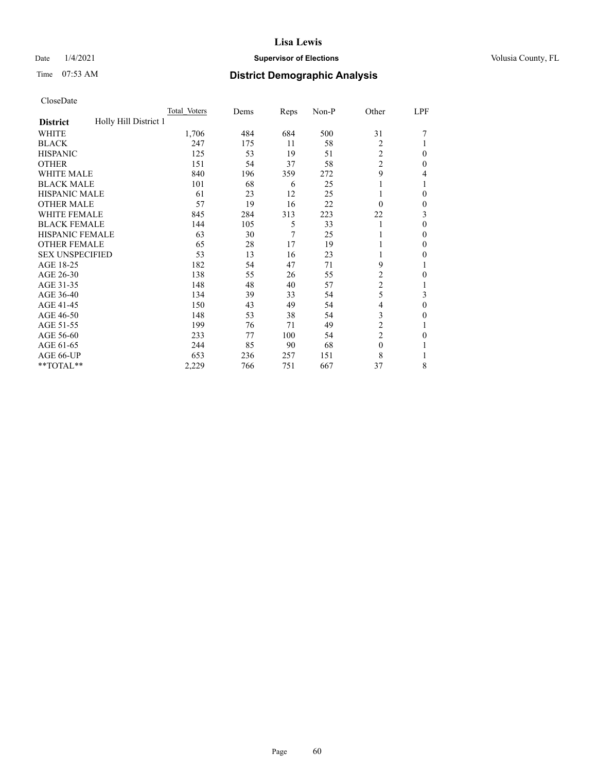## Date  $1/4/2021$  **Supervisor of Elections Supervisor of Elections** Volusia County, FL

# Time 07:53 AM **District Demographic Analysis**

|                                          | Total Voters | Dems | Reps | Non-P | Other          | LPF          |
|------------------------------------------|--------------|------|------|-------|----------------|--------------|
| Holly Hill District 1<br><b>District</b> |              |      |      |       |                |              |
| WHITE                                    | 1,706        | 484  | 684  | 500   | 31             |              |
| <b>BLACK</b>                             | 247          | 175  | 11   | 58    | $\overline{2}$ |              |
| <b>HISPANIC</b>                          | 125          | 53   | 19   | 51    | 2              | $\Omega$     |
| <b>OTHER</b>                             | 151          | 54   | 37   | 58    | $\overline{2}$ | $\Omega$     |
| WHITE MALE                               | 840          | 196  | 359  | 272   | 9              | 4            |
| <b>BLACK MALE</b>                        | 101          | 68   | 6    | 25    |                |              |
| <b>HISPANIC MALE</b>                     | 61           | 23   | 12   | 25    |                | $\theta$     |
| <b>OTHER MALE</b>                        | 57           | 19   | 16   | 22    | $\Omega$       | $\mathbf{0}$ |
| WHITE FEMALE                             | 845          | 284  | 313  | 223   | 22             | 3            |
| <b>BLACK FEMALE</b>                      | 144          | 105  | 5    | 33    |                | $\theta$     |
| <b>HISPANIC FEMALE</b>                   | 63           | 30   | 7    | 25    |                | $\Omega$     |
| <b>OTHER FEMALE</b>                      | 65           | 28   | 17   | 19    |                | $\theta$     |
| <b>SEX UNSPECIFIED</b>                   | 53           | 13   | 16   | 23    |                | 0            |
| AGE 18-25                                | 182          | 54   | 47   | 71    | 9              |              |
| AGE 26-30                                | 138          | 55   | 26   | 55    | $\overline{c}$ | $\theta$     |
| AGE 31-35                                | 148          | 48   | 40   | 57    | $\overline{c}$ |              |
| AGE 36-40                                | 134          | 39   | 33   | 54    | 5              | 3            |
| AGE 41-45                                | 150          | 43   | 49   | 54    | 4              | $\theta$     |
| AGE 46-50                                | 148          | 53   | 38   | 54    | 3              | $\Omega$     |
| AGE 51-55                                | 199          | 76   | 71   | 49    | $\overline{2}$ |              |
| AGE 56-60                                | 233          | 77   | 100  | 54    | $\overline{2}$ | 0            |
| AGE 61-65                                | 244          | 85   | 90   | 68    | $\mathbf{0}$   |              |
| AGE 66-UP                                | 653          | 236  | 257  | 151   | 8              |              |
| **TOTAL**                                | 2,229        | 766  | 751  | 667   | 37             | 8            |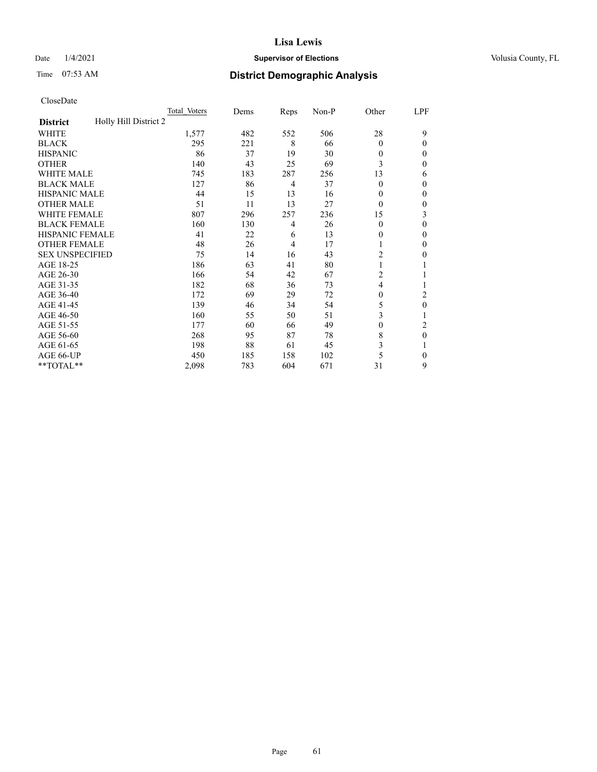## Date  $1/4/2021$  **Supervisor of Elections Supervisor of Elections** Volusia County, FL

# Time 07:53 AM **District Demographic Analysis**

|                                          | Total Voters | Dems | Reps           | Non-P | Other          | LPF      |
|------------------------------------------|--------------|------|----------------|-------|----------------|----------|
| Holly Hill District 2<br><b>District</b> |              |      |                |       |                |          |
| WHITE                                    | 1,577        | 482  | 552            | 506   | 28             | 9        |
| <b>BLACK</b>                             | 295          | 221  | 8              | 66    | $\Omega$       | $\Omega$ |
| <b>HISPANIC</b>                          | 86           | 37   | 19             | 30    | $\Omega$       | 0        |
| <b>OTHER</b>                             | 140          | 43   | 25             | 69    | 3              | 0        |
| WHITE MALE                               | 745          | 183  | 287            | 256   | 13             | 6        |
| <b>BLACK MALE</b>                        | 127          | 86   | 4              | 37    | $\Omega$       | $\Omega$ |
| <b>HISPANIC MALE</b>                     | 44           | 15   | 13             | 16    | $\theta$       | 0        |
| <b>OTHER MALE</b>                        | 51           | 11   | 13             | 27    | $\Omega$       | 0        |
| WHITE FEMALE                             | 807          | 296  | 257            | 236   | 15             | 3        |
| <b>BLACK FEMALE</b>                      | 160          | 130  | $\overline{4}$ | 26    | $\theta$       | 0        |
| <b>HISPANIC FEMALE</b>                   | 41           | 22   | 6              | 13    | $\theta$       | 0        |
| <b>OTHER FEMALE</b>                      | 48           | 26   | 4              | 17    | 1              | 0        |
| <b>SEX UNSPECIFIED</b>                   | 75           | 14   | 16             | 43    | $\overline{2}$ | 0        |
| AGE 18-25                                | 186          | 63   | 41             | 80    |                |          |
| AGE 26-30                                | 166          | 54   | 42             | 67    | $\overline{c}$ |          |
| AGE 31-35                                | 182          | 68   | 36             | 73    | 4              |          |
| AGE 36-40                                | 172          | 69   | 29             | 72    | $\Omega$       | 2        |
| AGE 41-45                                | 139          | 46   | 34             | 54    | 5              | 0        |
| AGE 46-50                                | 160          | 55   | 50             | 51    | 3              |          |
| AGE 51-55                                | 177          | 60   | 66             | 49    | $\Omega$       | 2        |
| AGE 56-60                                | 268          | 95   | 87             | 78    | 8              | $\theta$ |
| AGE 61-65                                | 198          | 88   | 61             | 45    | 3              |          |
| AGE 66-UP                                | 450          | 185  | 158            | 102   | 5              | $\Omega$ |
| **TOTAL**                                | 2,098        | 783  | 604            | 671   | 31             | 9        |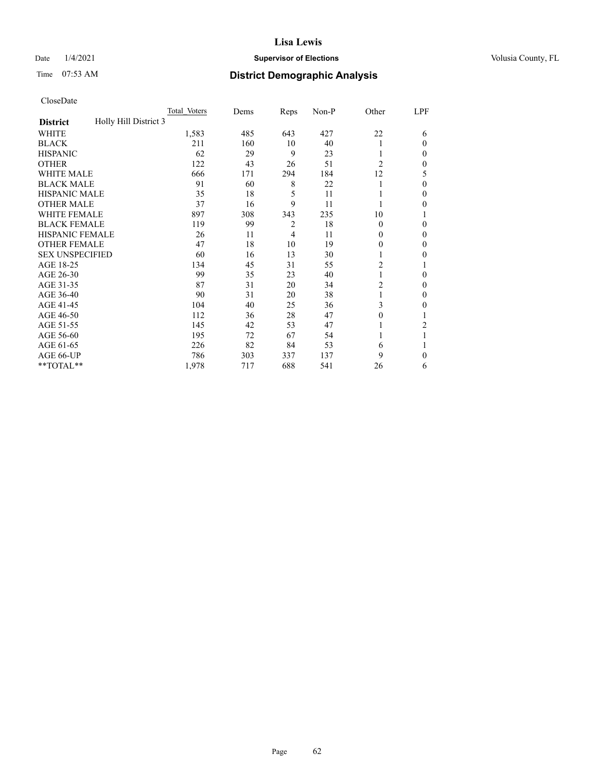## Date  $1/4/2021$  **Supervisor of Elections Supervisor of Elections** Volusia County, FL

# Time 07:53 AM **District Demographic Analysis**

|                                          | Total Voters | Dems | Reps           | Non-P | Other          | LPF          |
|------------------------------------------|--------------|------|----------------|-------|----------------|--------------|
| Holly Hill District 3<br><b>District</b> |              |      |                |       |                |              |
| WHITE                                    | 1,583        | 485  | 643            | 427   | 22             | 6            |
| <b>BLACK</b>                             | 211          | 160  | 10             | 40    |                | $\Omega$     |
| <b>HISPANIC</b>                          | 62           | 29   | 9              | 23    | 1              | 0            |
| <b>OTHER</b>                             | 122          | 43   | 26             | 51    | $\overline{2}$ | 0            |
| WHITE MALE                               | 666          | 171  | 294            | 184   | 12             | 5            |
| <b>BLACK MALE</b>                        | 91           | 60   | 8              | 22    |                | $\Omega$     |
| <b>HISPANIC MALE</b>                     | 35           | 18   | 5              | 11    |                | 0            |
| <b>OTHER MALE</b>                        | 37           | 16   | 9              | 11    | 1              | 0            |
| WHITE FEMALE                             | 897          | 308  | 343            | 235   | 10             |              |
| <b>BLACK FEMALE</b>                      | 119          | 99   | $\overline{2}$ | 18    | $\Omega$       | $\Omega$     |
| <b>HISPANIC FEMALE</b>                   | 26           | 11   | 4              | 11    | $\Omega$       | 0            |
| <b>OTHER FEMALE</b>                      | 47           | 18   | 10             | 19    | $\theta$       | 0            |
| <b>SEX UNSPECIFIED</b>                   | 60           | 16   | 13             | 30    |                | 0            |
| AGE 18-25                                | 134          | 45   | 31             | 55    | $\overline{2}$ |              |
| AGE 26-30                                | 99           | 35   | 23             | 40    | 1              | $\mathbf{0}$ |
| AGE 31-35                                | 87           | 31   | 20             | 34    | $\overline{c}$ | 0            |
| AGE 36-40                                | 90           | 31   | 20             | 38    | 1              | 0            |
| AGE 41-45                                | 104          | 40   | 25             | 36    | 3              | 0            |
| AGE 46-50                                | 112          | 36   | 28             | 47    | $\Omega$       |              |
| AGE 51-55                                | 145          | 42   | 53             | 47    |                | 2            |
| AGE 56-60                                | 195          | 72   | 67             | 54    |                |              |
| AGE 61-65                                | 226          | 82   | 84             | 53    | 6              |              |
| AGE 66-UP                                | 786          | 303  | 337            | 137   | 9              | $\Omega$     |
| **TOTAL**                                | 1,978        | 717  | 688            | 541   | 26             | 6            |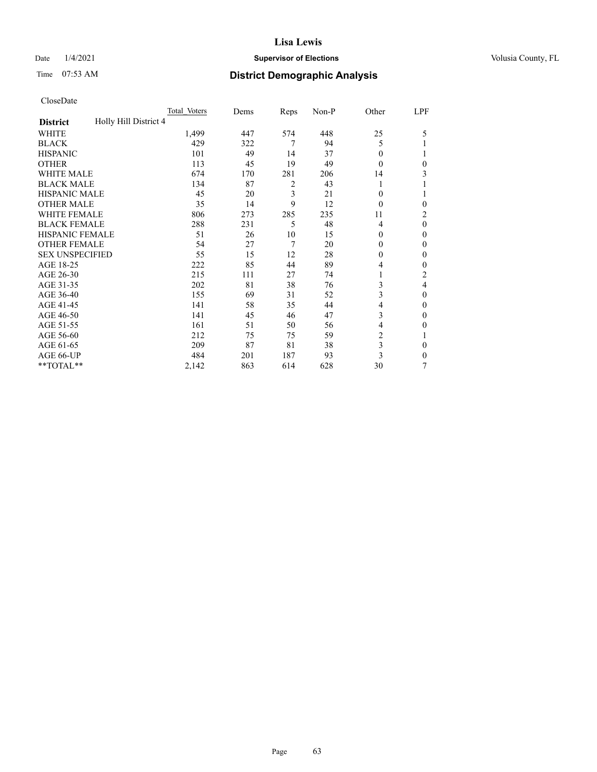## Date  $1/4/2021$  **Supervisor of Elections Supervisor of Elections** Volusia County, FL

# Time 07:53 AM **District Demographic Analysis**

|                                          | Total Voters | Dems | Reps | Non-P | Other          | LPF            |
|------------------------------------------|--------------|------|------|-------|----------------|----------------|
| Holly Hill District 4<br><b>District</b> |              |      |      |       |                |                |
| WHITE                                    | 1,499        | 447  | 574  | 448   | 25             | 5              |
| <b>BLACK</b>                             | 429          | 322  | 7    | 94    | 5              |                |
| <b>HISPANIC</b>                          | 101          | 49   | 14   | 37    | 0              |                |
| <b>OTHER</b>                             | 113          | 45   | 19   | 49    | 0              | 0              |
| <b>WHITE MALE</b>                        | 674          | 170  | 281  | 206   | 14             | 3              |
| <b>BLACK MALE</b>                        | 134          | 87   | 2    | 43    |                |                |
| <b>HISPANIC MALE</b>                     | 45           | 20   | 3    | 21    | 0              | 1              |
| <b>OTHER MALE</b>                        | 35           | 14   | 9    | 12    | 0              | $\mathbf{0}$   |
| WHITE FEMALE                             | 806          | 273  | 285  | 235   | 11             | $\overline{c}$ |
| <b>BLACK FEMALE</b>                      | 288          | 231  | 5    | 48    | 4              | $\theta$       |
| <b>HISPANIC FEMALE</b>                   | 51           | 26   | 10   | 15    | $\Omega$       | $\Omega$       |
| <b>OTHER FEMALE</b>                      | 54           | 27   | 7    | 20    | 0              | $\theta$       |
| <b>SEX UNSPECIFIED</b>                   | 55           | 15   | 12   | 28    | 0              | $\theta$       |
| AGE 18-25                                | 222          | 85   | 44   | 89    | 4              | $\theta$       |
| AGE 26-30                                | 215          | 111  | 27   | 74    | 1              | $\overline{2}$ |
| AGE 31-35                                | 202          | 81   | 38   | 76    | 3              | 4              |
| AGE 36-40                                | 155          | 69   | 31   | 52    | 3              | $\theta$       |
| AGE 41-45                                | 141          | 58   | 35   | 44    | 4              | $\theta$       |
| AGE 46-50                                | 141          | 45   | 46   | 47    | 3              | $\theta$       |
| AGE 51-55                                | 161          | 51   | 50   | 56    | 4              | 0              |
| AGE 56-60                                | 212          | 75   | 75   | 59    | $\overline{2}$ |                |
| AGE 61-65                                | 209          | 87   | 81   | 38    | 3              | $\theta$       |
| AGE 66-UP                                | 484          | 201  | 187  | 93    | 3              | $\Omega$       |
| **TOTAL**                                | 2,142        | 863  | 614  | 628   | 30             | 7              |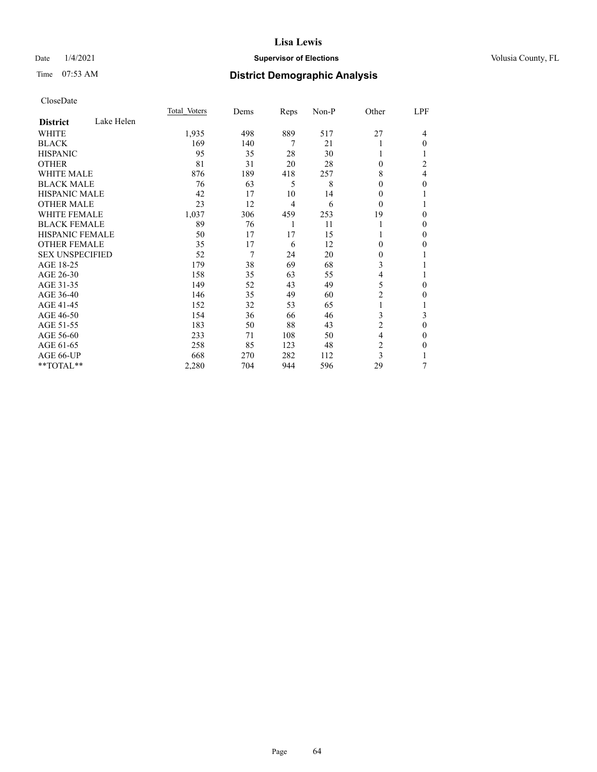## Date  $1/4/2021$  **Supervisor of Elections Supervisor of Elections** Volusia County, FL

# Time 07:53 AM **District Demographic Analysis**

|                        |            | Total Voters | Dems | Reps           | Non-P | Other          | LPF          |
|------------------------|------------|--------------|------|----------------|-------|----------------|--------------|
| <b>District</b>        | Lake Helen |              |      |                |       |                |              |
| WHITE                  |            | 1,935        | 498  | 889            | 517   | 27             | 4            |
| <b>BLACK</b>           |            | 169          | 140  | 7              | 21    |                | 0            |
| <b>HISPANIC</b>        |            | 95           | 35   | 28             | 30    | 1              |              |
| <b>OTHER</b>           |            | 81           | 31   | 20             | 28    | $\Omega$       | 2            |
| <b>WHITE MALE</b>      |            | 876          | 189  | 418            | 257   | 8              | 4            |
| <b>BLACK MALE</b>      |            | 76           | 63   | 5              | 8     | $\theta$       | 0            |
| <b>HISPANIC MALE</b>   |            | 42           | 17   | 10             | 14    | 0              |              |
| <b>OTHER MALE</b>      |            | 23           | 12   | $\overline{4}$ | 6     | $\theta$       |              |
| <b>WHITE FEMALE</b>    |            | 1,037        | 306  | 459            | 253   | 19             | 0            |
| <b>BLACK FEMALE</b>    |            | 89           | 76   | 1              | 11    | 1              | 0            |
| <b>HISPANIC FEMALE</b> |            | 50           | 17   | 17             | 15    |                | 0            |
| <b>OTHER FEMALE</b>    |            | 35           | 17   | 6              | 12    | $\theta$       | 0            |
| <b>SEX UNSPECIFIED</b> |            | 52           | 7    | 24             | 20    | $\mathbf{0}$   |              |
| AGE 18-25              |            | 179          | 38   | 69             | 68    | 3              |              |
| AGE 26-30              |            | 158          | 35   | 63             | 55    | 4              |              |
| AGE 31-35              |            | 149          | 52   | 43             | 49    | 5              | 0            |
| AGE 36-40              |            | 146          | 35   | 49             | 60    | $\overline{2}$ | 0            |
| AGE 41-45              |            | 152          | 32   | 53             | 65    | 1              |              |
| AGE 46-50              |            | 154          | 36   | 66             | 46    | 3              | 3            |
| AGE 51-55              |            | 183          | 50   | 88             | 43    | $\overline{c}$ | $\mathbf{0}$ |
| AGE 56-60              |            | 233          | 71   | 108            | 50    | 4              | 0            |
| AGE 61-65              |            | 258          | 85   | 123            | 48    | $\overline{c}$ | 0            |
| AGE 66-UP              |            | 668          | 270  | 282            | 112   | 3              |              |
| **TOTAL**              |            | 2,280        | 704  | 944            | 596   | 29             | 7            |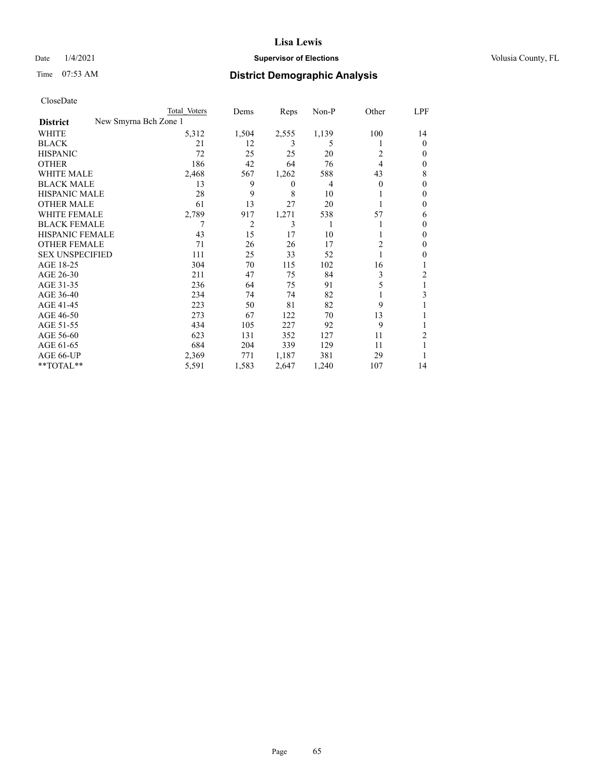## Date  $1/4/2021$  **Supervisor of Elections Supervisor of Elections** Volusia County, FL

| CloseDate |
|-----------|
|-----------|

|                        | Total Voters          | Dems           | Reps           | $Non-P$ | Other          | LPF            |
|------------------------|-----------------------|----------------|----------------|---------|----------------|----------------|
| <b>District</b>        | New Smyrna Bch Zone 1 |                |                |         |                |                |
| WHITE                  | 5,312                 | 1,504          | 2,555          | 1,139   | 100            | 14             |
| <b>BLACK</b>           | 21                    | 12             | 3              | 5       |                | $\theta$       |
| <b>HISPANIC</b>        | 72                    | 25             | 25             | 20      | 2              | $\Omega$       |
| <b>OTHER</b>           | 186                   | 42             | 64             | 76      | $\overline{4}$ | $\Omega$       |
| <b>WHITE MALE</b>      | 2,468                 | 567            | 1,262          | 588     | 43             | 8              |
| <b>BLACK MALE</b>      | 13                    | 9              | $\overline{0}$ | 4       | $\theta$       | $\Omega$       |
| <b>HISPANIC MALE</b>   | 28                    | 9              | 8              | 10      |                | $\Omega$       |
| <b>OTHER MALE</b>      | 61                    | 13             | 27             | 20      |                | $\Omega$       |
| WHITE FEMALE           | 2,789                 | 917            | 1,271          | 538     | 57             | 6              |
| <b>BLACK FEMALE</b>    | 7                     | $\overline{2}$ | 3              | 1       |                | $\Omega$       |
| HISPANIC FEMALE        | 43                    | 15             | 17             | 10      |                | $\Omega$       |
| <b>OTHER FEMALE</b>    | 71                    | 26             | 26             | 17      | 2              | 0              |
| <b>SEX UNSPECIFIED</b> | 111                   | 25             | 33             | 52      |                | $\Omega$       |
| AGE 18-25              | 304                   | 70             | 115            | 102     | 16             |                |
| AGE 26-30              | 211                   | 47             | 75             | 84      | 3              | $\overline{c}$ |
| AGE 31-35              | 236                   | 64             | 75             | 91      | 5              |                |
| AGE 36-40              | 234                   | 74             | 74             | 82      |                | 3              |
| AGE 41-45              | 223                   | 50             | 81             | 82      | 9              |                |
| AGE 46-50              | 273                   | 67             | 122            | 70      | 13             |                |
| AGE 51-55              | 434                   | 105            | 227            | 92      | 9              |                |
| AGE 56-60              | 623                   | 131            | 352            | 127     | 11             | $\overline{2}$ |
| AGE 61-65              | 684                   | 204            | 339            | 129     | 11             |                |
| AGE 66-UP              | 2,369                 | 771            | 1,187          | 381     | 29             |                |
| **TOTAL**              | 5,591                 | 1,583          | 2,647          | 1,240   | 107            | 14             |
|                        |                       |                |                |         |                |                |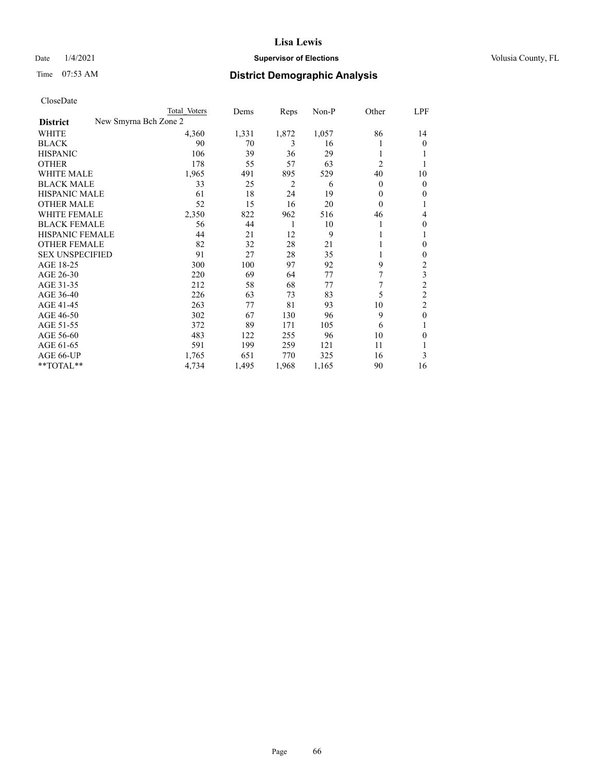## Date  $1/4/2021$  **Supervisor of Elections Supervisor of Elections** Volusia County, FL

| Total Voters | Dems                  | Reps  | Non-P | Other          | LPF            |
|--------------|-----------------------|-------|-------|----------------|----------------|
|              |                       |       |       |                |                |
| 4,360        | 1,331                 | 1,872 | 1,057 | 86             | 14             |
| 90           | 70                    | 3     | 16    |                | 0              |
| 106          | 39                    | 36    | 29    |                |                |
| 178          | 55                    | 57    | 63    | $\overline{c}$ |                |
| 1,965        | 491                   | 895   | 529   | 40             | 10             |
| 33           | 25                    | 2     | 6     | $\mathbf{0}$   | $\overline{0}$ |
| 61           | 18                    | 24    | 19    | 0              | 0              |
| 52           | 15                    | 16    | 20    | $\theta$       |                |
| 2,350        | 822                   | 962   | 516   | 46             | 4              |
| 56           | 44                    | 1     | 10    |                | 0              |
| 44           | 21                    | 12    | 9     |                | 1              |
| 82           | 32                    | 28    | 21    |                | 0              |
| 91           | 27                    | 28    | 35    | 1              | 0              |
| 300          | 100                   | 97    | 92    | 9              | 2              |
| 220          | 69                    | 64    | 77    |                | 3              |
| 212          | 58                    | 68    | 77    | 7              | $\overline{c}$ |
| 226          | 63                    | 73    | 83    | 5              | $\overline{2}$ |
| 263          | 77                    | 81    | 93    | 10             | $\overline{2}$ |
| 302          | 67                    | 130   | 96    | 9              | $\mathbf{0}$   |
| 372          | 89                    | 171   | 105   | 6              | 1              |
| 483          | 122                   | 255   | 96    | 10             | 0              |
| 591          | 199                   | 259   | 121   | 11             |                |
| 1,765        | 651                   | 770   | 325   | 16             | 3              |
| 4,734        | 1,495                 | 1,968 | 1,165 | 90             | 16             |
|              | New Smyrna Bch Zone 2 |       |       |                |                |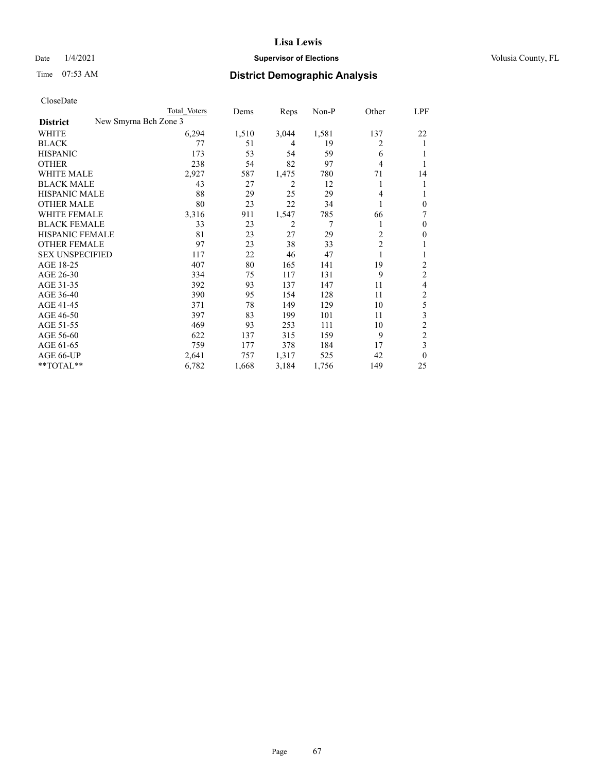## Date  $1/4/2021$  **Supervisor of Elections Supervisor of Elections** Volusia County, FL

| CloseDate |
|-----------|
|-----------|

|                                          | Total Voters | Dems  | Reps  | Non-P | Other          | LPF                     |
|------------------------------------------|--------------|-------|-------|-------|----------------|-------------------------|
| New Smyrna Bch Zone 3<br><b>District</b> |              |       |       |       |                |                         |
| WHITE                                    | 6,294        | 1,510 | 3,044 | 1,581 | 137            | 22                      |
| <b>BLACK</b>                             | 77           | 51    | 4     | 19    | 2              | 1                       |
| <b>HISPANIC</b>                          | 173          | 53    | 54    | 59    | 6              |                         |
| <b>OTHER</b>                             | 238          | 54    | 82    | 97    | 4              | 1                       |
| <b>WHITE MALE</b>                        | 2,927        | 587   | 1,475 | 780   | 71             | 14                      |
| <b>BLACK MALE</b>                        | 43           | 27    | 2     | 12    | 1              | 1                       |
| <b>HISPANIC MALE</b>                     | 88           | 29    | 25    | 29    | 4              | 1                       |
| <b>OTHER MALE</b>                        | 80           | 23    | 22    | 34    |                | $\mathbf{0}$            |
| <b>WHITE FEMALE</b>                      | 3,316        | 911   | 1,547 | 785   | 66             | 7                       |
| <b>BLACK FEMALE</b>                      | 33           | 23    | 2     | 7     |                | $\mathbf{0}$            |
| <b>HISPANIC FEMALE</b>                   | 81           | 23    | 27    | 29    | $\overline{2}$ | $\mathbf{0}$            |
| <b>OTHER FEMALE</b>                      | 97           | 23    | 38    | 33    | $\overline{c}$ | 1                       |
| <b>SEX UNSPECIFIED</b>                   | 117          | 22    | 46    | 47    |                | 1                       |
| AGE 18-25                                | 407          | 80    | 165   | 141   | 19             | $\overline{c}$          |
| AGE 26-30                                | 334          | 75    | 117   | 131   | 9              | $\overline{c}$          |
| AGE 31-35                                | 392          | 93    | 137   | 147   | 11             | 4                       |
| AGE 36-40                                | 390          | 95    | 154   | 128   | 11             | $\overline{\mathbf{c}}$ |
| AGE 41-45                                | 371          | 78    | 149   | 129   | 10             | 5                       |
| AGE 46-50                                | 397          | 83    | 199   | 101   | 11             | 3                       |
| AGE 51-55                                | 469          | 93    | 253   | 111   | 10             | $\overline{c}$          |
| AGE 56-60                                | 622          | 137   | 315   | 159   | 9              | $\overline{c}$          |
| AGE 61-65                                | 759          | 177   | 378   | 184   | 17             | 3                       |
| AGE 66-UP                                | 2,641        | 757   | 1,317 | 525   | 42             | $\theta$                |
| **TOTAL**                                | 6,782        | 1,668 | 3,184 | 1,756 | 149            | 25                      |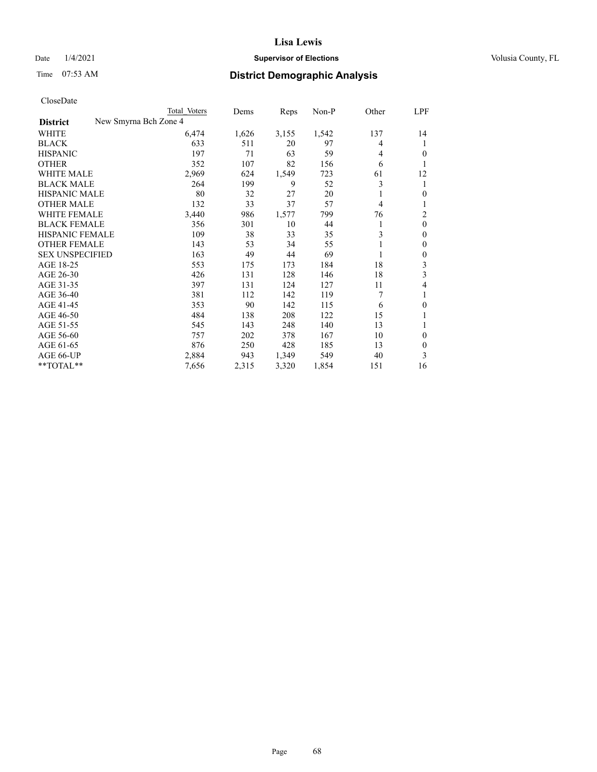## Date  $1/4/2021$  **Supervisor of Elections Supervisor of Elections** Volusia County, FL

|                                          | Total Voters | Dems  | Reps  | $Non-P$ | Other | LPF          |
|------------------------------------------|--------------|-------|-------|---------|-------|--------------|
| New Smyrna Bch Zone 4<br><b>District</b> |              |       |       |         |       |              |
| WHITE                                    | 6,474        | 1,626 | 3,155 | 1,542   | 137   | 14           |
| <b>BLACK</b>                             | 633          | 511   | 20    | 97      | 4     | 1            |
| <b>HISPANIC</b>                          | 197          | 71    | 63    | 59      | 4     | $\theta$     |
| <b>OTHER</b>                             | 352          | 107   | 82    | 156     | 6     |              |
| WHITE MALE                               | 2,969        | 624   | 1,549 | 723     | 61    | 12           |
| <b>BLACK MALE</b>                        | 264          | 199   | 9     | 52      | 3     | 1            |
| <b>HISPANIC MALE</b>                     | 80           | 32    | 27    | 20      |       | $\mathbf{0}$ |
| <b>OTHER MALE</b>                        | 132          | 33    | 37    | 57      | 4     |              |
| WHITE FEMALE                             | 3,440        | 986   | 1,577 | 799     | 76    | 2            |
| <b>BLACK FEMALE</b>                      | 356          | 301   | 10    | 44      | 1     | $\mathbf{0}$ |
| HISPANIC FEMALE                          | 109          | 38    | 33    | 35      | 3     | $\mathbf{0}$ |
| <b>OTHER FEMALE</b>                      | 143          | 53    | 34    | 55      |       | $\mathbf{0}$ |
| <b>SEX UNSPECIFIED</b>                   | 163          | 49    | 44    | 69      | 1     | $\theta$     |
| AGE 18-25                                | 553          | 175   | 173   | 184     | 18    | 3            |
| AGE 26-30                                | 426          | 131   | 128   | 146     | 18    | 3            |
| AGE 31-35                                | 397          | 131   | 124   | 127     | 11    | 4            |
| AGE 36-40                                | 381          | 112   | 142   | 119     | 7     |              |
| AGE 41-45                                | 353          | 90    | 142   | 115     | 6     | $\theta$     |
| AGE 46-50                                | 484          | 138   | 208   | 122     | 15    |              |
| AGE 51-55                                | 545          | 143   | 248   | 140     | 13    |              |
| AGE 56-60                                | 757          | 202   | 378   | 167     | 10    | $\Omega$     |
| AGE 61-65                                | 876          | 250   | 428   | 185     | 13    | $\theta$     |
| AGE 66-UP                                | 2,884        | 943   | 1,349 | 549     | 40    | 3            |
| **TOTAL**                                | 7,656        | 2,315 | 3,320 | 1,854   | 151   | 16           |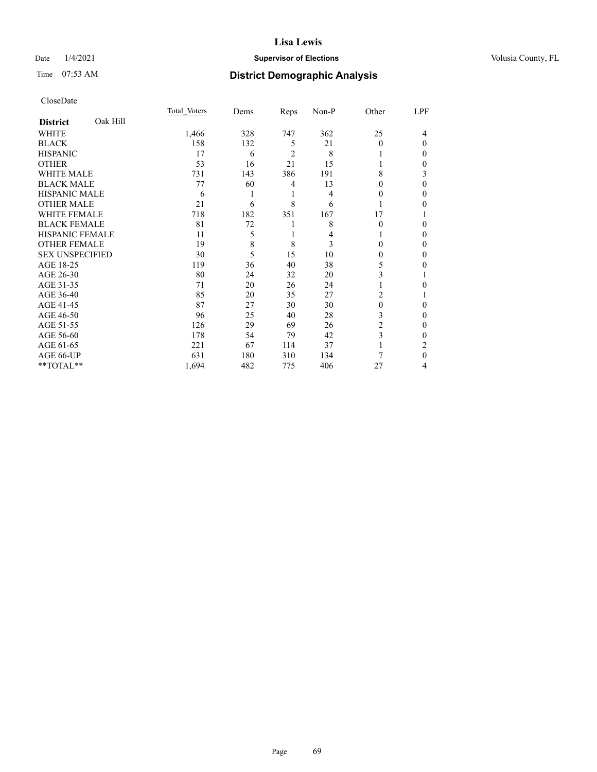## Date  $1/4/2021$  **Supervisor of Elections Supervisor of Elections** Volusia County, FL

# Time 07:53 AM **District Demographic Analysis**

|                        |          | Total Voters | Dems | Reps           | Non-P | Other | LPF |
|------------------------|----------|--------------|------|----------------|-------|-------|-----|
| <b>District</b>        | Oak Hill |              |      |                |       |       |     |
| WHITE                  |          | 1,466        | 328  | 747            | 362   | 25    | 4   |
| <b>BLACK</b>           |          | 158          | 132  | 5              | 21    | 0     | 0   |
| <b>HISPANIC</b>        |          | 17           | 6    | $\overline{c}$ | 8     |       | 0   |
| <b>OTHER</b>           |          | 53           | 16   | 21             | 15    |       | 0   |
| <b>WHITE MALE</b>      |          | 731          | 143  | 386            | 191   | 8     | 3   |
| <b>BLACK MALE</b>      |          | 77           | 60   | 4              | 13    | 0     | 0   |
| <b>HISPANIC MALE</b>   |          | 6            |      | 1              | 4     | 0     | 0   |
| <b>OTHER MALE</b>      |          | 21           | 6    | 8              | 6     |       | 0   |
| WHITE FEMALE           |          | 718          | 182  | 351            | 167   | 17    |     |
| <b>BLACK FEMALE</b>    |          | 81           | 72   | 1              | 8     | 0     | 0   |
| <b>HISPANIC FEMALE</b> |          | 11           | 5    | 1              | 4     |       | 0   |
| <b>OTHER FEMALE</b>    |          | 19           | 8    | 8              | 3     | 0     | 0   |
| <b>SEX UNSPECIFIED</b> |          | 30           | 5    | 15             | 10    | 0     | 0   |
| AGE 18-25              |          | 119          | 36   | 40             | 38    | 5     | 0   |
| AGE 26-30              |          | 80           | 24   | 32             | 20    | 3     |     |
| AGE 31-35              |          | 71           | 20   | 26             | 24    |       | 0   |
| AGE 36-40              |          | 85           | 20   | 35             | 27    | 2     |     |
| AGE 41-45              |          | 87           | 27   | 30             | 30    | 0     | 0   |
| AGE 46-50              |          | 96           | 25   | 40             | 28    | 3     | 0   |
| AGE 51-55              |          | 126          | 29   | 69             | 26    | 2     | 0   |
| AGE 56-60              |          | 178          | 54   | 79             | 42    | 3     | 0   |
| AGE 61-65              |          | 221          | 67   | 114            | 37    | 1     | 2   |
| AGE 66-UP              |          | 631          | 180  | 310            | 134   | 7     | 0   |
| **TOTAL**              |          | 1,694        | 482  | 775            | 406   | 27    | 4   |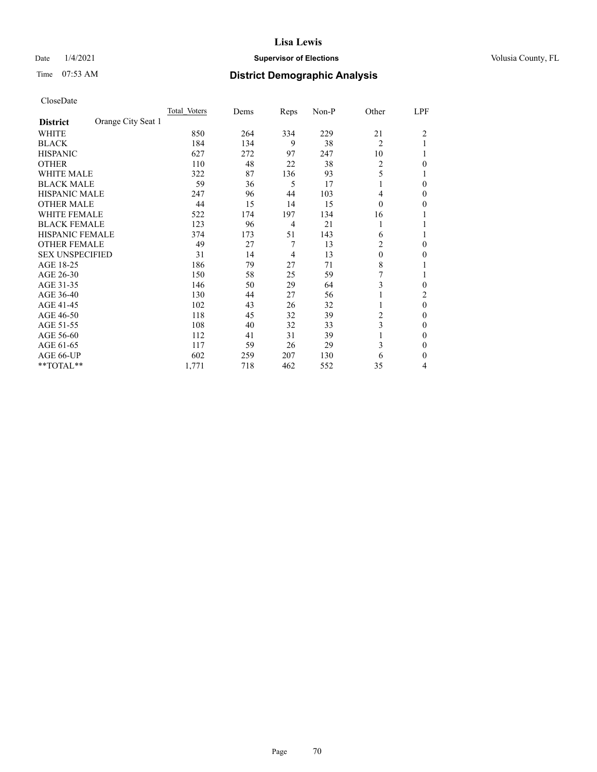## Date  $1/4/2021$  **Supervisor of Elections Supervisor of Elections** Volusia County, FL

# Time 07:53 AM **District Demographic Analysis**

|                        |                    | Total Voters | Dems | Reps           | Non-P | Other          | LPF            |
|------------------------|--------------------|--------------|------|----------------|-------|----------------|----------------|
| <b>District</b>        | Orange City Seat 1 |              |      |                |       |                |                |
| WHITE                  |                    | 850          | 264  | 334            | 229   | 21             | $\overline{2}$ |
| <b>BLACK</b>           |                    | 184          | 134  | 9              | 38    | $\overline{c}$ |                |
| <b>HISPANIC</b>        |                    | 627          | 272  | 97             | 247   | 10             |                |
| <b>OTHER</b>           |                    | 110          | 48   | 22             | 38    | 2              | 0              |
| WHITE MALE             |                    | 322          | 87   | 136            | 93    | 5              |                |
| <b>BLACK MALE</b>      |                    | 59           | 36   | 5              | 17    | 1              | 0              |
| HISPANIC MALE          |                    | 247          | 96   | 44             | 103   | 4              | 0              |
| <b>OTHER MALE</b>      |                    | 44           | 15   | 14             | 15    | $\Omega$       | 0              |
| WHITE FEMALE           |                    | 522          | 174  | 197            | 134   | 16             |                |
| <b>BLACK FEMALE</b>    |                    | 123          | 96   | 4              | 21    | 1              |                |
| <b>HISPANIC FEMALE</b> |                    | 374          | 173  | 51             | 143   | 6              |                |
| <b>OTHER FEMALE</b>    |                    | 49           | 27   | 7              | 13    | 2              | 0              |
| <b>SEX UNSPECIFIED</b> |                    | 31           | 14   | $\overline{4}$ | 13    | $\theta$       | 0              |
| AGE 18-25              |                    | 186          | 79   | 27             | 71    | 8              |                |
| AGE 26-30              |                    | 150          | 58   | 25             | 59    | 7              |                |
| AGE 31-35              |                    | 146          | 50   | 29             | 64    | 3              | 0              |
| AGE 36-40              |                    | 130          | 44   | 27             | 56    | 1              | 2              |
| AGE 41-45              |                    | 102          | 43   | 26             | 32    |                | $\theta$       |
| AGE 46-50              |                    | 118          | 45   | 32             | 39    | 2              | 0              |
| AGE 51-55              |                    | 108          | 40   | 32             | 33    | 3              | 0              |
| AGE 56-60              |                    | 112          | 41   | 31             | 39    |                | 0              |
| AGE 61-65              |                    | 117          | 59   | 26             | 29    | 3              | 0              |
| AGE 66-UP              |                    | 602          | 259  | 207            | 130   | 6              | 0              |
| $*$ $TOTAL**$          |                    | 1,771        | 718  | 462            | 552   | 35             | 4              |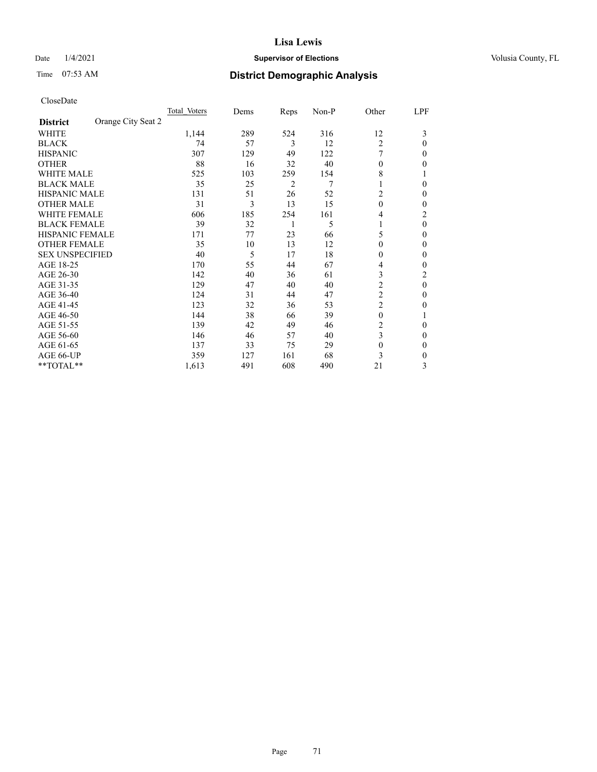## Date  $1/4/2021$  **Supervisor of Elections Supervisor of Elections** Volusia County, FL

# Time 07:53 AM **District Demographic Analysis**

|                                       | Total Voters | Dems | Reps | Non-P | Other          | LPF            |
|---------------------------------------|--------------|------|------|-------|----------------|----------------|
| Orange City Seat 2<br><b>District</b> |              |      |      |       |                |                |
| WHITE                                 | 1,144        | 289  | 524  | 316   | 12             | 3              |
| <b>BLACK</b>                          | 74           | 57   | 3    | 12    | $\overline{2}$ | 0              |
| <b>HISPANIC</b>                       | 307          | 129  | 49   | 122   |                | 0              |
| <b>OTHER</b>                          | 88           | 16   | 32   | 40    | $\theta$       | 0              |
| WHITE MALE                            | 525          | 103  | 259  | 154   | 8              |                |
| <b>BLACK MALE</b>                     | 35           | 25   | 2    | 7     | $\mathbf{I}$   | 0              |
| <b>HISPANIC MALE</b>                  | 131          | 51   | 26   | 52    | 2              | 0              |
| <b>OTHER MALE</b>                     | 31           | 3    | 13   | 15    | $\Omega$       | 0              |
| WHITE FEMALE                          | 606          | 185  | 254  | 161   | 4              | $\overline{c}$ |
| <b>BLACK FEMALE</b>                   | 39           | 32   | 1    | 5     | 1              | $\theta$       |
| <b>HISPANIC FEMALE</b>                | 171          | 77   | 23   | 66    | 5              | 0              |
| <b>OTHER FEMALE</b>                   | 35           | 10   | 13   | 12    | $\Omega$       | 0              |
| <b>SEX UNSPECIFIED</b>                | 40           | 5    | 17   | 18    | $\Omega$       | 0              |
| AGE 18-25                             | 170          | 55   | 44   | 67    | 4              | 0              |
| AGE 26-30                             | 142          | 40   | 36   | 61    | 3              | 2              |
| AGE 31-35                             | 129          | 47   | 40   | 40    | $\overline{c}$ | 0              |
| AGE 36-40                             | 124          | 31   | 44   | 47    | $\overline{c}$ | 0              |
| AGE 41-45                             | 123          | 32   | 36   | 53    | $\overline{c}$ | 0              |
| AGE 46-50                             | 144          | 38   | 66   | 39    | $\theta$       |                |
| AGE 51-55                             | 139          | 42   | 49   | 46    | 2              | 0              |
| AGE 56-60                             | 146          | 46   | 57   | 40    | 3              | 0              |
| AGE 61-65                             | 137          | 33   | 75   | 29    | $\theta$       | 0              |
| AGE 66-UP                             | 359          | 127  | 161  | 68    | 3              | 0              |
| **TOTAL**                             | 1,613        | 491  | 608  | 490   | 21             | 3              |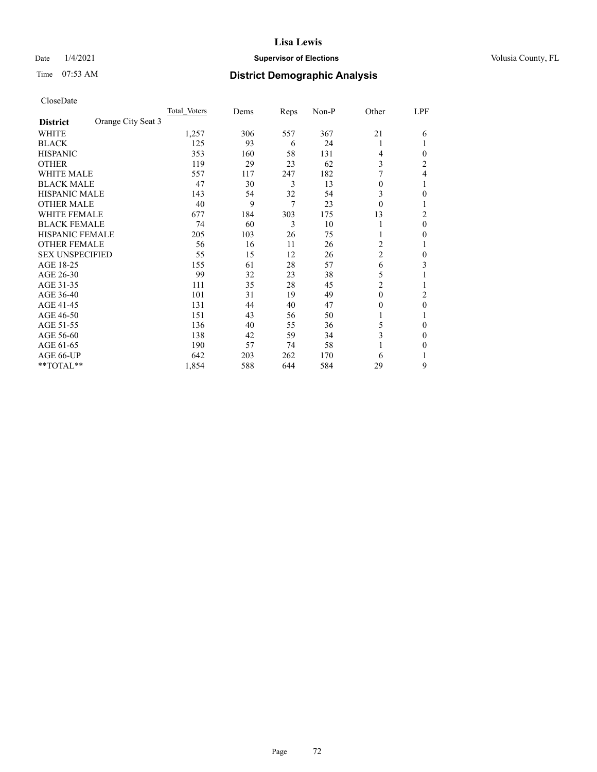## Date  $1/4/2021$  **Supervisor of Elections Supervisor of Elections** Volusia County, FL

# Time 07:53 AM **District Demographic Analysis**

|                        | Total Voters       | Dems | Reps | Non-P | Other          | LPF            |
|------------------------|--------------------|------|------|-------|----------------|----------------|
| <b>District</b>        | Orange City Seat 3 |      |      |       |                |                |
| WHITE                  | 1,257              | 306  | 557  | 367   | 21             | 6              |
| <b>BLACK</b>           | 125                | 93   | 6    | 24    | 1              |                |
| <b>HISPANIC</b>        | 353                | 160  | 58   | 131   | 4              | 0              |
| <b>OTHER</b>           | 119                | 29   | 23   | 62    | 3              | $\overline{c}$ |
| WHITE MALE             | 557                | 117  | 247  | 182   |                | 4              |
| <b>BLACK MALE</b>      | 47                 | 30   | 3    | 13    | $\theta$       |                |
| HISPANIC MALE          | 143                | 54   | 32   | 54    | 3              | 0              |
| <b>OTHER MALE</b>      | 40                 | 9    | 7    | 23    | $\Omega$       | 1              |
| WHITE FEMALE           | 677                | 184  | 303  | 175   | 13             | 2              |
| <b>BLACK FEMALE</b>    | 74                 | 60   | 3    | 10    | 1              | $\theta$       |
| <b>HISPANIC FEMALE</b> | 205                | 103  | 26   | 75    |                | 0              |
| <b>OTHER FEMALE</b>    | 56                 | 16   | 11   | 26    | 2              |                |
| <b>SEX UNSPECIFIED</b> | 55                 | 15   | 12   | 26    | $\overline{c}$ | 0              |
| AGE 18-25              | 155                | 61   | 28   | 57    | 6              | 3              |
| AGE 26-30              | 99                 | 32   | 23   | 38    | 5              |                |
| AGE 31-35              | 111                | 35   | 28   | 45    | $\overline{2}$ |                |
| AGE 36-40              | 101                | 31   | 19   | 49    | $\theta$       | 2              |
| AGE 41-45              | 131                | 44   | 40   | 47    | $\theta$       | 0              |
| AGE 46-50              | 151                | 43   | 56   | 50    | 1              |                |
| AGE 51-55              | 136                | 40   | 55   | 36    | 5              | 0              |
| AGE 56-60              | 138                | 42   | 59   | 34    | 3              | 0              |
| AGE 61-65              | 190                | 57   | 74   | 58    |                | 0              |
| AGE 66-UP              | 642                | 203  | 262  | 170   | 6              |                |
| **TOTAL**              | 1,854              | 588  | 644  | 584   | 29             | 9              |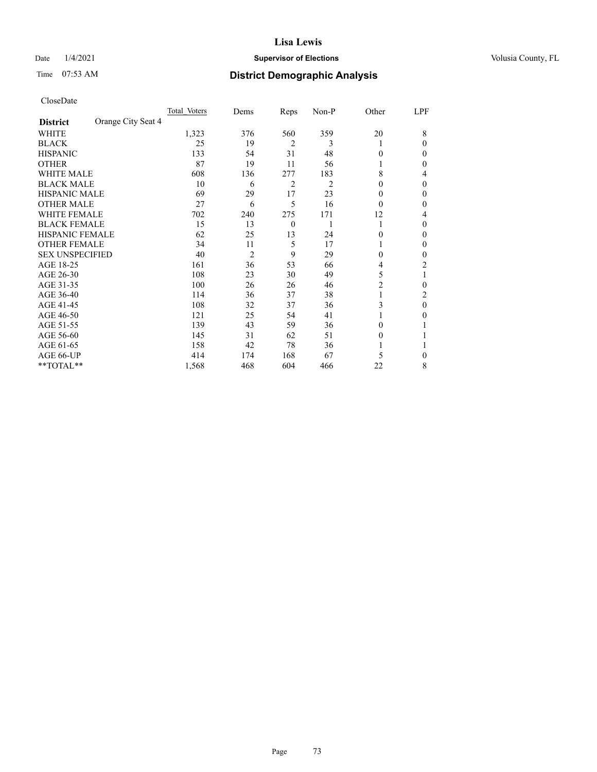## Date  $1/4/2021$  **Supervisor of Elections Supervisor of Elections** Volusia County, FL

# Time 07:53 AM **District Demographic Analysis**

|                        |                    | Total Voters | Dems           | Reps           | Non-P | Other          | LPF |
|------------------------|--------------------|--------------|----------------|----------------|-------|----------------|-----|
| <b>District</b>        | Orange City Seat 4 |              |                |                |       |                |     |
| WHITE                  |                    | 1,323        | 376            | 560            | 359   | 20             | 8   |
| <b>BLACK</b>           |                    | 25           | 19             | $\overline{2}$ | 3     |                | 0   |
| <b>HISPANIC</b>        |                    | 133          | 54             | 31             | 48    | 0              | 0   |
| <b>OTHER</b>           |                    | 87           | 19             | 11             | 56    |                | 0   |
| WHITE MALE             |                    | 608          | 136            | 277            | 183   | 8              | 4   |
| <b>BLACK MALE</b>      |                    | 10           | 6              | $\overline{2}$ | 2     | 0              | 0   |
| <b>HISPANIC MALE</b>   |                    | 69           | 29             | 17             | 23    | $_{0}$         | 0   |
| <b>OTHER MALE</b>      |                    | 27           | 6              | 5              | 16    | 0              | 0   |
| WHITE FEMALE           |                    | 702          | 240            | 275            | 171   | 12             | 4   |
| <b>BLACK FEMALE</b>    |                    | 15           | 13             | $\overline{0}$ |       | 1              | 0   |
| <b>HISPANIC FEMALE</b> |                    | 62           | 25             | 13             | 24    | 0              | 0   |
| <b>OTHER FEMALE</b>    |                    | 34           | 11             | 5              | 17    |                | 0   |
| <b>SEX UNSPECIFIED</b> |                    | 40           | $\overline{2}$ | 9              | 29    | 0              | 0   |
| AGE 18-25              |                    | 161          | 36             | 53             | 66    | 4              | 2   |
| AGE 26-30              |                    | 108          | 23             | 30             | 49    | 5              | 1   |
| AGE 31-35              |                    | 100          | 26             | 26             | 46    | $\overline{2}$ | 0   |
| AGE 36-40              |                    | 114          | 36             | 37             | 38    | 1              | 2   |
| AGE 41-45              |                    | 108          | 32             | 37             | 36    | 3              | 0   |
| AGE 46-50              |                    | 121          | 25             | 54             | 41    |                | 0   |
| AGE 51-55              |                    | 139          | 43             | 59             | 36    | 0              |     |
| AGE 56-60              |                    | 145          | 31             | 62             | 51    | $_{0}$         |     |
| AGE 61-65              |                    | 158          | 42             | 78             | 36    |                |     |
| AGE 66-UP              |                    | 414          | 174            | 168            | 67    | 5              | 0   |
| **TOTAL**              |                    | 1,568        | 468            | 604            | 466   | 22             | 8   |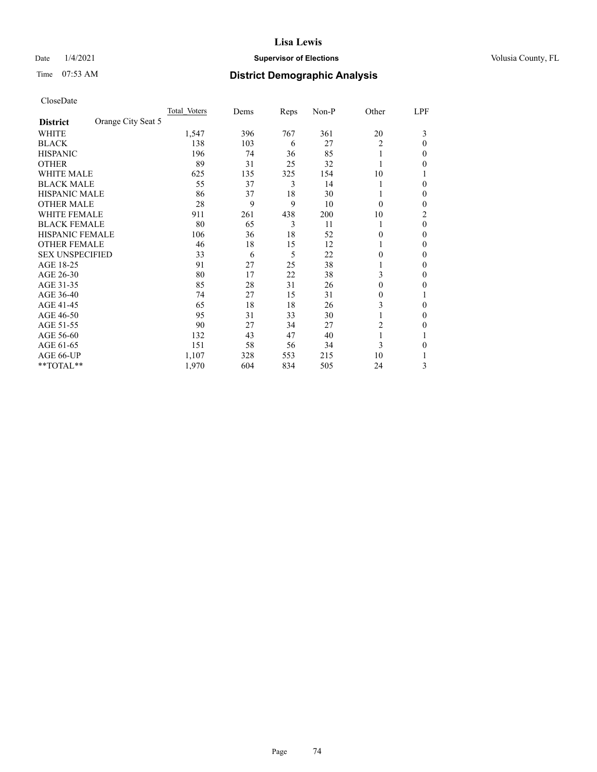## Date  $1/4/2021$  **Supervisor of Elections Supervisor of Elections** Volusia County, FL

# Time 07:53 AM **District Demographic Analysis**

|                        |                    | Total Voters | Dems | Reps | Non-P | Other    | LPF |
|------------------------|--------------------|--------------|------|------|-------|----------|-----|
| <b>District</b>        | Orange City Seat 5 |              |      |      |       |          |     |
| WHITE                  |                    | 1,547        | 396  | 767  | 361   | 20       | 3   |
| <b>BLACK</b>           |                    | 138          | 103  | 6    | 27    | 2        | 0   |
| <b>HISPANIC</b>        |                    | 196          | 74   | 36   | 85    |          | 0   |
| <b>OTHER</b>           |                    | 89           | 31   | 25   | 32    |          | 0   |
| WHITE MALE             |                    | 625          | 135  | 325  | 154   | 10       |     |
| <b>BLACK MALE</b>      |                    | 55           | 37   | 3    | 14    |          | 0   |
| <b>HISPANIC MALE</b>   |                    | 86           | 37   | 18   | 30    |          | 0   |
| <b>OTHER MALE</b>      |                    | 28           | 9    | 9    | 10    | $\Omega$ | 0   |
| WHITE FEMALE           |                    | 911          | 261  | 438  | 200   | 10       | 2   |
| <b>BLACK FEMALE</b>    |                    | 80           | 65   | 3    | 11    | 1        | 0   |
| <b>HISPANIC FEMALE</b> |                    | 106          | 36   | 18   | 52    | 0        | 0   |
| <b>OTHER FEMALE</b>    |                    | 46           | 18   | 15   | 12    |          | 0   |
| <b>SEX UNSPECIFIED</b> |                    | 33           | 6    | 5    | 22    | 0        | 0   |
| AGE 18-25              |                    | 91           | 27   | 25   | 38    |          | 0   |
| AGE 26-30              |                    | 80           | 17   | 22   | 38    | 3        | 0   |
| AGE 31-35              |                    | 85           | 28   | 31   | 26    | 0        | 0   |
| AGE 36-40              |                    | 74           | 27   | 15   | 31    | 0        |     |
| AGE 41-45              |                    | 65           | 18   | 18   | 26    | 3        | 0   |
| AGE 46-50              |                    | 95           | 31   | 33   | 30    |          | 0   |
| AGE 51-55              |                    | 90           | 27   | 34   | 27    | 2        | 0   |
| AGE 56-60              |                    | 132          | 43   | 47   | 40    |          |     |
| AGE 61-65              |                    | 151          | 58   | 56   | 34    | 3        | 0   |
| AGE 66-UP              |                    | 1,107        | 328  | 553  | 215   | 10       |     |
| **TOTAL**              |                    | 1,970        | 604  | 834  | 505   | 24       | 3   |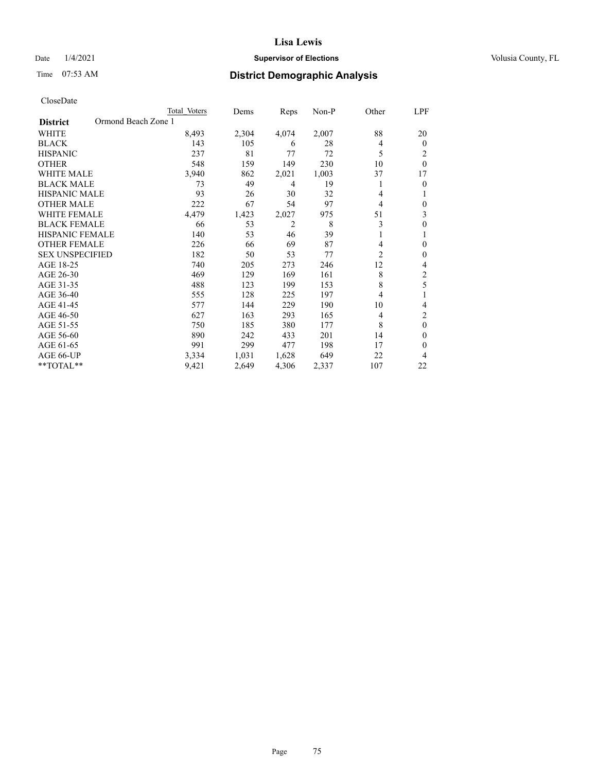## Date  $1/4/2021$  **Supervisor of Elections Supervisor of Elections** Volusia County, FL

|                                        | Total Voters | Dems  | Reps  | Non-P | Other          | LPF            |
|----------------------------------------|--------------|-------|-------|-------|----------------|----------------|
| Ormond Beach Zone 1<br><b>District</b> |              |       |       |       |                |                |
| WHITE                                  | 8,493        | 2,304 | 4,074 | 2,007 | 88             | 20             |
| <b>BLACK</b>                           | 143          | 105   | 6     | 28    | 4              | $\mathbf{0}$   |
| <b>HISPANIC</b>                        | 237          | 81    | 77    | 72    | 5              | 2              |
| <b>OTHER</b>                           | 548          | 159   | 149   | 230   | 10             | $\theta$       |
| <b>WHITE MALE</b>                      | 3,940        | 862   | 2,021 | 1,003 | 37             | 17             |
| <b>BLACK MALE</b>                      | 73           | 49    | 4     | 19    | 1              | $\mathbf{0}$   |
| <b>HISPANIC MALE</b>                   | 93           | 26    | 30    | 32    | 4              |                |
| <b>OTHER MALE</b>                      | 222          | 67    | 54    | 97    | 4              | $\theta$       |
| <b>WHITE FEMALE</b>                    | 4,479        | 1,423 | 2,027 | 975   | 51             | 3              |
| <b>BLACK FEMALE</b>                    | 66           | 53    | 2     | 8     | 3              | $\theta$       |
| <b>HISPANIC FEMALE</b>                 | 140          | 53    | 46    | 39    | 1              |                |
| <b>OTHER FEMALE</b>                    | 226          | 66    | 69    | 87    | 4              | $\theta$       |
| <b>SEX UNSPECIFIED</b>                 | 182          | 50    | 53    | 77    | $\overline{2}$ | $\mathbf{0}$   |
| AGE 18-25                              | 740          | 205   | 273   | 246   | 12             | 4              |
| AGE 26-30                              | 469          | 129   | 169   | 161   | 8              | 2              |
| AGE 31-35                              | 488          | 123   | 199   | 153   | 8              | 5              |
| AGE 36-40                              | 555          | 128   | 225   | 197   | 4              |                |
| AGE 41-45                              | 577          | 144   | 229   | 190   | 10             | 4              |
| AGE 46-50                              | 627          | 163   | 293   | 165   | 4              | 2              |
| AGE 51-55                              | 750          | 185   | 380   | 177   | 8              | $\overline{0}$ |
| AGE 56-60                              | 890          | 242   | 433   | 201   | 14             | $\Omega$       |
| AGE 61-65                              | 991          | 299   | 477   | 198   | 17             | $\Omega$       |
| AGE 66-UP                              | 3,334        | 1,031 | 1,628 | 649   | 22             | 4              |
| **TOTAL**                              | 9,421        | 2,649 | 4,306 | 2,337 | 107            | 22             |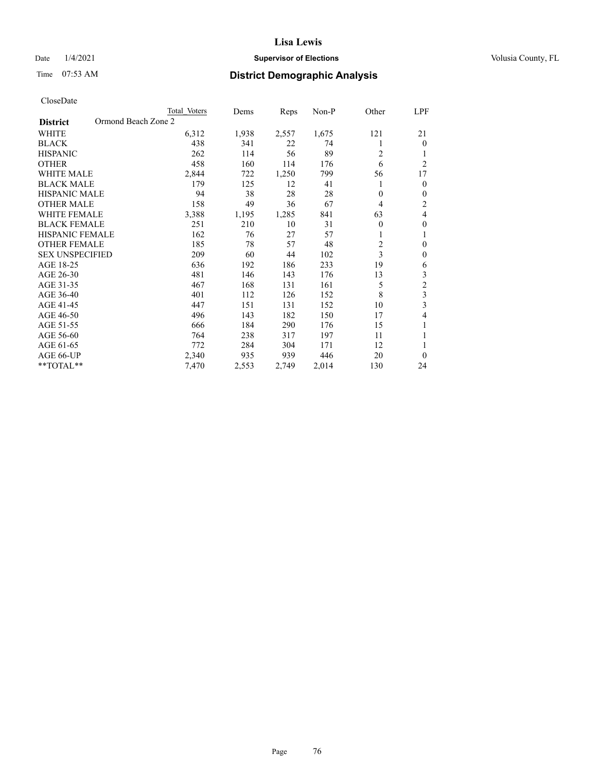## Date  $1/4/2021$  **Supervisor of Elections Supervisor of Elections** Volusia County, FL

| CloseDate |
|-----------|
|-----------|

|                                        | Total Voters | Dems  | Reps  | Non-P | Other    | LPF            |
|----------------------------------------|--------------|-------|-------|-------|----------|----------------|
| Ormond Beach Zone 2<br><b>District</b> |              |       |       |       |          |                |
| WHITE                                  | 6,312        | 1,938 | 2,557 | 1,675 | 121      | 21             |
| <b>BLACK</b>                           | 438          | 341   | 22    | 74    | 1        | $\overline{0}$ |
| <b>HISPANIC</b>                        | 262          | 114   | 56    | 89    | 2        |                |
| <b>OTHER</b>                           | 458          | 160   | 114   | 176   | 6        | 2              |
| <b>WHITE MALE</b>                      | 2,844        | 722   | 1,250 | 799   | 56       | 17             |
| <b>BLACK MALE</b>                      | 179          | 125   | 12    | 41    | 1        | $\overline{0}$ |
| <b>HISPANIC MALE</b>                   | 94           | 38    | 28    | 28    | 0        | 0              |
| <b>OTHER MALE</b>                      | 158          | 49    | 36    | 67    | 4        | 2              |
| <b>WHITE FEMALE</b>                    | 3,388        | 1,195 | 1,285 | 841   | 63       | 4              |
| <b>BLACK FEMALE</b>                    | 251          | 210   | 10    | 31    | $\theta$ | $\theta$       |
| <b>HISPANIC FEMALE</b>                 | 162          | 76    | 27    | 57    | 1        | 1              |
| <b>OTHER FEMALE</b>                    | 185          | 78    | 57    | 48    | 2        | 0              |
| <b>SEX UNSPECIFIED</b>                 | 209          | 60    | 44    | 102   | 3        | $\mathbf{0}$   |
| AGE 18-25                              | 636          | 192   | 186   | 233   | 19       | 6              |
| AGE 26-30                              | 481          | 146   | 143   | 176   | 13       | 3              |
| AGE 31-35                              | 467          | 168   | 131   | 161   | 5        | $\overline{c}$ |
| AGE 36-40                              | 401          | 112   | 126   | 152   | 8        | 3              |
| AGE 41-45                              | 447          | 151   | 131   | 152   | 10       | 3              |
| AGE 46-50                              | 496          | 143   | 182   | 150   | 17       | 4              |
| AGE 51-55                              | 666          | 184   | 290   | 176   | 15       | 1              |
| AGE 56-60                              | 764          | 238   | 317   | 197   | 11       |                |
| AGE 61-65                              | 772          | 284   | 304   | 171   | 12       | 1              |
| AGE 66-UP                              | 2,340        | 935   | 939   | 446   | 20       | $\Omega$       |
| **TOTAL**                              | 7,470        | 2,553 | 2,749 | 2,014 | 130      | 24             |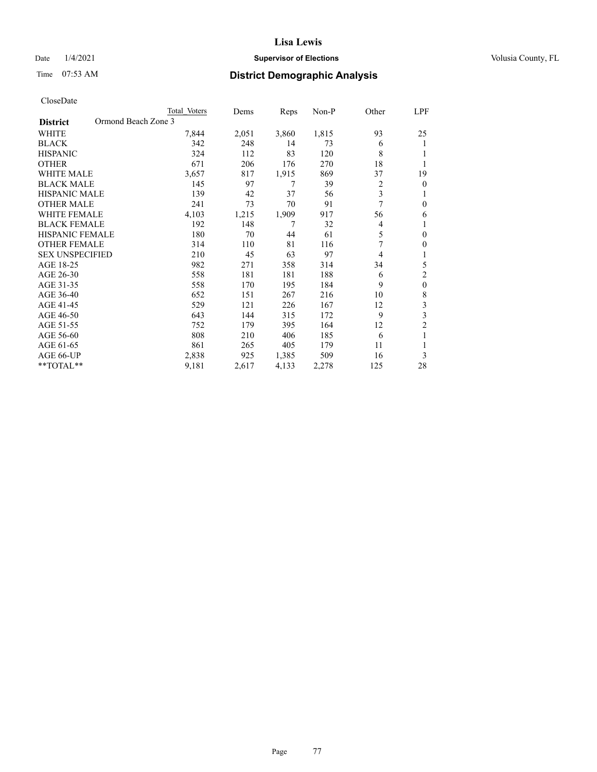## Date  $1/4/2021$  **Supervisor of Elections Supervisor of Elections** Volusia County, FL

|                                        | Total Voters | Dems  | Reps  | Non-P | Other | LPF                     |
|----------------------------------------|--------------|-------|-------|-------|-------|-------------------------|
| Ormond Beach Zone 3<br><b>District</b> |              |       |       |       |       |                         |
| WHITE                                  | 7,844        | 2,051 | 3,860 | 1,815 | 93    | 25                      |
| <b>BLACK</b>                           | 342          | 248   | 14    | 73    | 6     | 1                       |
| <b>HISPANIC</b>                        | 324          | 112   | 83    | 120   | 8     | 1                       |
| <b>OTHER</b>                           | 671          | 206   | 176   | 270   | 18    | 1                       |
| <b>WHITE MALE</b>                      | 3,657        | 817   | 1,915 | 869   | 37    | 19                      |
| <b>BLACK MALE</b>                      | 145          | 97    | 7     | 39    | 2     | $\mathbf{0}$            |
| HISPANIC MALE                          | 139          | 42    | 37    | 56    | 3     | 1                       |
| <b>OTHER MALE</b>                      | 241          | 73    | 70    | 91    | 7     | $\mathbf{0}$            |
| <b>WHITE FEMALE</b>                    | 4,103        | 1,215 | 1,909 | 917   | 56    | 6                       |
| <b>BLACK FEMALE</b>                    | 192          | 148   | 7     | 32    | 4     | 1                       |
| <b>HISPANIC FEMALE</b>                 | 180          | 70    | 44    | 61    | 5     | $\mathbf{0}$            |
| <b>OTHER FEMALE</b>                    | 314          | 110   | 81    | 116   | 7     | $\mathbf{0}$            |
| <b>SEX UNSPECIFIED</b>                 | 210          | 45    | 63    | 97    | 4     | 1                       |
| AGE 18-25                              | 982          | 271   | 358   | 314   | 34    | 5                       |
| AGE 26-30                              | 558          | 181   | 181   | 188   | 6     | $\mathfrak{2}$          |
| AGE 31-35                              | 558          | 170   | 195   | 184   | 9     | $\mathbf{0}$            |
| AGE 36-40                              | 652          | 151   | 267   | 216   | 10    | $\,$ 8 $\,$             |
| AGE 41-45                              | 529          | 121   | 226   | 167   | 12    | 3                       |
| AGE 46-50                              | 643          | 144   | 315   | 172   | 9     | $\overline{\mathbf{3}}$ |
| AGE 51-55                              | 752          | 179   | 395   | 164   | 12    | $\overline{c}$          |
| AGE 56-60                              | 808          | 210   | 406   | 185   | 6     | 1                       |
| AGE 61-65                              | 861          | 265   | 405   | 179   | 11    | 1                       |
| AGE 66-UP                              | 2,838        | 925   | 1,385 | 509   | 16    | 3                       |
| **TOTAL**                              | 9,181        | 2,617 | 4,133 | 2,278 | 125   | 28                      |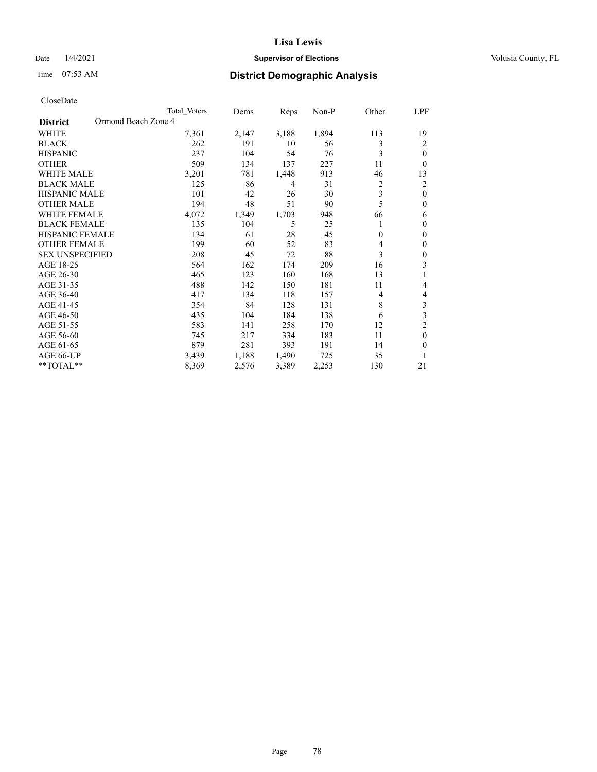## Date  $1/4/2021$  **Supervisor of Elections Supervisor of Elections** Volusia County, FL

| CloseDate |
|-----------|
|-----------|

|                                        | Total Voters | Dems  | Reps  | Non-P | Other        | LPF            |
|----------------------------------------|--------------|-------|-------|-------|--------------|----------------|
| Ormond Beach Zone 4<br><b>District</b> |              |       |       |       |              |                |
| WHITE                                  | 7,361        | 2,147 | 3,188 | 1,894 | 113          | 19             |
| <b>BLACK</b>                           | 262          | 191   | 10    | 56    | 3            | 2              |
| <b>HISPANIC</b>                        | 237          | 104   | 54    | 76    | 3            | $\theta$       |
| <b>OTHER</b>                           | 509          | 134   | 137   | 227   | 11           | $\theta$       |
| <b>WHITE MALE</b>                      | 3,201        | 781   | 1,448 | 913   | 46           | 13             |
| <b>BLACK MALE</b>                      | 125          | 86    | 4     | 31    | 2            | 2              |
| <b>HISPANIC MALE</b>                   | 101          | 42    | 26    | 30    | 3            | $\theta$       |
| <b>OTHER MALE</b>                      | 194          | 48    | 51    | 90    | 5            | $\theta$       |
| <b>WHITE FEMALE</b>                    | 4,072        | 1,349 | 1,703 | 948   | 66           | 6              |
| <b>BLACK FEMALE</b>                    | 135          | 104   | 5     | 25    |              | $\theta$       |
| <b>HISPANIC FEMALE</b>                 | 134          | 61    | 28    | 45    | $\mathbf{0}$ | $\theta$       |
| <b>OTHER FEMALE</b>                    | 199          | 60    | 52    | 83    | 4            | $\theta$       |
| <b>SEX UNSPECIFIED</b>                 | 208          | 45    | 72    | 88    | 3            | $\theta$       |
| AGE 18-25                              | 564          | 162   | 174   | 209   | 16           | 3              |
| AGE 26-30                              | 465          | 123   | 160   | 168   | 13           |                |
| AGE 31-35                              | 488          | 142   | 150   | 181   | 11           | 4              |
| AGE 36-40                              | 417          | 134   | 118   | 157   | 4            | $\overline{4}$ |
| AGE 41-45                              | 354          | 84    | 128   | 131   | 8            | 3              |
| AGE 46-50                              | 435          | 104   | 184   | 138   | 6            | 3              |
| AGE 51-55                              | 583          | 141   | 258   | 170   | 12           | $\overline{c}$ |
| AGE 56-60                              | 745          | 217   | 334   | 183   | 11           | $\theta$       |
| AGE 61-65                              | 879          | 281   | 393   | 191   | 14           | $\theta$       |
| AGE 66-UP                              | 3,439        | 1,188 | 1,490 | 725   | 35           | 1              |
| **TOTAL**                              | 8,369        | 2,576 | 3,389 | 2,253 | 130          | 21             |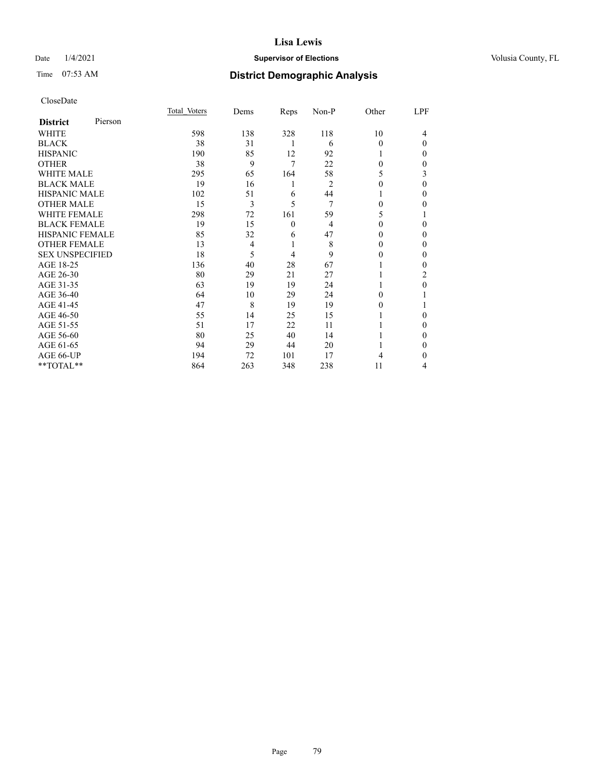## Date  $1/4/2021$  **Supervisor of Elections Supervisor of Elections** Volusia County, FL

# Time 07:53 AM **District Demographic Analysis**

|                        |         | Total Voters | Dems           | Reps     | Non-P          | Other    | LPF      |
|------------------------|---------|--------------|----------------|----------|----------------|----------|----------|
| <b>District</b>        | Pierson |              |                |          |                |          |          |
| WHITE                  |         | 598          | 138            | 328      | 118            | 10       | 4        |
| <b>BLACK</b>           |         | 38           | 31             | 1        | 6              | 0        | $\Omega$ |
| <b>HISPANIC</b>        |         | 190          | 85             | 12       | 92             |          | $\Omega$ |
| <b>OTHER</b>           |         | 38           | 9              | 7        | 22             | 0        | $\Omega$ |
| <b>WHITE MALE</b>      |         | 295          | 65             | 164      | 58             | 5        | 3        |
| <b>BLACK MALE</b>      |         | 19           | 16             | 1        | $\overline{2}$ | 0        | $\theta$ |
| <b>HISPANIC MALE</b>   |         | 102          | 51             | 6        | 44             |          | $\Omega$ |
| <b>OTHER MALE</b>      |         | 15           | 3              | 5        | 7              | $\Omega$ | $\Omega$ |
| <b>WHITE FEMALE</b>    |         | 298          | 72             | 161      | 59             | 5        |          |
| <b>BLACK FEMALE</b>    |         | 19           | 15             | $\theta$ | $\overline{4}$ | 0        | $\Omega$ |
| <b>HISPANIC FEMALE</b> |         | 85           | 32             | 6        | 47             | 0        | $\Omega$ |
| <b>OTHER FEMALE</b>    |         | 13           | $\overline{4}$ | 1        | 8              | 0        | $\Omega$ |
| <b>SEX UNSPECIFIED</b> |         | 18           | 5              | 4        | 9              | 0        | $\Omega$ |
| AGE 18-25              |         | 136          | 40             | 28       | 67             |          | $\Omega$ |
| AGE 26-30              |         | 80           | 29             | 21       | 27             |          | 2        |
| AGE 31-35              |         | 63           | 19             | 19       | 24             |          | 0        |
| AGE 36-40              |         | 64           | 10             | 29       | 24             | 0        |          |
| AGE 41-45              |         | 47           | 8              | 19       | 19             | 0        |          |
| AGE 46-50              |         | 55           | 14             | 25       | 15             |          | $\Omega$ |
| AGE 51-55              |         | 51           | 17             | 22       | 11             |          | $\Omega$ |
| AGE 56-60              |         | 80           | 25             | 40       | 14             |          | 0        |
| AGE 61-65              |         | 94           | 29             | 44       | 20             |          | $\Omega$ |
| AGE 66-UP              |         | 194          | 72             | 101      | 17             | 4        | 0        |
| **TOTAL**              |         | 864          | 263            | 348      | 238            | 11       | 4        |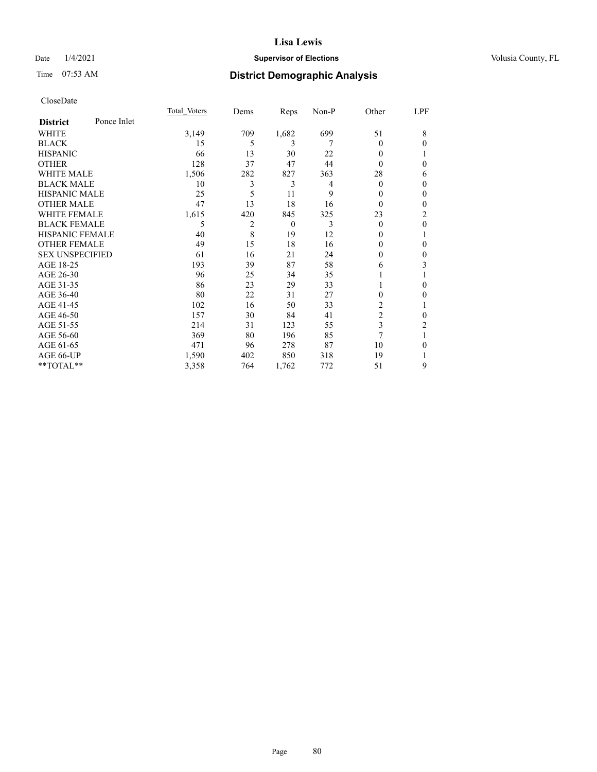## Date  $1/4/2021$  **Supervisor of Elections Supervisor of Elections** Volusia County, FL

# Time 07:53 AM **District Demographic Analysis**

|                        |             | Total Voters | Dems           | Reps         | Non-P | Other          | LPF              |
|------------------------|-------------|--------------|----------------|--------------|-------|----------------|------------------|
| <b>District</b>        | Ponce Inlet |              |                |              |       |                |                  |
| WHITE                  |             | 3,149        | 709            | 1,682        | 699   | 51             | 8                |
| <b>BLACK</b>           |             | 15           | 5              | 3            | 7     | 0              | $\theta$         |
| <b>HISPANIC</b>        |             | 66           | 13             | 30           | 22    | 0              | 1                |
| <b>OTHER</b>           |             | 128          | 37             | 47           | 44    | 0              | $\mathbf{0}$     |
| <b>WHITE MALE</b>      |             | 1,506        | 282            | 827          | 363   | 28             | 6                |
| <b>BLACK MALE</b>      |             | 10           | 3              | 3            | 4     | 0              | $\theta$         |
| HISPANIC MALE          |             | 25           | 5              | 11           | 9     | 0              | $\boldsymbol{0}$ |
| <b>OTHER MALE</b>      |             | 47           | 13             | 18           | 16    | 0              | $\theta$         |
| <b>WHITE FEMALE</b>    |             | 1,615        | 420            | 845          | 325   | 23             | 2                |
| <b>BLACK FEMALE</b>    |             | 5            | $\overline{2}$ | $\mathbf{0}$ | 3     | 0              | $\mathbf{0}$     |
| <b>HISPANIC FEMALE</b> |             | 40           | 8              | 19           | 12    | 0              | 1                |
| <b>OTHER FEMALE</b>    |             | 49           | 15             | 18           | 16    | 0              | $\theta$         |
| <b>SEX UNSPECIFIED</b> |             | 61           | 16             | 21           | 24    | 0              | $\boldsymbol{0}$ |
| AGE 18-25              |             | 193          | 39             | 87           | 58    | 6              | 3                |
| AGE 26-30              |             | 96           | 25             | 34           | 35    |                |                  |
| AGE 31-35              |             | 86           | 23             | 29           | 33    |                | $\theta$         |
| AGE 36-40              |             | 80           | 22             | 31           | 27    | 0              | $\mathbf{0}$     |
| AGE 41-45              |             | 102          | 16             | 50           | 33    | 2              | 1                |
| AGE 46-50              |             | 157          | 30             | 84           | 41    | $\overline{2}$ | $\theta$         |
| AGE 51-55              |             | 214          | 31             | 123          | 55    | 3              | 2                |
| AGE 56-60              |             | 369          | 80             | 196          | 85    | 7              |                  |
| AGE 61-65              |             | 471          | 96             | 278          | 87    | 10             | $\mathbf{0}$     |
| AGE 66-UP              |             | 1,590        | 402            | 850          | 318   | 19             |                  |
| **TOTAL**              |             | 3,358        | 764            | 1,762        | 772   | 51             | 9                |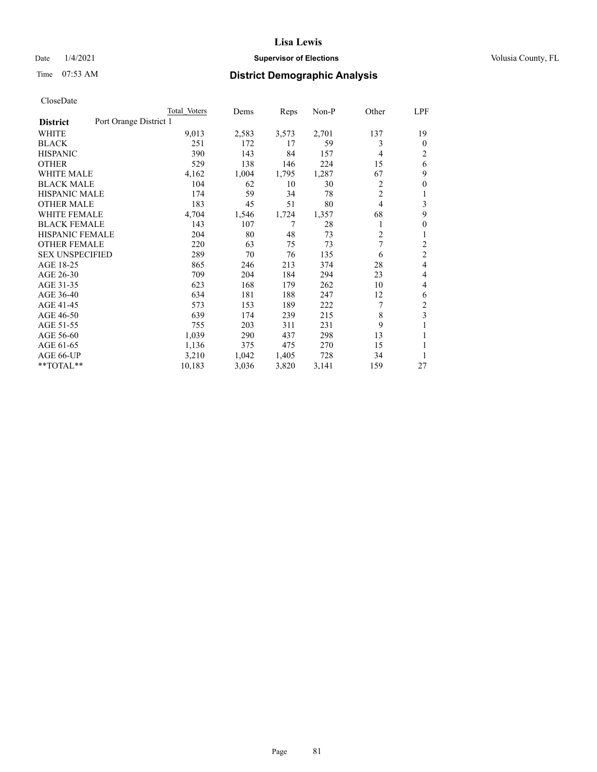## Date  $1/4/2021$  **Supervisor of Elections Supervisor of Elections** Volusia County, FL

# Time 07:53 AM **District Demographic Analysis**

|                                           | Total Voters | Dems  | Reps  | Non-P | Other          | LPF              |
|-------------------------------------------|--------------|-------|-------|-------|----------------|------------------|
| Port Orange District 1<br><b>District</b> |              |       |       |       |                |                  |
| WHITE                                     | 9,013        | 2,583 | 3,573 | 2,701 | 137            | 19               |
| <b>BLACK</b>                              | 251          | 172   | 17    | 59    | 3              | $\theta$         |
| <b>HISPANIC</b>                           | 390          | 143   | 84    | 157   | $\overline{4}$ | 2                |
| <b>OTHER</b>                              | 529          | 138   | 146   | 224   | 15             | 6                |
| WHITE MALE                                | 4,162        | 1,004 | 1,795 | 1,287 | 67             | 9                |
| <b>BLACK MALE</b>                         | 104          | 62    | 10    | 30    | 2              | $\boldsymbol{0}$ |
| <b>HISPANIC MALE</b>                      | 174          | 59    | 34    | 78    | $\overline{c}$ |                  |
| <b>OTHER MALE</b>                         | 183          | 45    | 51    | 80    | $\overline{4}$ | 3                |
| <b>WHITE FEMALE</b>                       | 4,704        | 1,546 | 1,724 | 1,357 | 68             | 9                |
| <b>BLACK FEMALE</b>                       | 143          | 107   | 7     | 28    | 1              | 0                |
| <b>HISPANIC FEMALE</b>                    | 204          | 80    | 48    | 73    | $\overline{c}$ |                  |
| <b>OTHER FEMALE</b>                       | 220          | 63    | 75    | 73    | 7              | 2                |
| <b>SEX UNSPECIFIED</b>                    | 289          | 70    | 76    | 135   | 6              | $\overline{c}$   |
| AGE 18-25                                 | 865          | 246   | 213   | 374   | 28             | 4                |
| AGE 26-30                                 | 709          | 204   | 184   | 294   | 23             | 4                |
| AGE 31-35                                 | 623          | 168   | 179   | 262   | 10             | 4                |
| AGE 36-40                                 | 634          | 181   | 188   | 247   | 12             | 6                |
| AGE 41-45                                 | 573          | 153   | 189   | 222   | 7              | 2                |
| AGE 46-50                                 | 639          | 174   | 239   | 215   | 8              | 3                |
| AGE 51-55                                 | 755          | 203   | 311   | 231   | 9              |                  |
| AGE 56-60                                 | 1,039        | 290   | 437   | 298   | 13             |                  |
| AGE 61-65                                 | 1,136        | 375   | 475   | 270   | 15             |                  |
| AGE 66-UP                                 | 3,210        | 1,042 | 1,405 | 728   | 34             |                  |
| **TOTAL**                                 | 10,183       | 3,036 | 3,820 | 3,141 | 159            | 27               |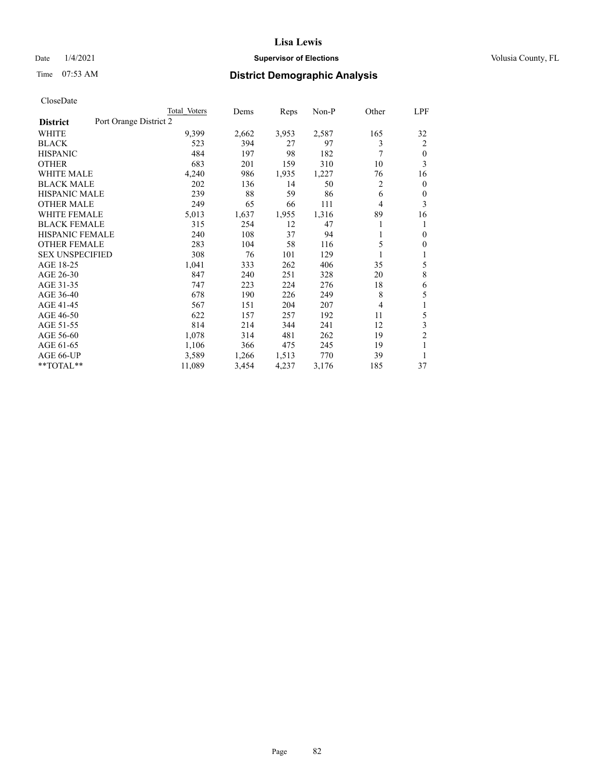## Date  $1/4/2021$  **Supervisor of Elections Supervisor of Elections** Volusia County, FL

# Time 07:53 AM **District Demographic Analysis**

|                        |                        | Total Voters | Dems  | Reps  | Non-P | Other | LPF            |
|------------------------|------------------------|--------------|-------|-------|-------|-------|----------------|
| <b>District</b>        | Port Orange District 2 |              |       |       |       |       |                |
| WHITE                  |                        | 9,399        | 2,662 | 3,953 | 2,587 | 165   | 32             |
| <b>BLACK</b>           |                        | 523          | 394   | 27    | 97    | 3     | 2              |
| <b>HISPANIC</b>        |                        | 484          | 197   | 98    | 182   | 7     | $\mathbf{0}$   |
| <b>OTHER</b>           |                        | 683          | 201   | 159   | 310   | 10    | 3              |
| <b>WHITE MALE</b>      |                        | 4,240        | 986   | 1,935 | 1,227 | 76    | 16             |
| <b>BLACK MALE</b>      |                        | 202          | 136   | 14    | 50    | 2     | $\mathbf{0}$   |
| <b>HISPANIC MALE</b>   |                        | 239          | 88    | 59    | 86    | 6     | $\mathbf{0}$   |
| <b>OTHER MALE</b>      |                        | 249          | 65    | 66    | 111   | 4     | 3              |
| WHITE FEMALE           |                        | 5,013        | 1,637 | 1,955 | 1,316 | 89    | 16             |
| <b>BLACK FEMALE</b>    |                        | 315          | 254   | 12    | 47    |       | 1              |
| <b>HISPANIC FEMALE</b> |                        | 240          | 108   | 37    | 94    |       | $\theta$       |
| <b>OTHER FEMALE</b>    |                        | 283          | 104   | 58    | 116   | 5     | $\mathbf{0}$   |
| <b>SEX UNSPECIFIED</b> |                        | 308          | 76    | 101   | 129   | 1     | 1              |
| AGE 18-25              |                        | 1,041        | 333   | 262   | 406   | 35    | 5              |
| AGE 26-30              |                        | 847          | 240   | 251   | 328   | 20    | 8              |
| AGE 31-35              |                        | 747          | 223   | 224   | 276   | 18    | 6              |
| AGE 36-40              |                        | 678          | 190   | 226   | 249   | 8     | 5              |
| AGE 41-45              |                        | 567          | 151   | 204   | 207   | 4     | 1              |
| AGE 46-50              |                        | 622          | 157   | 257   | 192   | 11    | 5              |
| AGE 51-55              |                        | 814          | 214   | 344   | 241   | 12    | 3              |
| AGE 56-60              |                        | 1,078        | 314   | 481   | 262   | 19    | $\overline{c}$ |
| AGE 61-65              |                        | 1,106        | 366   | 475   | 245   | 19    | 1              |
| AGE 66-UP              |                        | 3,589        | 1,266 | 1,513 | 770   | 39    | 1              |
| **TOTAL**              |                        | 11,089       | 3,454 | 4,237 | 3,176 | 185   | 37             |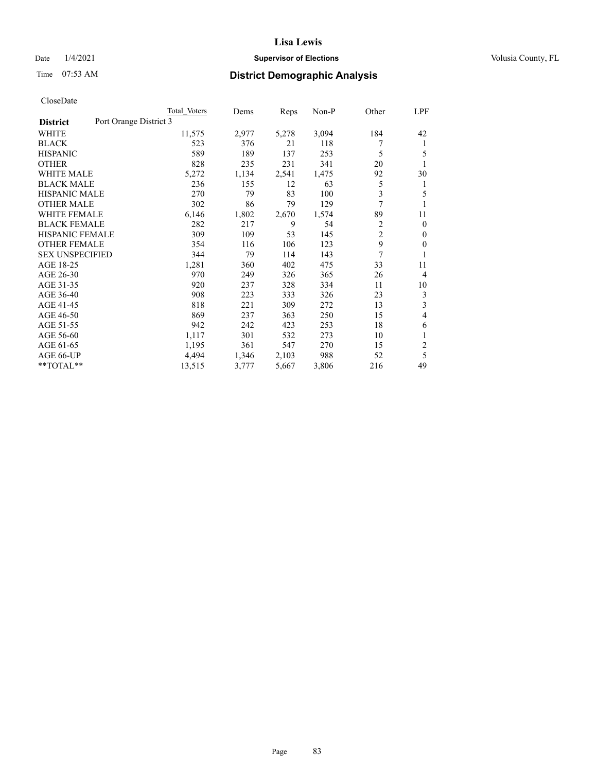## Date  $1/4/2021$  **Supervisor of Elections Supervisor of Elections** Volusia County, FL

|                        | Total Voters           | Dems  | Reps  | Non-P | Other          | LPF                     |
|------------------------|------------------------|-------|-------|-------|----------------|-------------------------|
| <b>District</b>        | Port Orange District 3 |       |       |       |                |                         |
| WHITE                  | 11,575                 | 2,977 | 5,278 | 3,094 | 184            | 42                      |
| BLACK                  | 523                    | 376   | 21    | 118   | 7              | 1                       |
| <b>HISPANIC</b>        | 589                    | 189   | 137   | 253   | 5              | 5                       |
| <b>OTHER</b>           | 828                    | 235   | 231   | 341   | 20             | 1                       |
| <b>WHITE MALE</b>      | 5,272                  | 1,134 | 2,541 | 1,475 | 92             | 30                      |
| <b>BLACK MALE</b>      | 236                    | 155   | 12    | 63    | 5              | 1                       |
| <b>HISPANIC MALE</b>   | 270                    | 79    | 83    | 100   | 3              | 5                       |
| <b>OTHER MALE</b>      | 302                    | 86    | 79    | 129   | $\overline{7}$ |                         |
| <b>WHITE FEMALE</b>    | 6,146                  | 1,802 | 2,670 | 1,574 | 89             | 11                      |
| <b>BLACK FEMALE</b>    | 282                    | 217   | 9     | 54    | $\overline{2}$ | $\theta$                |
| <b>HISPANIC FEMALE</b> | 309                    | 109   | 53    | 145   | $\overline{2}$ | $\mathbf{0}$            |
| <b>OTHER FEMALE</b>    | 354                    | 116   | 106   | 123   | 9              | $\theta$                |
| <b>SEX UNSPECIFIED</b> | 344                    | 79    | 114   | 143   | 7              |                         |
| AGE 18-25              | 1,281                  | 360   | 402   | 475   | 33             | 11                      |
| AGE 26-30              | 970                    | 249   | 326   | 365   | 26             | $\overline{4}$          |
| AGE 31-35              | 920                    | 237   | 328   | 334   | 11             | 10                      |
| AGE 36-40              | 908                    | 223   | 333   | 326   | 23             | 3                       |
| AGE 41-45              | 818                    | 221   | 309   | 272   | 13             | 3                       |
| AGE 46-50              | 869                    | 237   | 363   | 250   | 15             | 4                       |
| AGE 51-55              | 942                    | 242   | 423   | 253   | 18             | 6                       |
| AGE 56-60              | 1,117                  | 301   | 532   | 273   | 10             | 1                       |
| AGE 61-65              | 1,195                  | 361   | 547   | 270   | 15             | $\overline{\mathbf{c}}$ |
| AGE 66-UP              | 4,494                  | 1,346 | 2,103 | 988   | 52             | 5                       |
| **TOTAL**              | 13,515                 | 3,777 | 5,667 | 3,806 | 216            | 49                      |
|                        |                        |       |       |       |                |                         |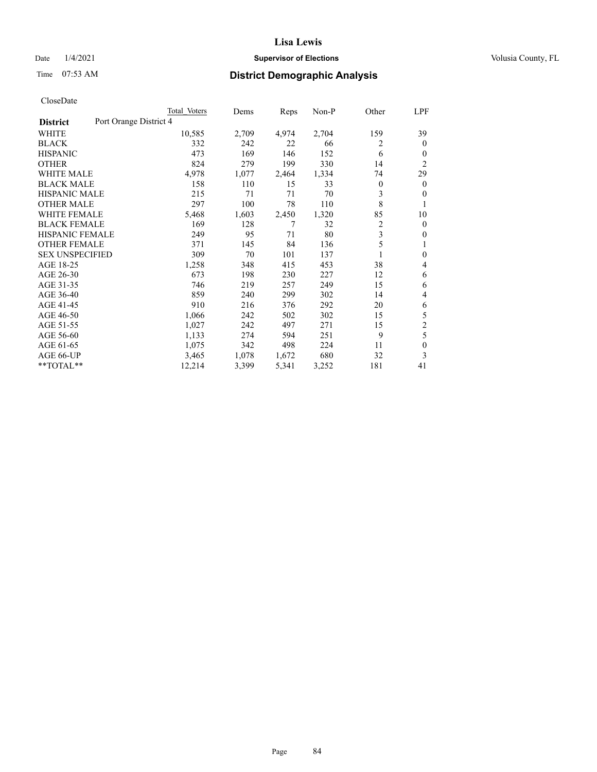## Date  $1/4/2021$  **Supervisor of Elections Supervisor of Elections** Volusia County, FL

# Time 07:53 AM **District Demographic Analysis**

|                        | Total Voters           | Dems  | Reps  | Non-P | Other | LPF            |
|------------------------|------------------------|-------|-------|-------|-------|----------------|
| <b>District</b>        | Port Orange District 4 |       |       |       |       |                |
| WHITE                  | 10,585                 | 2,709 | 4,974 | 2,704 | 159   | 39             |
| <b>BLACK</b>           | 332                    | 242   | 22    | 66    | 2     | $\mathbf{0}$   |
| <b>HISPANIC</b>        | 473                    | 169   | 146   | 152   | 6     | 0              |
| <b>OTHER</b>           | 824                    | 279   | 199   | 330   | 14    | $\overline{2}$ |
| <b>WHITE MALE</b>      | 4,978                  | 1,077 | 2,464 | 1,334 | 74    | 29             |
| <b>BLACK MALE</b>      | 158                    | 110   | 15    | 33    | 0     | $\mathbf{0}$   |
| <b>HISPANIC MALE</b>   | 215                    | 71    | 71    | 70    | 3     | 0              |
| <b>OTHER MALE</b>      | 297                    | 100   | 78    | 110   | 8     | 1              |
| WHITE FEMALE           | 5,468                  | 1,603 | 2,450 | 1,320 | 85    | 10             |
| <b>BLACK FEMALE</b>    | 169                    | 128   | 7     | 32    | 2     | $\mathbf{0}$   |
| <b>HISPANIC FEMALE</b> | 249                    | 95    | 71    | 80    | 3     | 0              |
| <b>OTHER FEMALE</b>    | 371                    | 145   | 84    | 136   | 5     | 1              |
| <b>SEX UNSPECIFIED</b> | 309                    | 70    | 101   | 137   |       | $\mathbf{0}$   |
| AGE 18-25              | 1,258                  | 348   | 415   | 453   | 38    | 4              |
| AGE 26-30              | 673                    | 198   | 230   | 227   | 12    | 6              |
| AGE 31-35              | 746                    | 219   | 257   | 249   | 15    | 6              |
| AGE 36-40              | 859                    | 240   | 299   | 302   | 14    | 4              |
| AGE 41-45              | 910                    | 216   | 376   | 292   | 20    | 6              |
| AGE 46-50              | 1,066                  | 242   | 502   | 302   | 15    | 5              |
| AGE 51-55              | 1,027                  | 242   | 497   | 271   | 15    | $\overline{c}$ |
| AGE 56-60              | 1,133                  | 274   | 594   | 251   | 9     | 5              |
| AGE 61-65              | 1,075                  | 342   | 498   | 224   | 11    | $\theta$       |
| AGE 66-UP              | 3,465                  | 1,078 | 1,672 | 680   | 32    | 3              |
| **TOTAL**              | 12,214                 | 3,399 | 5,341 | 3,252 | 181   | 41             |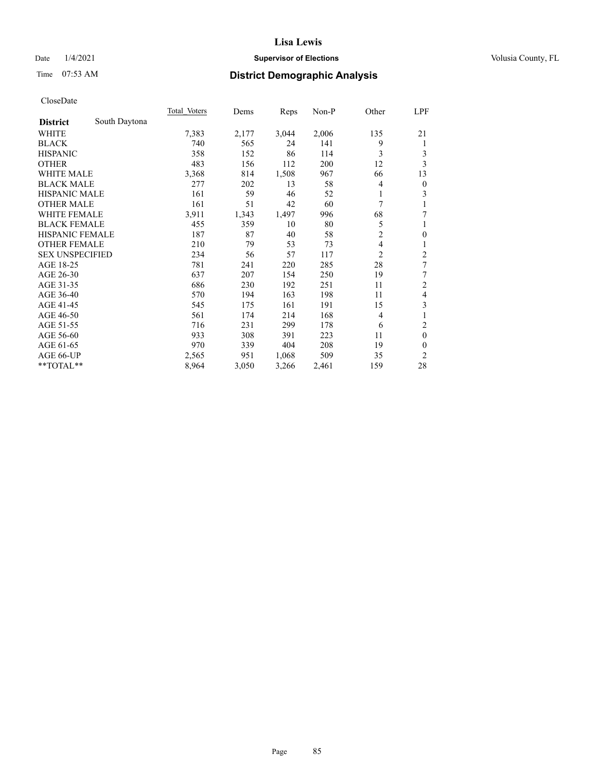## Date  $1/4/2021$  **Supervisor of Elections Supervisor of Elections** Volusia County, FL

# Time 07:53 AM **District Demographic Analysis**

|                        |               | Total Voters | Dems  | Reps  | Non-P | Other          | LPF              |
|------------------------|---------------|--------------|-------|-------|-------|----------------|------------------|
| <b>District</b>        | South Daytona |              |       |       |       |                |                  |
| WHITE                  |               | 7,383        | 2,177 | 3,044 | 2,006 | 135            | 21               |
| <b>BLACK</b>           |               | 740          | 565   | 24    | 141   | 9              | 1                |
| <b>HISPANIC</b>        |               | 358          | 152   | 86    | 114   | 3              | 3                |
| <b>OTHER</b>           |               | 483          | 156   | 112   | 200   | 12             | 3                |
| <b>WHITE MALE</b>      |               | 3,368        | 814   | 1,508 | 967   | 66             | 13               |
| <b>BLACK MALE</b>      |               | 277          | 202   | 13    | 58    | 4              | $\boldsymbol{0}$ |
| <b>HISPANIC MALE</b>   |               | 161          | 59    | 46    | 52    | 1              | 3                |
| <b>OTHER MALE</b>      |               | 161          | 51    | 42    | 60    | 7              | 1                |
| <b>WHITE FEMALE</b>    |               | 3,911        | 1,343 | 1,497 | 996   | 68             | 7                |
| <b>BLACK FEMALE</b>    |               | 455          | 359   | 10    | 80    | 5              | 1                |
| <b>HISPANIC FEMALE</b> |               | 187          | 87    | 40    | 58    | 2              | $\mathbf{0}$     |
| <b>OTHER FEMALE</b>    |               | 210          | 79    | 53    | 73    | 4              | $\mathbf{1}$     |
| <b>SEX UNSPECIFIED</b> |               | 234          | 56    | 57    | 117   | $\overline{2}$ | $\overline{c}$   |
| AGE 18-25              |               | 781          | 241   | 220   | 285   | 28             | 7                |
| AGE 26-30              |               | 637          | 207   | 154   | 250   | 19             | 7                |
| AGE 31-35              |               | 686          | 230   | 192   | 251   | 11             | $\mathfrak{2}$   |
| AGE 36-40              |               | 570          | 194   | 163   | 198   | 11             | $\overline{4}$   |
| AGE 41-45              |               | 545          | 175   | 161   | 191   | 15             | 3                |
| AGE 46-50              |               | 561          | 174   | 214   | 168   | 4              | 1                |
| AGE 51-55              |               | 716          | 231   | 299   | 178   | 6              | $\overline{2}$   |
| AGE 56-60              |               | 933          | 308   | 391   | 223   | 11             | $\mathbf{0}$     |
| AGE 61-65              |               | 970          | 339   | 404   | 208   | 19             | $\mathbf{0}$     |
| AGE 66-UP              |               | 2,565        | 951   | 1,068 | 509   | 35             | $\overline{2}$   |
| **TOTAL**              |               | 8,964        | 3,050 | 3,266 | 2,461 | 159            | 28               |